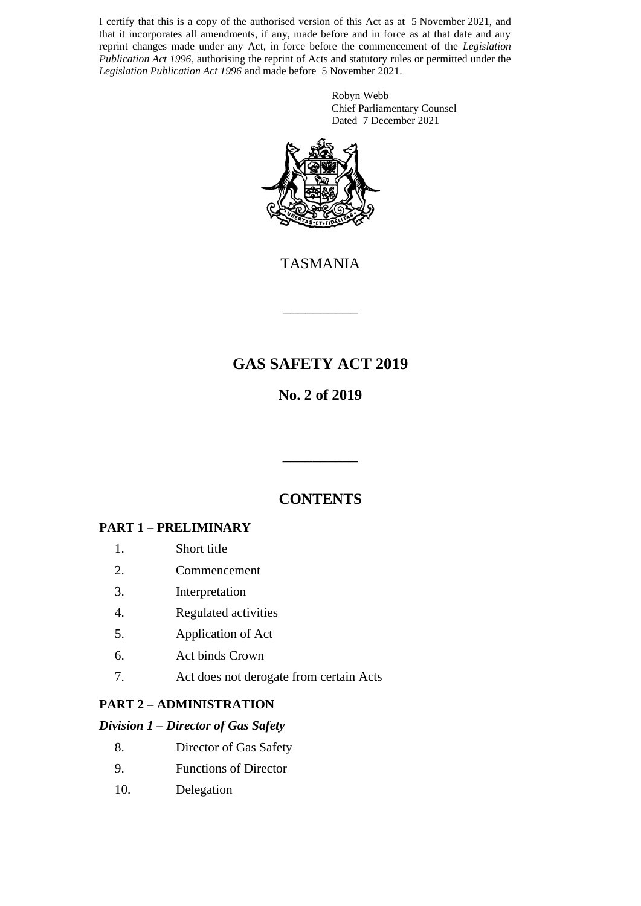I certify that this is a copy of the authorised version of this Act as at 5 November 2021, and that it incorporates all amendments, if any, made before and in force as at that date and any reprint changes made under any Act, in force before the commencement of the *Legislation Publication Act 1996*, authorising the reprint of Acts and statutory rules or permitted under the *Legislation Publication Act 1996* and made before 5 November 2021.

> Robyn Webb Chief Parliamentary Counsel Dated 7 December 2021



TASMANIA

\_\_\_\_\_\_\_\_\_\_

# **GAS SAFETY ACT 2019**

# **No. 2 of 2019**

# **CONTENTS**

\_\_\_\_\_\_\_\_\_\_

## **PART 1 – PRELIMINARY**

- 1. Short title
- 2. Commencement
- 3. Interpretation
- 4. Regulated activities
- 5. Application of Act
- 6. Act binds Crown
- 7. Act does not derogate from certain Acts

## **PART 2 – ADMINISTRATION**

### *Division 1 – Director of Gas Safety*

- 8. Director of Gas Safety
- 9. Functions of Director
- 10. Delegation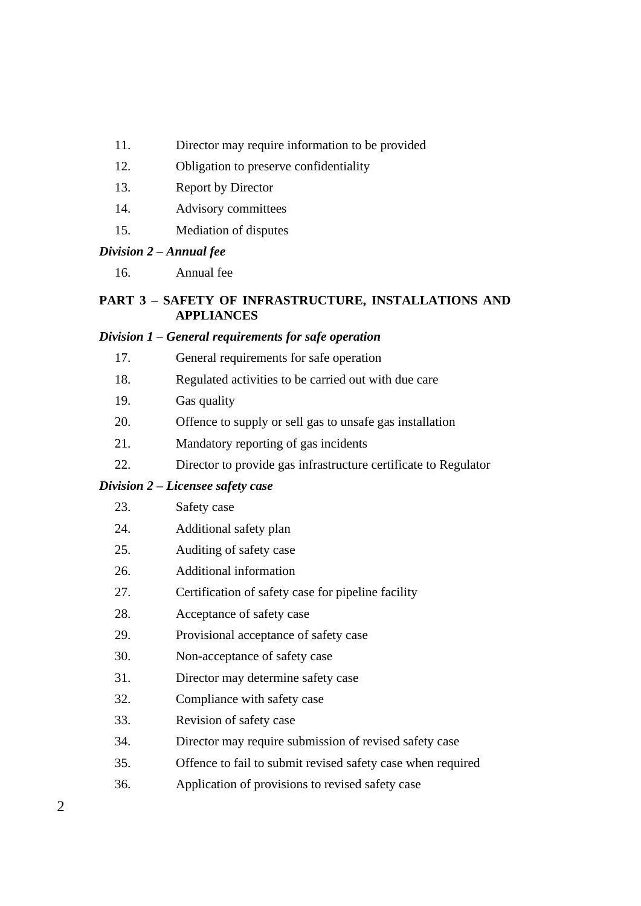- 11. Director may require information to be provided
- 12. Obligation to preserve confidentiality
- 13. Report by Director
- 14. Advisory committees
- 15. Mediation of disputes

#### *Division 2 – Annual fee*

16. Annual fee

### **PART 3 – SAFETY OF INFRASTRUCTURE, INSTALLATIONS AND APPLIANCES**

### *Division 1 – General requirements for safe operation*

- 17. General requirements for safe operation
- 18. Regulated activities to be carried out with due care
- 19. Gas quality
- 20. Offence to supply or sell gas to unsafe gas installation
- 21. Mandatory reporting of gas incidents
- 22. Director to provide gas infrastructure certificate to Regulator

### *Division 2 – Licensee safety case*

| 23. | Safety case |
|-----|-------------|
|     |             |

- 24. Additional safety plan
- 25. Auditing of safety case
- 26. Additional information
- 27. Certification of safety case for pipeline facility
- 28. Acceptance of safety case
- 29. Provisional acceptance of safety case
- 30. Non-acceptance of safety case
- 31. Director may determine safety case
- 32. Compliance with safety case
- 33. Revision of safety case
- 34. Director may require submission of revised safety case
- 35. Offence to fail to submit revised safety case when required
- 36. Application of provisions to revised safety case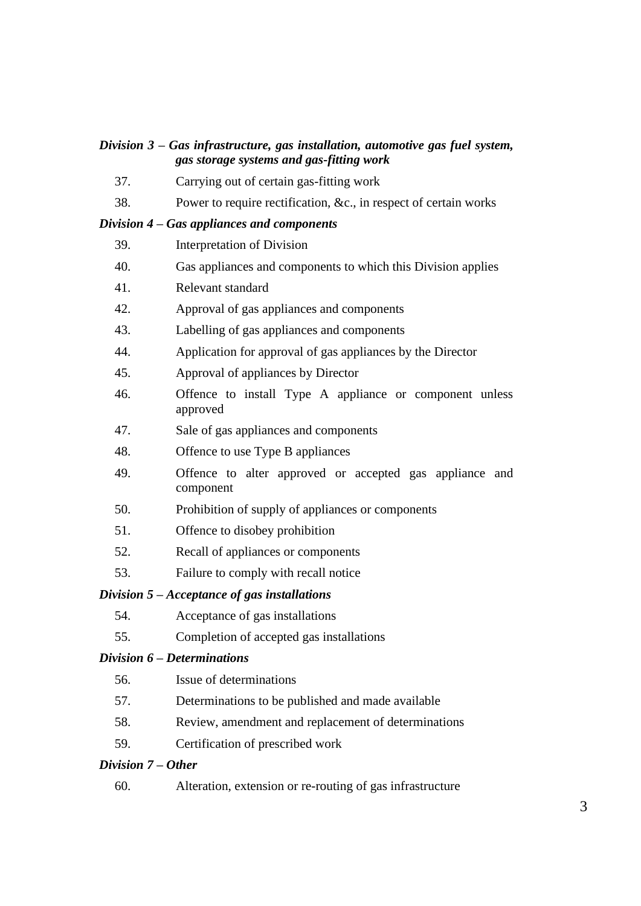### *Division 3 – Gas infrastructure, gas installation, automotive gas fuel system, gas storage systems and gas-fitting work*

- 37. Carrying out of certain gas-fitting work
- 38. Power to require rectification, &c., in respect of certain works

#### *Division 4 – Gas appliances and components*

- 39. Interpretation of Division
- 40. Gas appliances and components to which this Division applies
- 41. Relevant standard
- 42. Approval of gas appliances and components
- 43. Labelling of gas appliances and components
- 44. Application for approval of gas appliances by the Director
- 45. Approval of appliances by Director
- 46. Offence to install Type A appliance or component unless approved
- 47. Sale of gas appliances and components
- 48. Offence to use Type B appliances
- 49. Offence to alter approved or accepted gas appliance and component
- 50. Prohibition of supply of appliances or components
- 51. Offence to disobey prohibition
- 52. Recall of appliances or components
- 53. Failure to comply with recall notice

#### *Division 5 – Acceptance of gas installations*

- 54. Acceptance of gas installations
- 55. Completion of accepted gas installations

### *Division 6 – Determinations*

- 56. Issue of determinations
- 57. Determinations to be published and made available
- 58. Review, amendment and replacement of determinations
- 59. Certification of prescribed work

#### *Division 7 – Other*

60. Alteration, extension or re-routing of gas infrastructure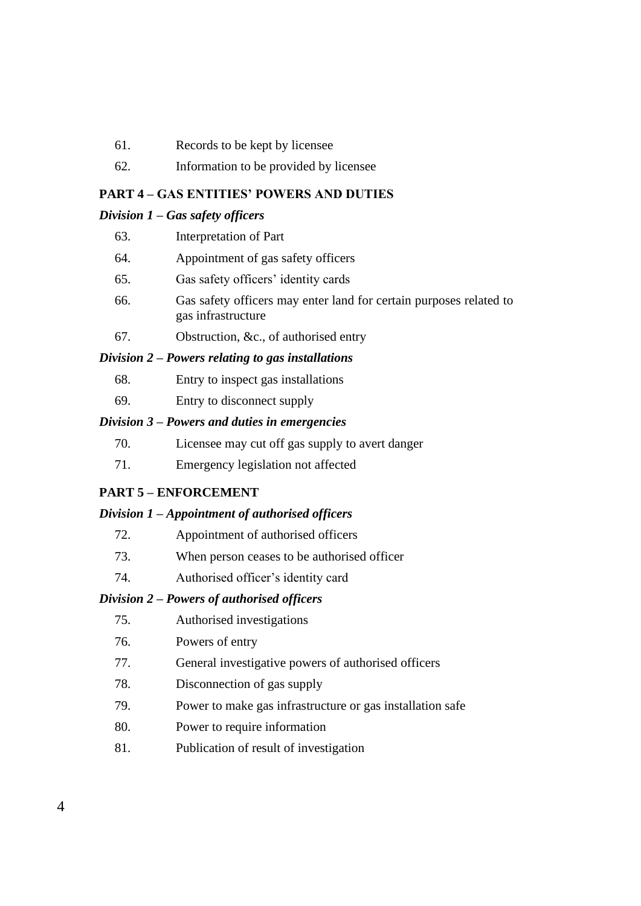- 61. Records to be kept by licensee
- 62. Information to be provided by licensee

#### **PART 4 – GAS ENTITIES' POWERS AND DUTIES**

#### *Division 1 – Gas safety officers*

- 63. Interpretation of Part
- 64. Appointment of gas safety officers
- 65. Gas safety officers' identity cards
- 66. Gas safety officers may enter land for certain purposes related to gas infrastructure
- 67. Obstruction, &c., of authorised entry

#### *Division 2 – Powers relating to gas installations*

- 68. Entry to inspect gas installations
- 69. Entry to disconnect supply

#### *Division 3 – Powers and duties in emergencies*

- 70. Licensee may cut off gas supply to avert danger
- 71. Emergency legislation not affected

### **PART 5 – ENFORCEMENT**

#### *Division 1 – Appointment of authorised officers*

- 72. Appointment of authorised officers
- 73. When person ceases to be authorised officer
- 74. Authorised officer's identity card

### *Division 2 – Powers of authorised officers*

- 75. Authorised investigations
- 76. Powers of entry
- 77. General investigative powers of authorised officers
- 78. Disconnection of gas supply
- 79. Power to make gas infrastructure or gas installation safe
- 80. Power to require information
- 81. Publication of result of investigation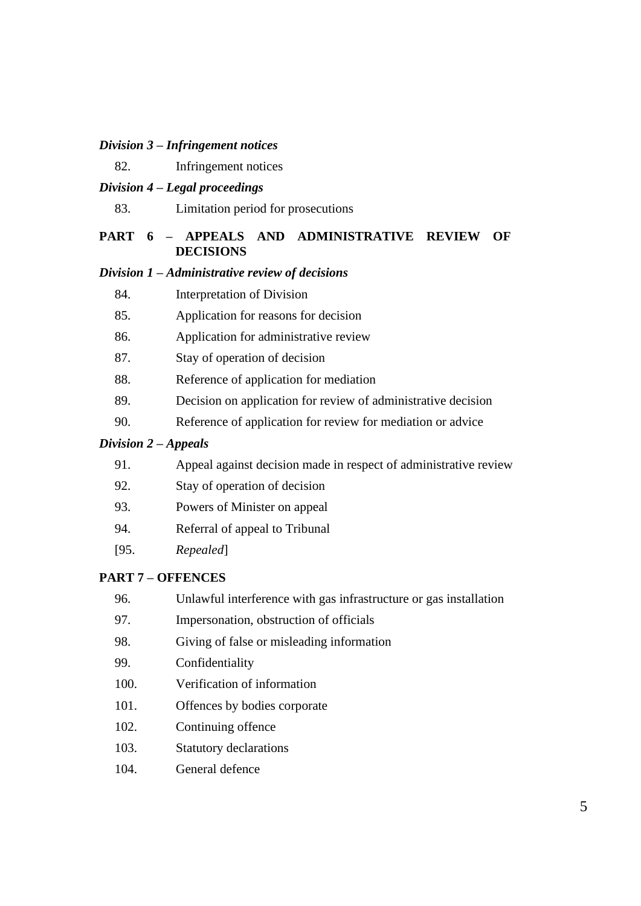### *Division 3 – Infringement notices*

82. Infringement notices

### *Division 4 – Legal proceedings*

83. Limitation period for prosecutions

### **PART 6 – APPEALS AND ADMINISTRATIVE REVIEW OF DECISIONS**

#### *Division 1 – Administrative review of decisions*

- 84. Interpretation of Division
- 85. Application for reasons for decision
- 86. Application for administrative review
- 87. Stay of operation of decision
- 88. Reference of application for mediation
- 89. Decision on application for review of administrative decision
- 90. Reference of application for review for mediation or advice

#### *Division 2 – Appeals*

| 91. |  |  | Appeal against decision made in respect of administrative review |
|-----|--|--|------------------------------------------------------------------|
|-----|--|--|------------------------------------------------------------------|

- 92. Stay of operation of decision
- 93. Powers of Minister on appeal
- 94. Referral of appeal to Tribunal
- [95. *Repealed*]

#### **PART 7 – OFFENCES**

- 96. Unlawful interference with gas infrastructure or gas installation
- 97. Impersonation, obstruction of officials
- 98. Giving of false or misleading information
- 99. Confidentiality
- 100. Verification of information
- 101. Offences by bodies corporate
- 102. Continuing offence
- 103. Statutory declarations
- 104. General defence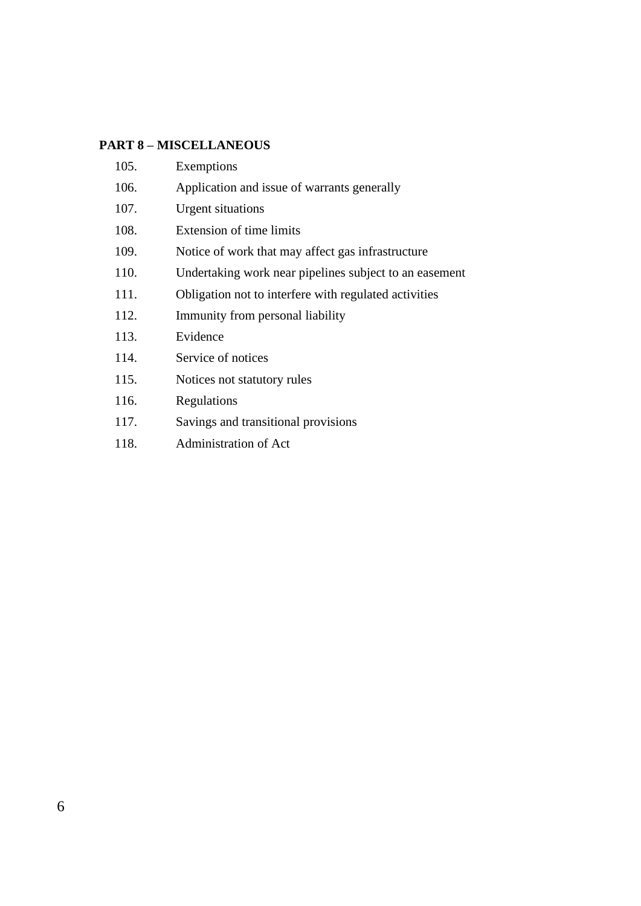## **PART 8 – MISCELLANEOUS**

| 105. | Exemptions                                             |
|------|--------------------------------------------------------|
| 106. | Application and issue of warrants generally            |
| 107. | <b>Urgent situations</b>                               |
| 108. | Extension of time limits                               |
| 109. | Notice of work that may affect gas infrastructure      |
| 110. | Undertaking work near pipelines subject to an easement |
| 111. | Obligation not to interfere with regulated activities  |
| 112. | Immunity from personal liability                       |
| 113. | Evidence                                               |
| 114. | Service of notices                                     |
| 115. | Notices not statutory rules                            |
| 116. | Regulations                                            |
| 117. | Savings and transitional provisions                    |
| 118. | Administration of Act                                  |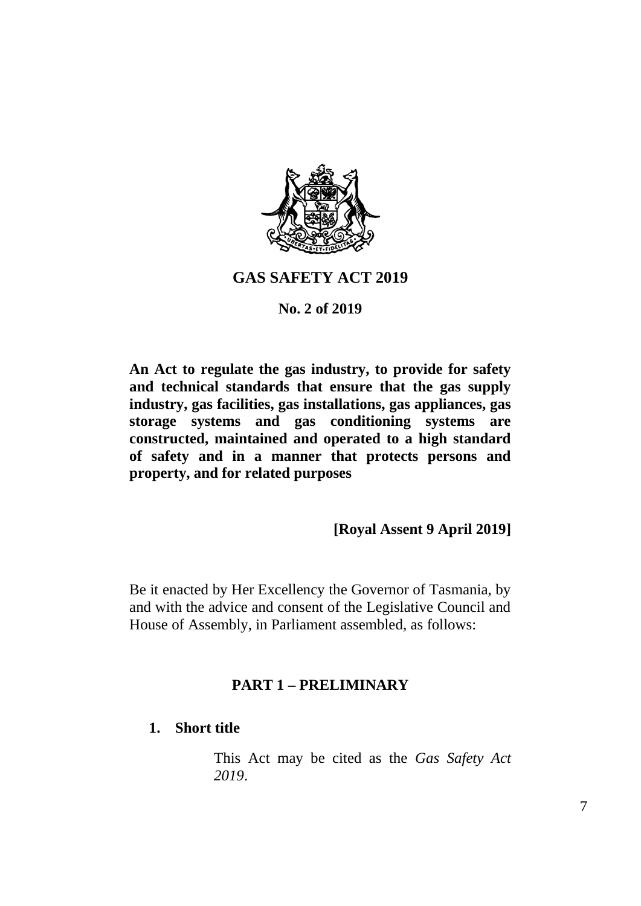

## **GAS SAFETY ACT 2019**

### **No. 2 of 2019**

**An Act to regulate the gas industry, to provide for safety and technical standards that ensure that the gas supply industry, gas facilities, gas installations, gas appliances, gas storage systems and gas conditioning systems are constructed, maintained and operated to a high standard of safety and in a manner that protects persons and property, and for related purposes**

## **[Royal Assent 9 April 2019]**

Be it enacted by Her Excellency the Governor of Tasmania, by and with the advice and consent of the Legislative Council and House of Assembly, in Parliament assembled, as follows:

## **PART 1 – PRELIMINARY**

## **1. Short title**

This Act may be cited as the *Gas Safety Act 2019*.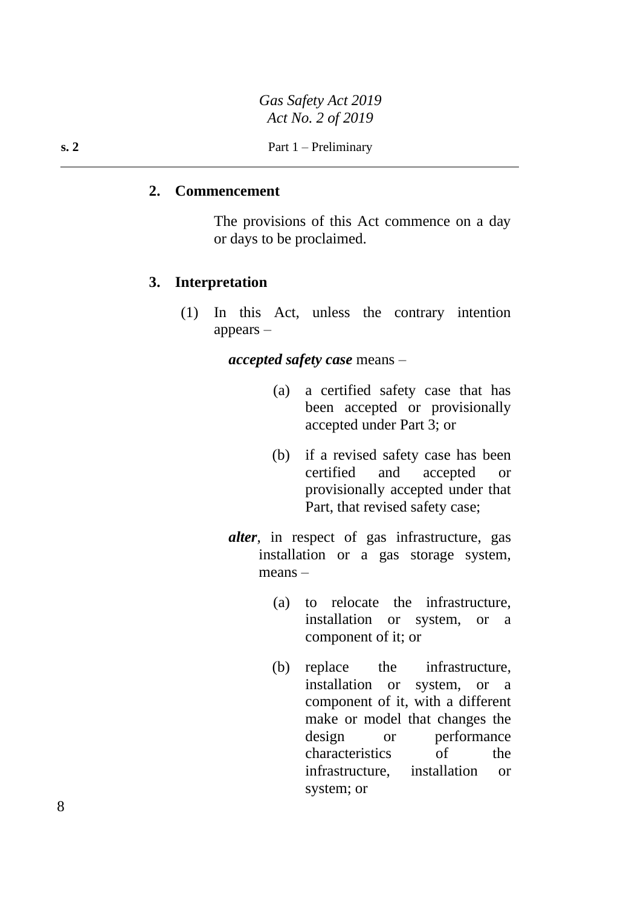#### **2. Commencement**

The provisions of this Act commence on a day or days to be proclaimed.

### **3. Interpretation**

(1) In this Act, unless the contrary intention appears –

*accepted safety case* means –

- (a) a certified safety case that has been accepted or provisionally accepted under Part 3; or
- (b) if a revised safety case has been certified and accepted or provisionally accepted under that Part, that revised safety case;
- *alter*, in respect of gas infrastructure, gas installation or a gas storage system, means –
	- (a) to relocate the infrastructure, installation or system, or a component of it; or
	- (b) replace the infrastructure, installation or system, or a component of it, with a different make or model that changes the design or performance characteristics of the infrastructure, installation or system; or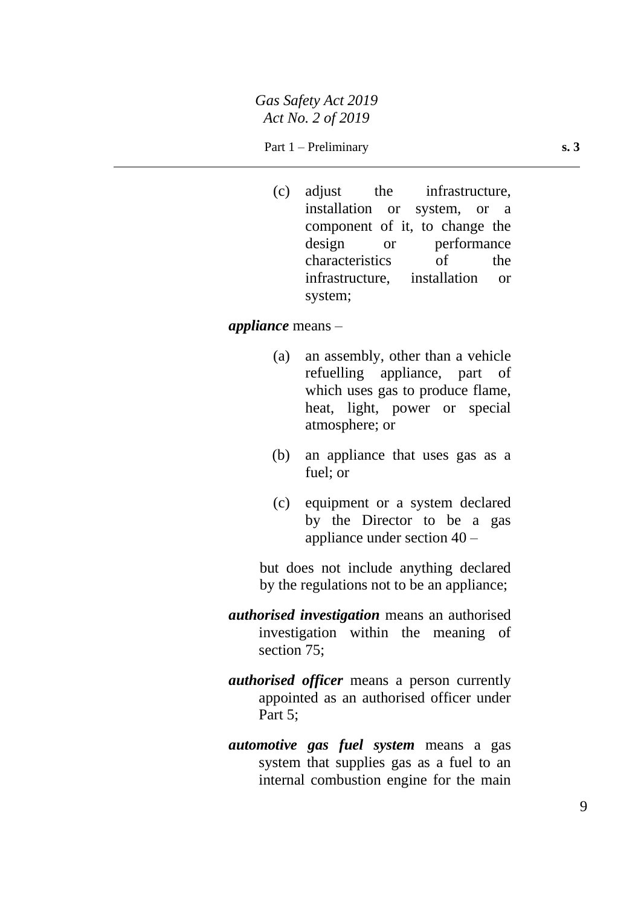### Part 1 – Preliminary **s. 3**

(c) adjust the infrastructure, installation or system, or a component of it, to change the design or performance characteristics of the infrastructure, installation or system;

#### *appliance* means –

- (a) an assembly, other than a vehicle refuelling appliance, part of which uses gas to produce flame, heat, light, power or special atmosphere; or
- (b) an appliance that uses gas as a fuel; or
- (c) equipment or a system declared by the Director to be a gas appliance under section 40 –

but does not include anything declared by the regulations not to be an appliance;

- *authorised investigation* means an authorised investigation within the meaning of section 75;
- *authorised officer* means a person currently appointed as an authorised officer under Part 5:
- *automotive gas fuel system* means a gas system that supplies gas as a fuel to an internal combustion engine for the main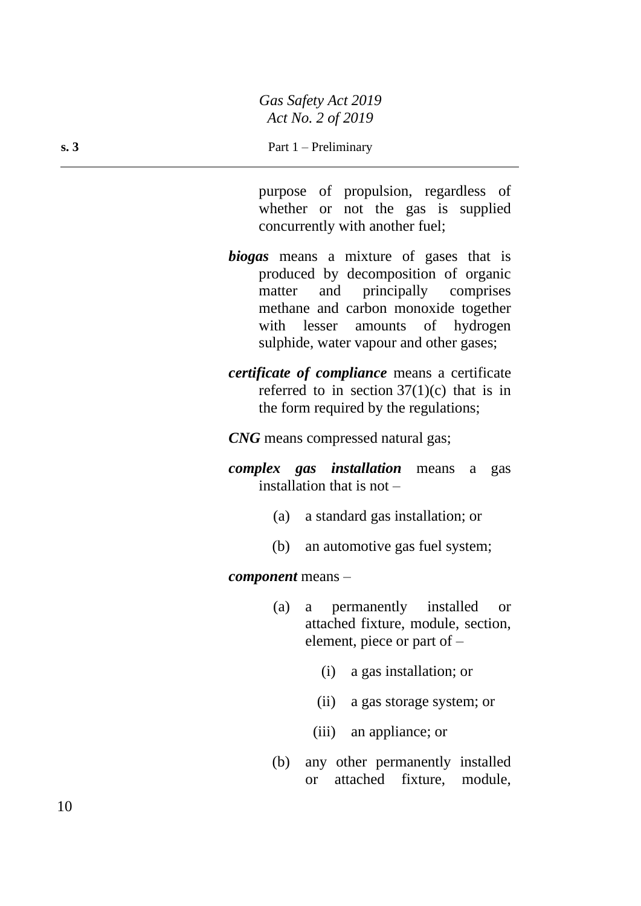**s. 3** Part 1 – Preliminary

purpose of propulsion, regardless of whether or not the gas is supplied concurrently with another fuel;

- *biogas* means a mixture of gases that is produced by decomposition of organic matter and principally comprises methane and carbon monoxide together with lesser amounts of hydrogen sulphide, water vapour and other gases;
- *certificate of compliance* means a certificate referred to in section  $37(1)(c)$  that is in the form required by the regulations;

*CNG* means compressed natural gas;

*complex gas installation* means a gas installation that is not –

- (a) a standard gas installation; or
- (b) an automotive gas fuel system;

*component* means –

- (a) a permanently installed or attached fixture, module, section, element, piece or part of –
	- (i) a gas installation; or
	- (ii) a gas storage system; or
	- (iii) an appliance; or
- (b) any other permanently installed or attached fixture, module,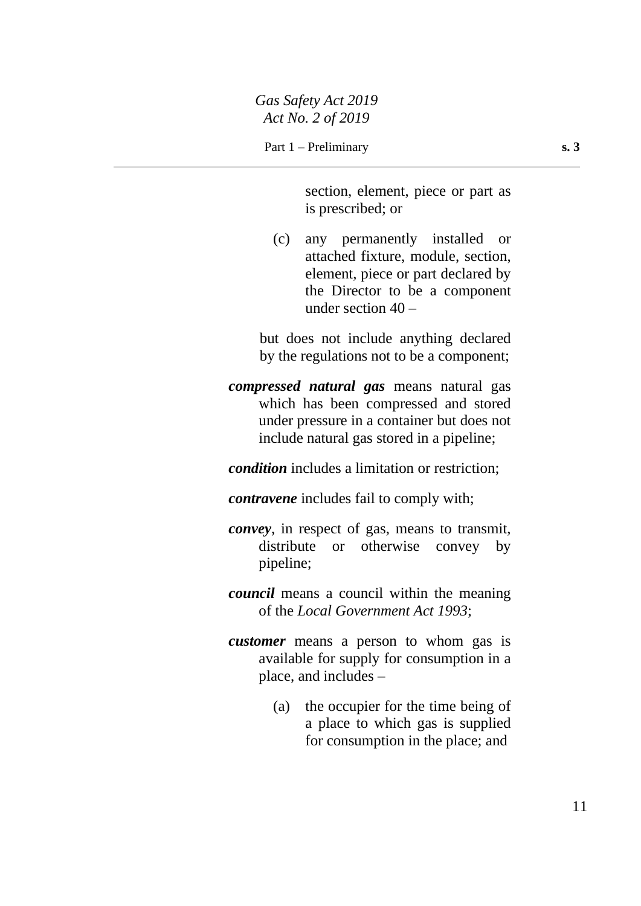section, element, piece or part as is prescribed; or

(c) any permanently installed or attached fixture, module, section, element, piece or part declared by the Director to be a component under section 40 –

but does not include anything declared by the regulations not to be a component;

*compressed natural gas* means natural gas which has been compressed and stored under pressure in a container but does not include natural gas stored in a pipeline;

*condition* includes a limitation or restriction;

- *contravene* includes fail to comply with;
- *convey*, in respect of gas, means to transmit, distribute or otherwise convey by pipeline;
- *council* means a council within the meaning of the *Local Government Act 1993*;
- *customer* means a person to whom gas is available for supply for consumption in a place, and includes –
	- (a) the occupier for the time being of a place to which gas is supplied for consumption in the place; and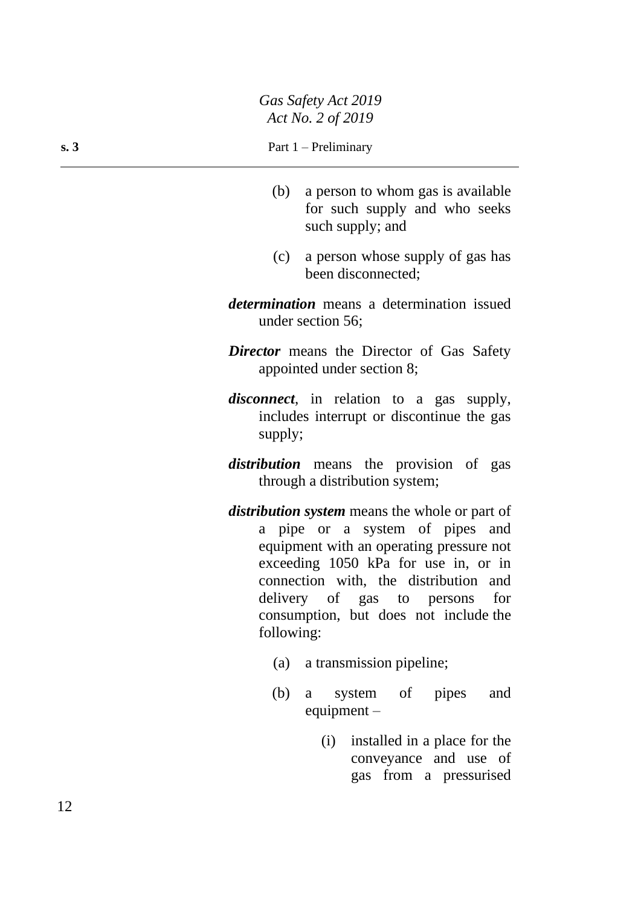- (b) a person to whom gas is available for such supply and who seeks such supply; and
- (c) a person whose supply of gas has been disconnected;
- *determination* means a determination issued under section 56;
- *Director* means the Director of Gas Safety appointed under section 8;
- *disconnect*, in relation to a gas supply, includes interrupt or discontinue the gas supply;
- *distribution* means the provision of gas through a distribution system;
- *distribution system* means the whole or part of a pipe or a system of pipes and equipment with an operating pressure not exceeding 1050 kPa for use in, or in connection with, the distribution and delivery of gas to persons for consumption, but does not include the following:
	- (a) a transmission pipeline;
	- (b) a system of pipes and equipment –
		- (i) installed in a place for the conveyance and use of gas from a pressurised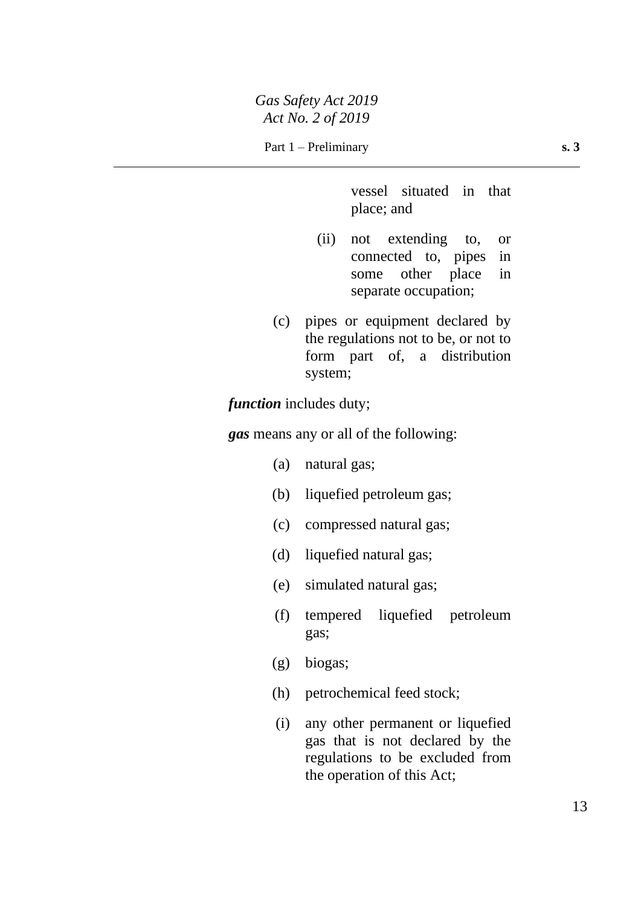vessel situated in that place; and

- (ii) not extending to, or connected to, pipes in some other place in separate occupation;
- (c) pipes or equipment declared by the regulations not to be, or not to form part of, a distribution system;

*function* includes duty;

*gas* means any or all of the following:

- (a) natural gas;
- (b) liquefied petroleum gas;
- (c) compressed natural gas;
- (d) liquefied natural gas;
- (e) simulated natural gas;
- (f) tempered liquefied petroleum gas;
- (g) biogas;
- (h) petrochemical feed stock;
- (i) any other permanent or liquefied gas that is not declared by the regulations to be excluded from the operation of this Act;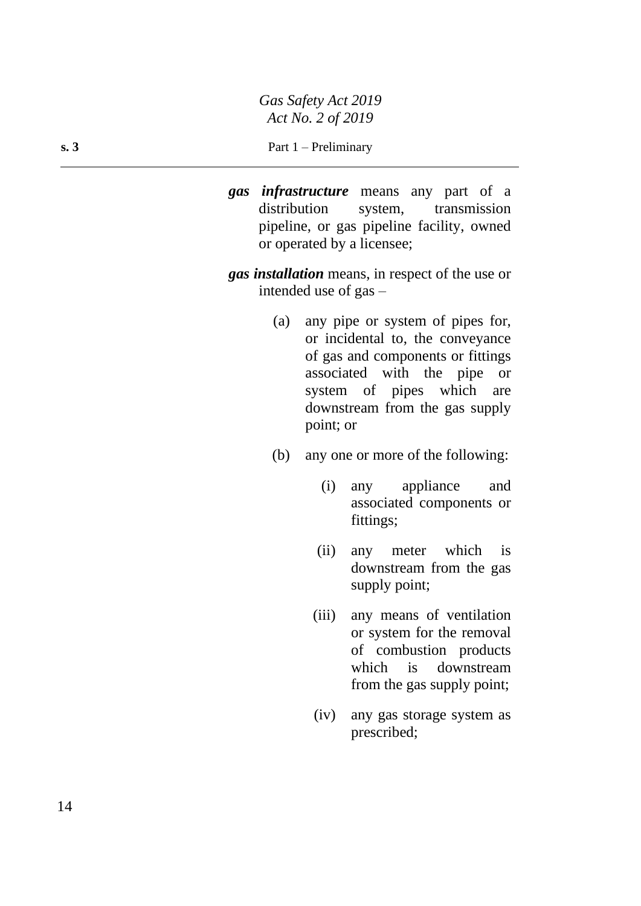#### **s. 3** Part 1 – Preliminary

- *gas infrastructure* means any part of a distribution system, transmission pipeline, or gas pipeline facility, owned or operated by a licensee;
- *gas installation* means, in respect of the use or intended use of gas –
	- (a) any pipe or system of pipes for, or incidental to, the conveyance of gas and components or fittings associated with the pipe or system of pipes which are downstream from the gas supply point; or
	- (b) any one or more of the following:
		- (i) any appliance and associated components or fittings;
		- (ii) any meter which is downstream from the gas supply point;
		- (iii) any means of ventilation or system for the removal of combustion products which is downstream from the gas supply point;
		- (iv) any gas storage system as prescribed;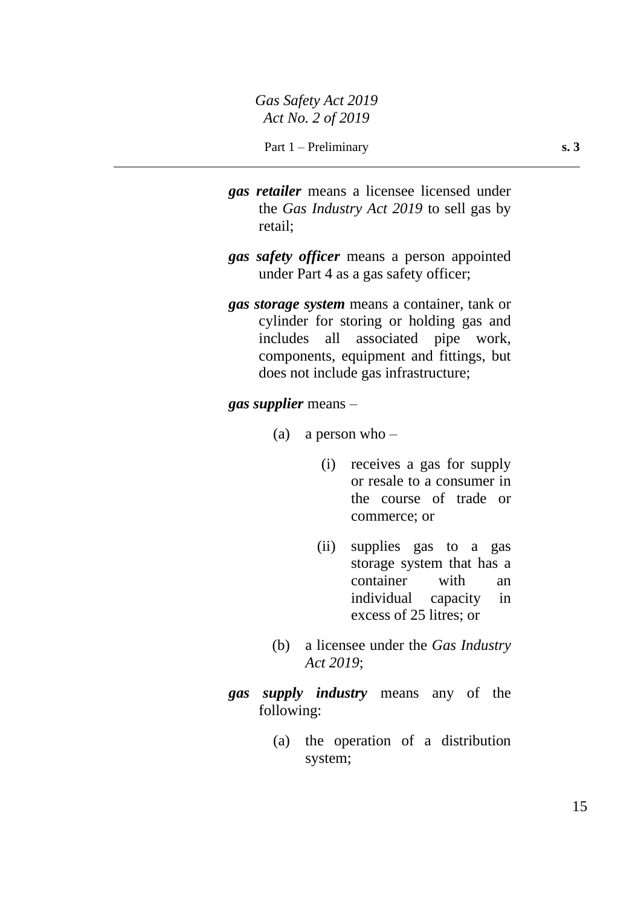- *gas retailer* means a licensee licensed under the *Gas Industry Act 2019* to sell gas by retail;
- *gas safety officer* means a person appointed under Part 4 as a gas safety officer;
- *gas storage system* means a container, tank or cylinder for storing or holding gas and includes all associated pipe work, components, equipment and fittings, but does not include gas infrastructure;

### *gas supplier* means –

- (a) a person who  $-$ 
	- (i) receives a gas for supply or resale to a consumer in the course of trade or commerce; or
	- (ii) supplies gas to a gas storage system that has a container with an individual capacity in excess of 25 litres; or
- (b) a licensee under the *Gas Industry Act 2019*;
- *gas supply industry* means any of the following:
	- (a) the operation of a distribution system;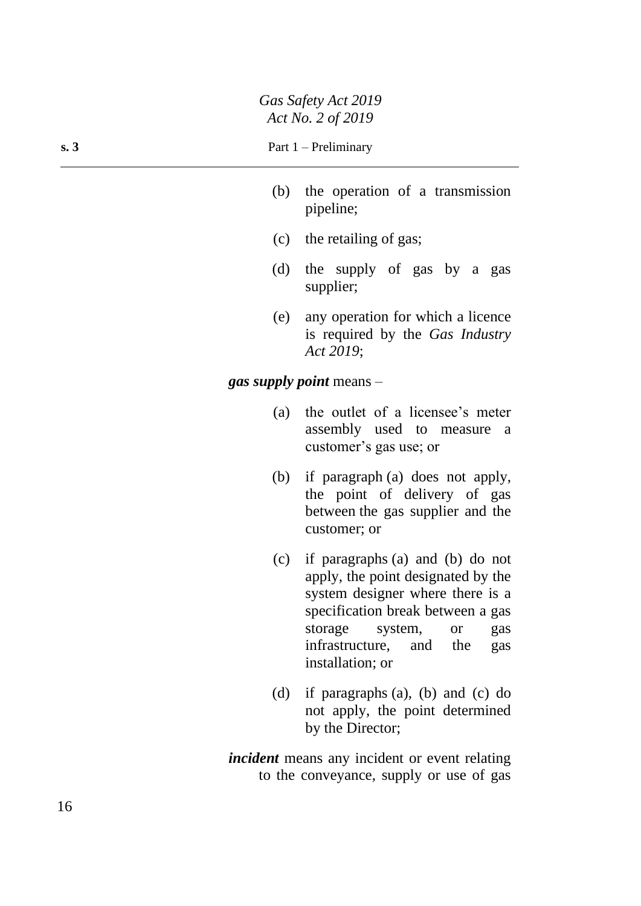#### **s. 3** Part 1 – Preliminary

- (b) the operation of a transmission pipeline;
- (c) the retailing of gas;
- (d) the supply of gas by a gas supplier;
- (e) any operation for which a licence is required by the *Gas Industry Act 2019*;

*gas supply point* means –

- (a) the outlet of a licensee's meter assembly used to measure a customer's gas use; or
- (b) if paragraph (a) does not apply, the point of delivery of gas between the gas supplier and the customer; or
- (c) if paragraphs (a) and (b) do not apply, the point designated by the system designer where there is a specification break between a gas storage system, or gas infrastructure, and the gas installation; or
- (d) if paragraphs (a), (b) and (c) do not apply, the point determined by the Director;

*incident* means any incident or event relating to the conveyance, supply or use of gas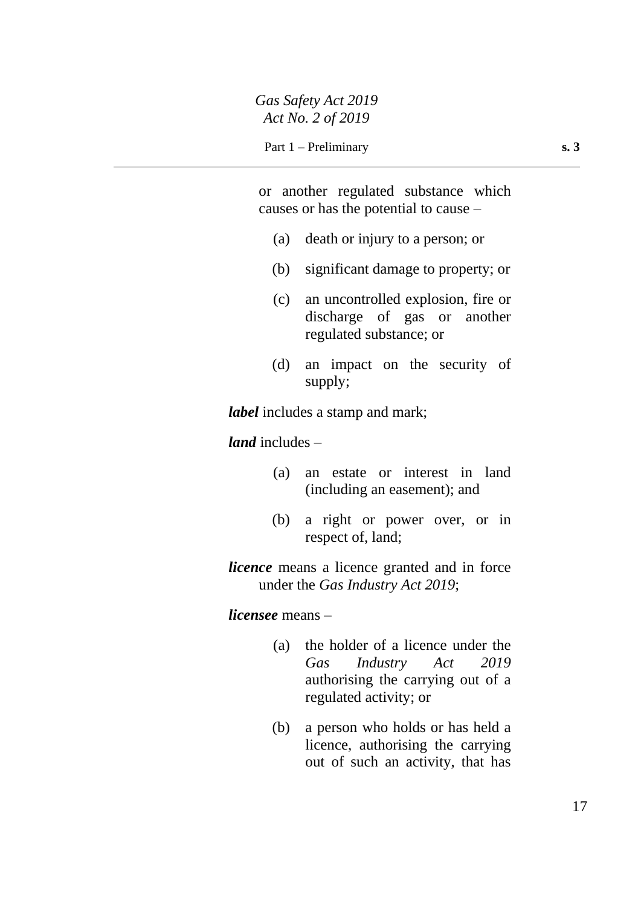or another regulated substance which causes or has the potential to cause –

- (a) death or injury to a person; or
- (b) significant damage to property; or
- (c) an uncontrolled explosion, fire or discharge of gas or another regulated substance; or
- (d) an impact on the security of supply;

*label* includes a stamp and mark;

*land* includes –

- (a) an estate or interest in land (including an easement); and
- (b) a right or power over, or in respect of, land;

*licence* means a licence granted and in force under the *Gas Industry Act 2019*;

*licensee* means –

- (a) the holder of a licence under the *Gas Industry Act 2019* authorising the carrying out of a regulated activity; or
- (b) a person who holds or has held a licence, authorising the carrying out of such an activity, that has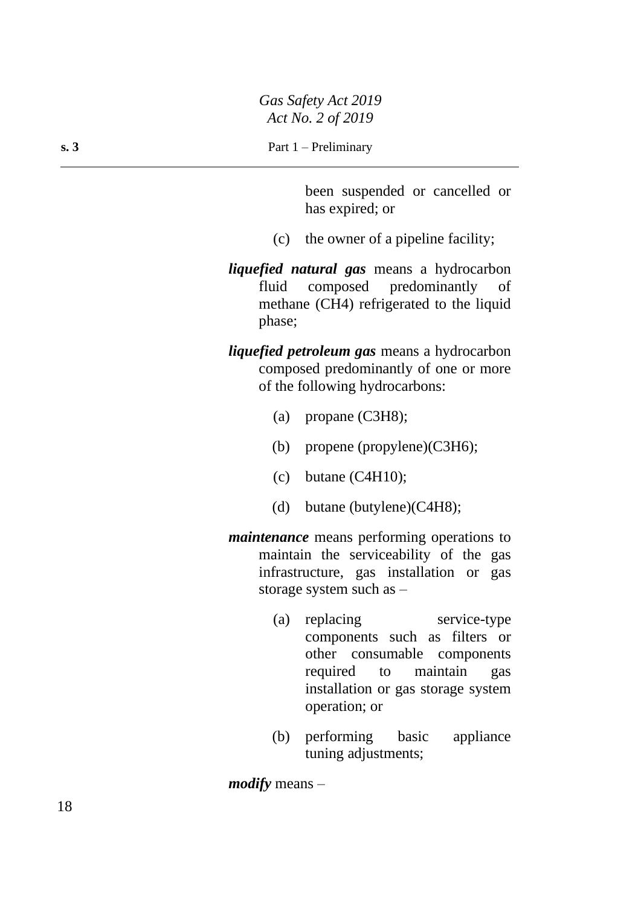been suspended or cancelled or has expired; or

- (c) the owner of a pipeline facility;
- *liquefied natural gas* means a hydrocarbon fluid composed predominantly of methane (CH4) refrigerated to the liquid phase;
- *liquefied petroleum gas* means a hydrocarbon composed predominantly of one or more of the following hydrocarbons:
	- (a) propane (C3H8);
	- (b) propene (propylene)(C3H6);
	- (c) butane (C4H10);
	- (d) butane (butylene)(C4H8);
- *maintenance* means performing operations to maintain the serviceability of the gas infrastructure, gas installation or gas storage system such as –
	- (a) replacing service-type components such as filters or other consumable components required to maintain gas installation or gas storage system operation; or
	- (b) performing basic appliance tuning adjustments;

*modify* means –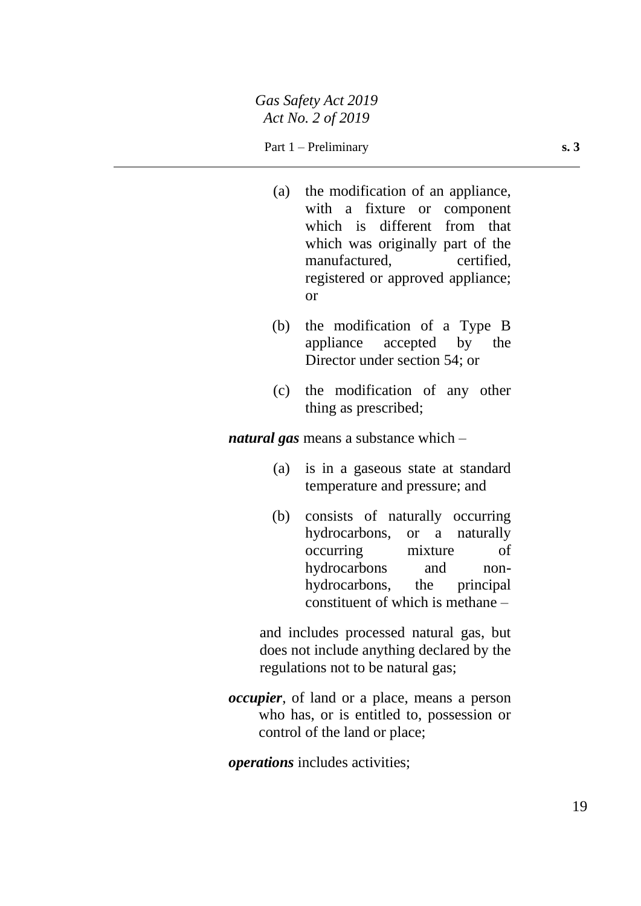### Part 1 – Preliminary **s. 3**

- (a) the modification of an appliance, with a fixture or component which is different from that which was originally part of the manufactured, certified, registered or approved appliance; or
- (b) the modification of a Type B appliance accepted by the Director under section 54; or
- (c) the modification of any other thing as prescribed;

*natural gas* means a substance which –

- (a) is in a gaseous state at standard temperature and pressure; and
- (b) consists of naturally occurring hydrocarbons, or a naturally occurring mixture of hydrocarbons and nonhydrocarbons, the principal constituent of which is methane –

and includes processed natural gas, but does not include anything declared by the regulations not to be natural gas;

*occupier*, of land or a place, means a person who has, or is entitled to, possession or control of the land or place;

*operations* includes activities;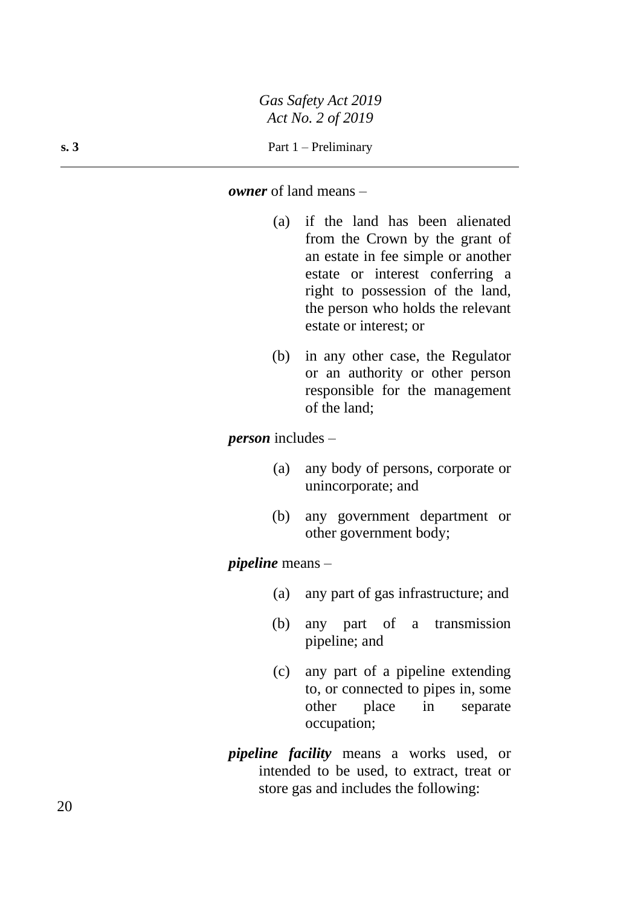#### *owner* of land means –

- (a) if the land has been alienated from the Crown by the grant of an estate in fee simple or another estate or interest conferring a right to possession of the land, the person who holds the relevant estate or interest; or
- (b) in any other case, the Regulator or an authority or other person responsible for the management of the land;

*person* includes –

- (a) any body of persons, corporate or unincorporate; and
- (b) any government department or other government body;

*pipeline* means –

- (a) any part of gas infrastructure; and
- (b) any part of a transmission pipeline; and
- (c) any part of a pipeline extending to, or connected to pipes in, some other place in separate occupation;
- *pipeline facility* means a works used, or intended to be used, to extract, treat or store gas and includes the following: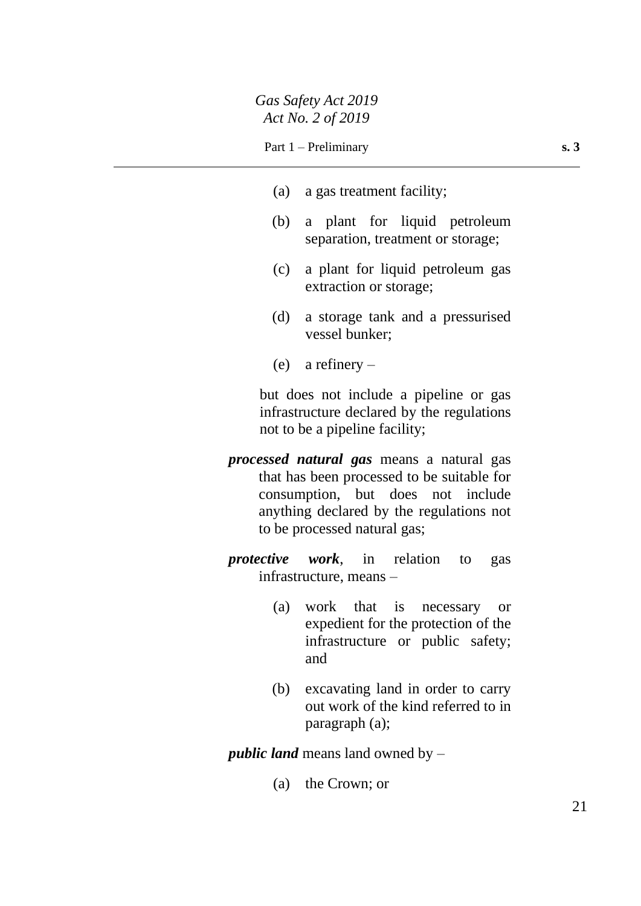- (a) a gas treatment facility;
- (b) a plant for liquid petroleum separation, treatment or storage;
- (c) a plant for liquid petroleum gas extraction or storage;
- (d) a storage tank and a pressurised vessel bunker;
- (e) a refinery –

but does not include a pipeline or gas infrastructure declared by the regulations not to be a pipeline facility;

- *processed natural gas* means a natural gas that has been processed to be suitable for consumption, but does not include anything declared by the regulations not to be processed natural gas;
- *protective work*, in relation to gas infrastructure, means –
	- (a) work that is necessary or expedient for the protection of the infrastructure or public safety; and
	- (b) excavating land in order to carry out work of the kind referred to in paragraph (a);

*public land* means land owned by –

(a) the Crown; or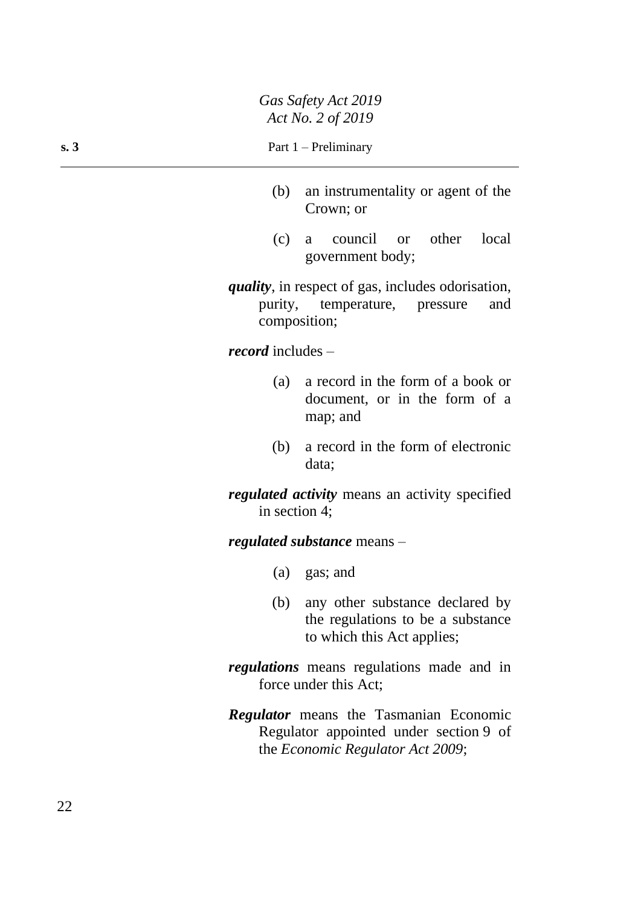- (b) an instrumentality or agent of the Crown; or
- (c) a council or other local government body;

*quality*, in respect of gas, includes odorisation, purity, temperature, pressure and composition;

*record* includes –

- (a) a record in the form of a book or document, or in the form of a map; and
- (b) a record in the form of electronic data;

*regulated activity* means an activity specified in section 4;

*regulated substance* means –

- (a) gas; and
- (b) any other substance declared by the regulations to be a substance to which this Act applies;
- *regulations* means regulations made and in force under this Act;
- *Regulator* means the Tasmanian Economic Regulator appointed under section 9 of the *Economic Regulator Act 2009*;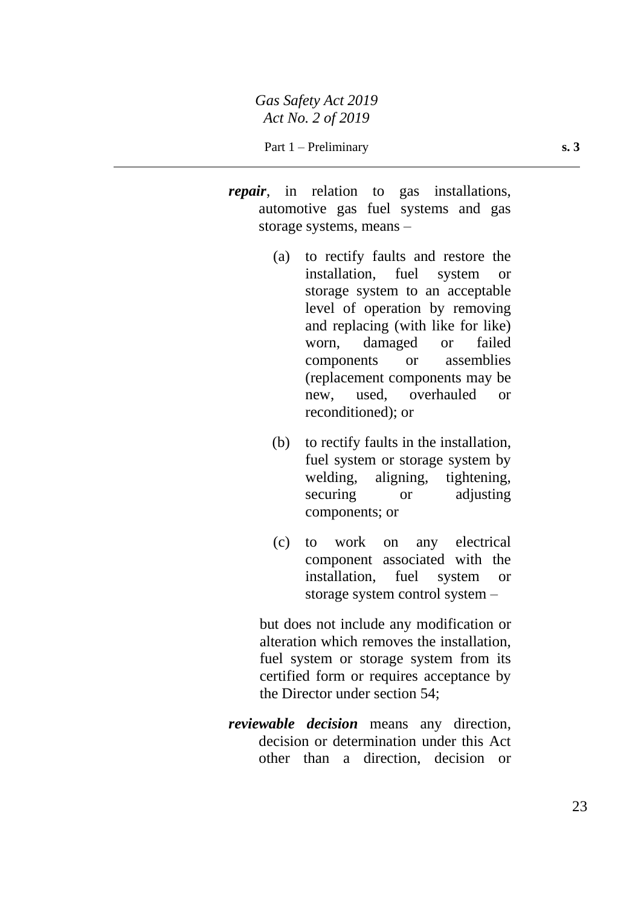- *repair*, in relation to gas installations, automotive gas fuel systems and gas storage systems, means –
	- (a) to rectify faults and restore the installation, fuel system or storage system to an acceptable level of operation by removing and replacing (with like for like) worn, damaged or failed components or assemblies (replacement components may be new, used, overhauled or reconditioned); or
	- (b) to rectify faults in the installation, fuel system or storage system by welding, aligning, tightening, securing or adjusting components; or
	- (c) to work on any electrical component associated with the installation, fuel system or storage system control system –

but does not include any modification or alteration which removes the installation, fuel system or storage system from its certified form or requires acceptance by the Director under section 54;

*reviewable decision* means any direction, decision or determination under this Act other than a direction, decision or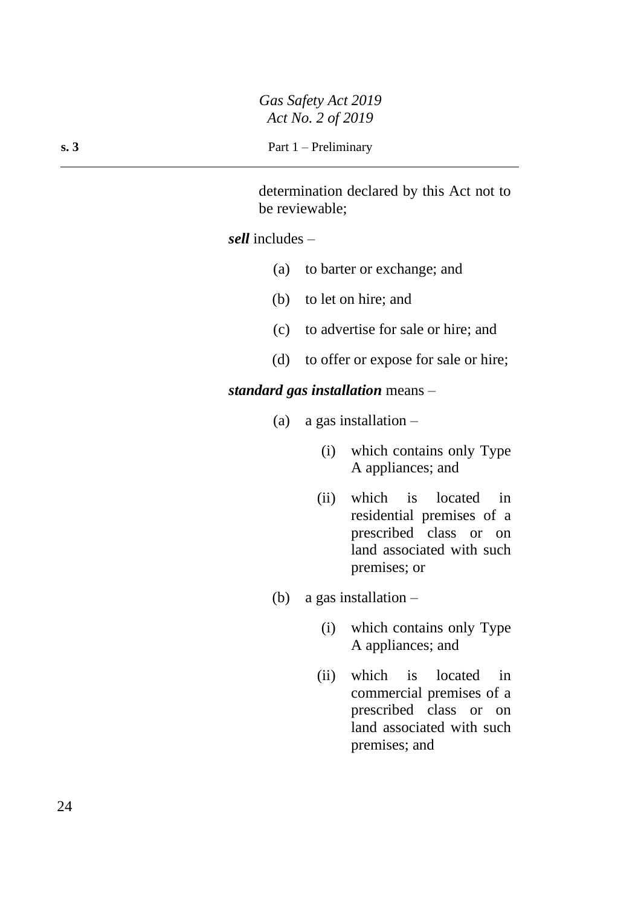determination declared by this Act not to be reviewable;

## *sell* includes –

- (a) to barter or exchange; and
- (b) to let on hire; and
- (c) to advertise for sale or hire; and
- (d) to offer or expose for sale or hire;

## *standard gas installation* means –

- (a) a gas installation
	- (i) which contains only Type A appliances; and
	- (ii) which is located in residential premises of a prescribed class or on land associated with such premises; or
- (b) a gas installation  $-$ 
	- (i) which contains only Type A appliances; and
	- (ii) which is located in commercial premises of a prescribed class or on land associated with such premises; and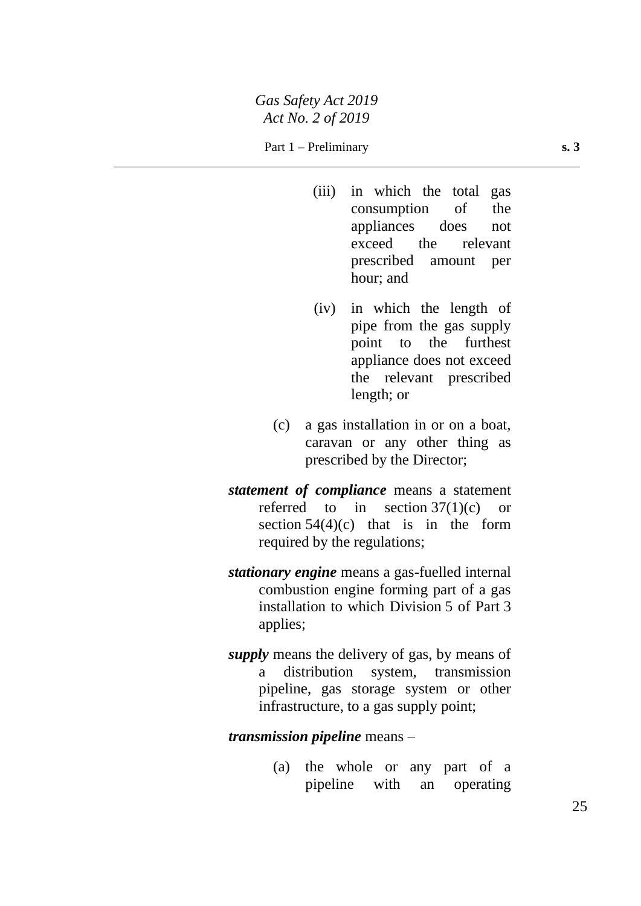- (iii) in which the total gas consumption of the appliances does not exceed the relevant prescribed amount per hour; and
- (iv) in which the length of pipe from the gas supply point to the furthest appliance does not exceed the relevant prescribed length; or
- (c) a gas installation in or on a boat, caravan or any other thing as prescribed by the Director;
- *statement of compliance* means a statement referred to in section 37(1)(c) or section  $54(4)(c)$  that is in the form required by the regulations;
- *stationary engine* means a gas-fuelled internal combustion engine forming part of a gas installation to which Division 5 of Part 3 applies;
- *supply* means the delivery of gas, by means of a distribution system, transmission pipeline, gas storage system or other infrastructure, to a gas supply point;

### *transmission pipeline* means –

(a) the whole or any part of a pipeline with an operating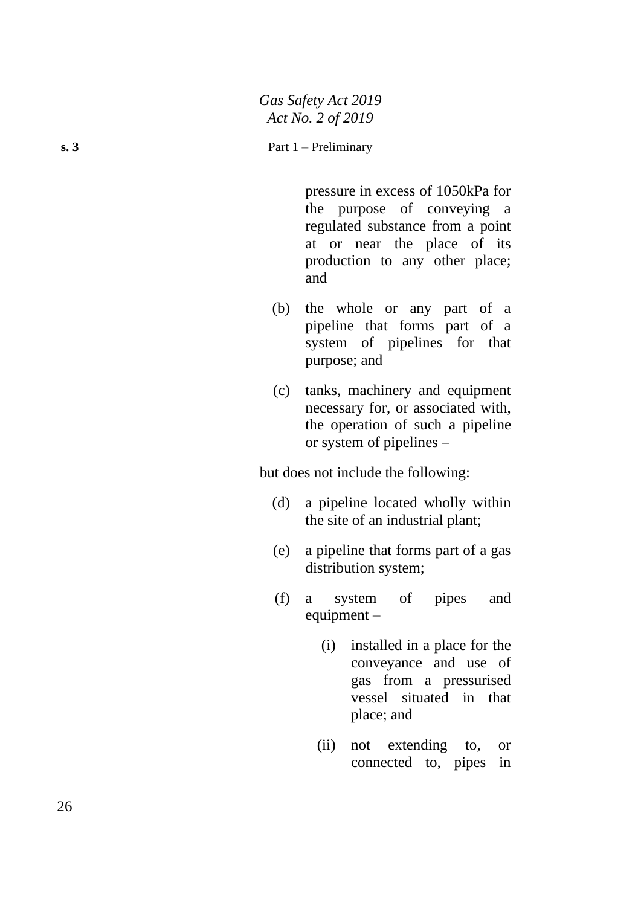pressure in excess of 1050kPa for the purpose of conveying a regulated substance from a point at or near the place of its production to any other place; and

- (b) the whole or any part of a pipeline that forms part of a system of pipelines for that purpose; and
- (c) tanks, machinery and equipment necessary for, or associated with, the operation of such a pipeline or system of pipelines –

but does not include the following:

- (d) a pipeline located wholly within the site of an industrial plant;
- (e) a pipeline that forms part of a gas distribution system;
- (f) a system of pipes and equipment –
	- (i) installed in a place for the conveyance and use of gas from a pressurised vessel situated in that place; and
	- (ii) not extending to, or connected to, pipes in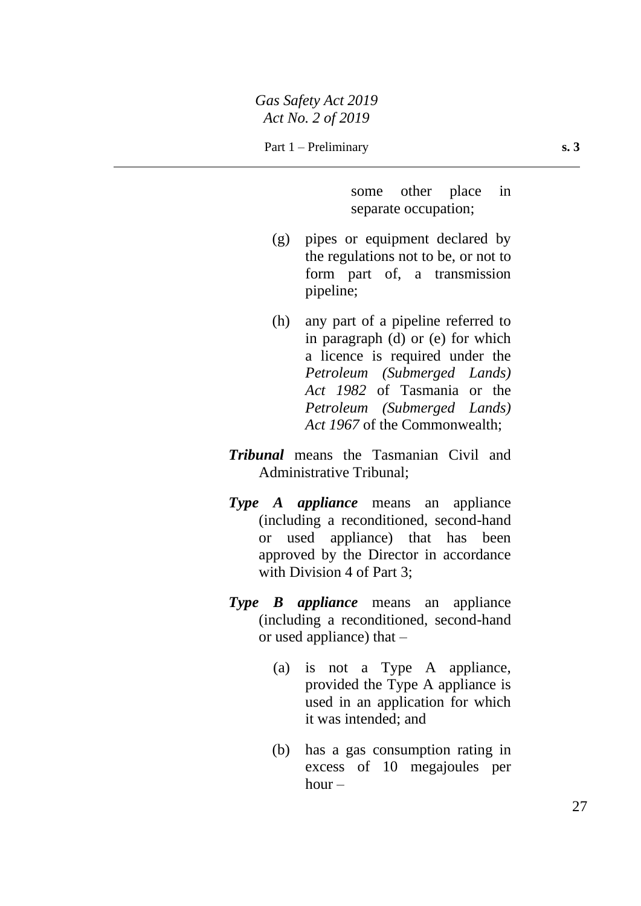Part 1 – Preliminary **s. 3** 

some other place in separate occupation;

- (g) pipes or equipment declared by the regulations not to be, or not to form part of, a transmission pipeline;
- (h) any part of a pipeline referred to in paragraph (d) or (e) for which a licence is required under the *Petroleum (Submerged Lands) Act 1982* of Tasmania or the *Petroleum (Submerged Lands) Act 1967* of the Commonwealth;
- *Tribunal* means the Tasmanian Civil and Administrative Tribunal;
- *Type A appliance* means an appliance (including a reconditioned, second-hand or used appliance) that has been approved by the Director in accordance with Division 4 of Part 3:
- *Type B appliance* means an appliance (including a reconditioned, second-hand or used appliance) that –
	- (a) is not a Type A appliance, provided the Type A appliance is used in an application for which it was intended; and
	- (b) has a gas consumption rating in excess of 10 megajoules per  $hour -$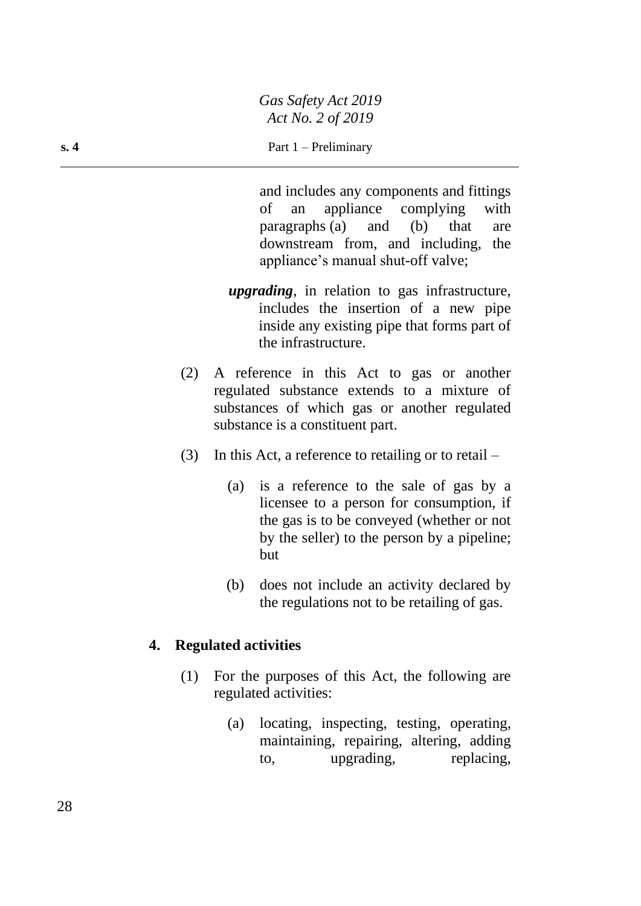### **s. 4** Part 1 – Preliminary

and includes any components and fittings of an appliance complying with paragraphs (a) and (b) that are downstream from, and including, the appliance's manual shut-off valve;

- *upgrading*, in relation to gas infrastructure, includes the insertion of a new pipe inside any existing pipe that forms part of the infrastructure.
- (2) A reference in this Act to gas or another regulated substance extends to a mixture of substances of which gas or another regulated substance is a constituent part.
- (3) In this Act, a reference to retailing or to retail
	- (a) is a reference to the sale of gas by a licensee to a person for consumption, if the gas is to be conveyed (whether or not by the seller) to the person by a pipeline; but
	- (b) does not include an activity declared by the regulations not to be retailing of gas.

## **4. Regulated activities**

- (1) For the purposes of this Act, the following are regulated activities:
	- (a) locating, inspecting, testing, operating, maintaining, repairing, altering, adding to, upgrading, replacing,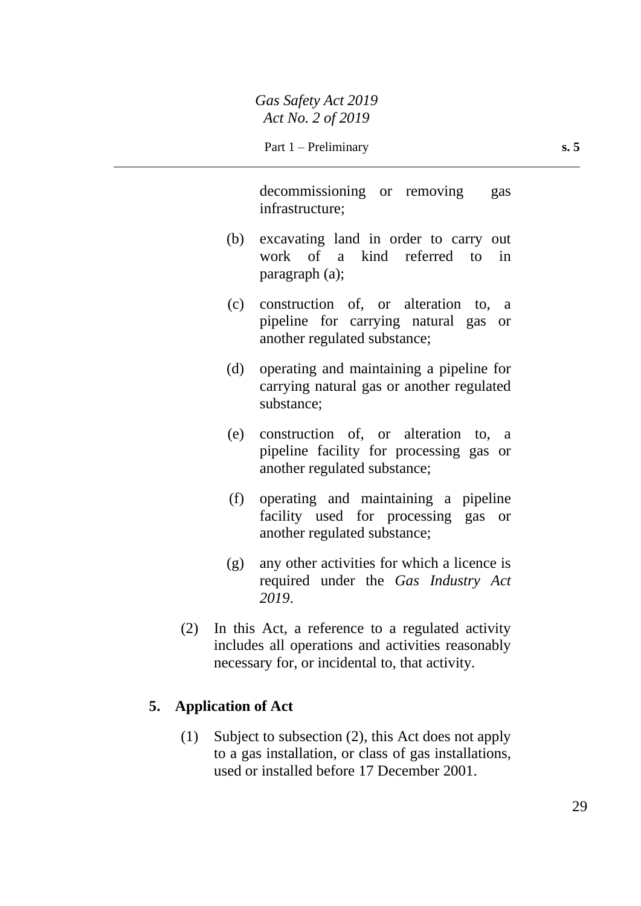decommissioning or removing gas infrastructure;

- (b) excavating land in order to carry out work of a kind referred to in paragraph (a);
- (c) construction of, or alteration to, a pipeline for carrying natural gas or another regulated substance;
- (d) operating and maintaining a pipeline for carrying natural gas or another regulated substance;
- (e) construction of, or alteration to, a pipeline facility for processing gas or another regulated substance;
- (f) operating and maintaining a pipeline facility used for processing gas or another regulated substance;
- (g) any other activities for which a licence is required under the *Gas Industry Act 2019*.
- (2) In this Act, a reference to a regulated activity includes all operations and activities reasonably necessary for, or incidental to, that activity.

## **5. Application of Act**

(1) Subject to subsection (2), this Act does not apply to a gas installation, or class of gas installations, used or installed before 17 December 2001.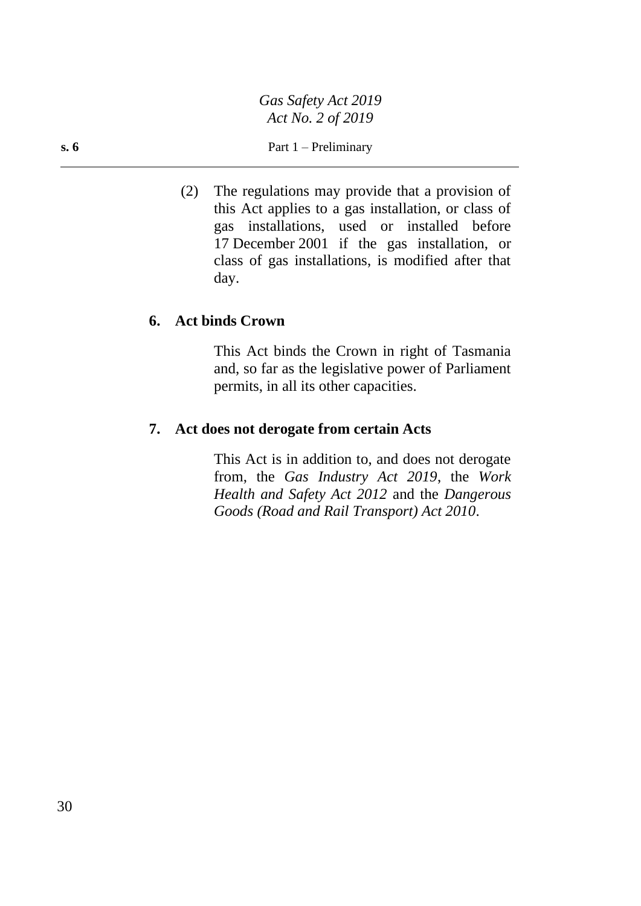(2) The regulations may provide that a provision of this Act applies to a gas installation, or class of gas installations, used or installed before 17 December 2001 if the gas installation, or class of gas installations, is modified after that day.

## **6. Act binds Crown**

This Act binds the Crown in right of Tasmania and, so far as the legislative power of Parliament permits, in all its other capacities.

## **7. Act does not derogate from certain Acts**

This Act is in addition to, and does not derogate from, the *Gas Industry Act 2019*, the *Work Health and Safety Act 2012* and the *Dangerous Goods (Road and Rail Transport) Act 2010*.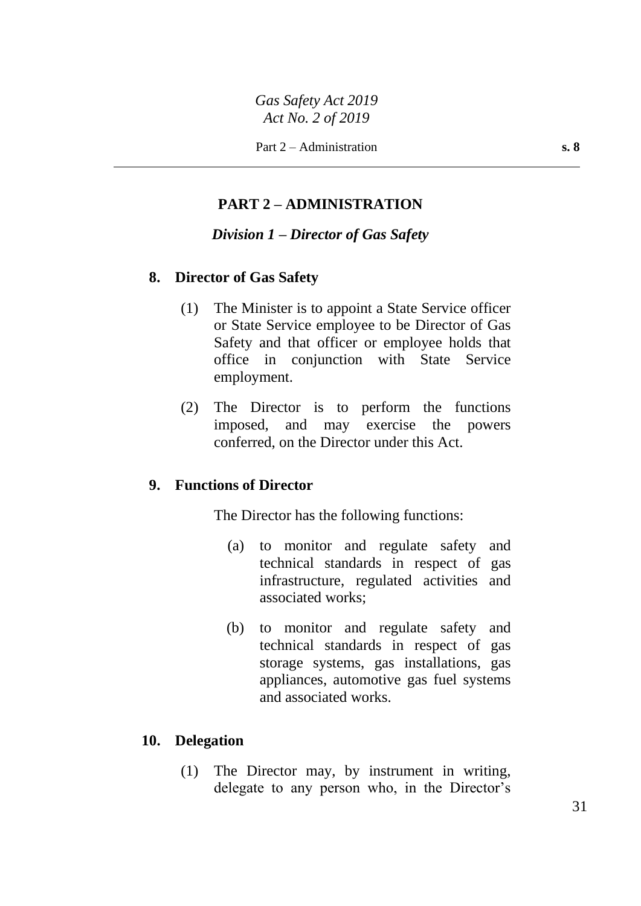## **PART 2 – ADMINISTRATION**

### *Division 1 – Director of Gas Safety*

### **8. Director of Gas Safety**

- (1) The Minister is to appoint a State Service officer or State Service employee to be Director of Gas Safety and that officer or employee holds that office in conjunction with State Service employment.
- (2) The Director is to perform the functions imposed, and may exercise the powers conferred, on the Director under this Act.

## **9. Functions of Director**

The Director has the following functions:

- (a) to monitor and regulate safety and technical standards in respect of gas infrastructure, regulated activities and associated works;
- (b) to monitor and regulate safety and technical standards in respect of gas storage systems, gas installations, gas appliances, automotive gas fuel systems and associated works.

### **10. Delegation**

(1) The Director may, by instrument in writing, delegate to any person who, in the Director's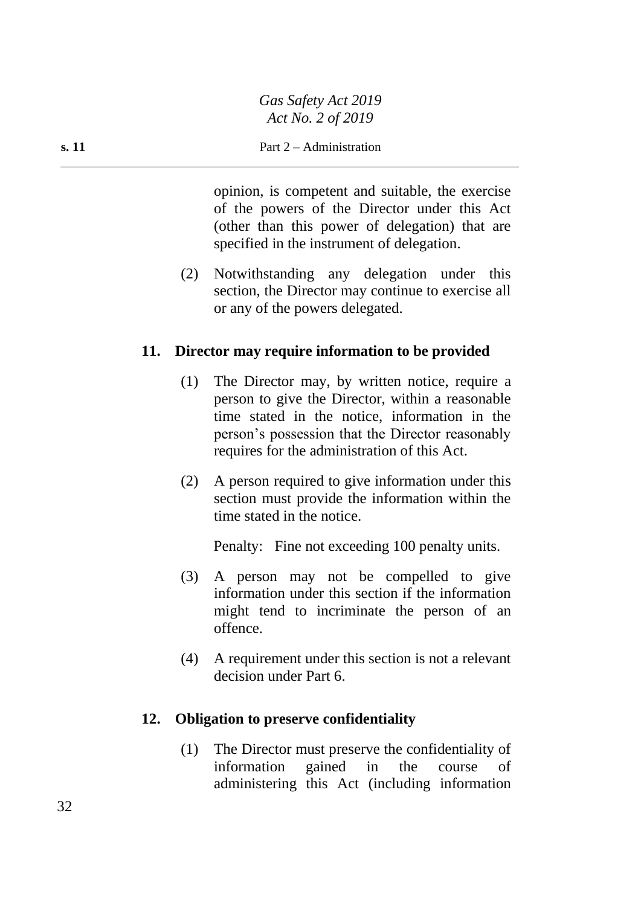### **s. 11** Part 2 – Administration

opinion, is competent and suitable, the exercise of the powers of the Director under this Act (other than this power of delegation) that are specified in the instrument of delegation.

(2) Notwithstanding any delegation under this section, the Director may continue to exercise all or any of the powers delegated.

## **11. Director may require information to be provided**

- (1) The Director may, by written notice, require a person to give the Director, within a reasonable time stated in the notice, information in the person's possession that the Director reasonably requires for the administration of this Act.
- (2) A person required to give information under this section must provide the information within the time stated in the notice.

Penalty: Fine not exceeding 100 penalty units.

- (3) A person may not be compelled to give information under this section if the information might tend to incriminate the person of an offence.
- (4) A requirement under this section is not a relevant decision under Part 6.

## **12. Obligation to preserve confidentiality**

(1) The Director must preserve the confidentiality of information gained in the course of administering this Act (including information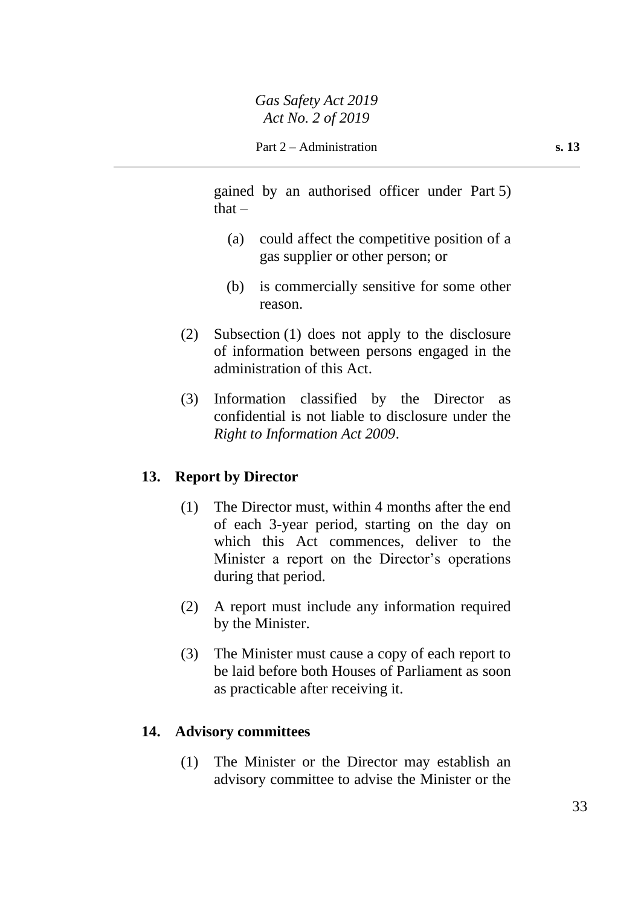gained by an authorised officer under Part 5)  $that -$ 

- (a) could affect the competitive position of a gas supplier or other person; or
- (b) is commercially sensitive for some other reason.
- (2) Subsection (1) does not apply to the disclosure of information between persons engaged in the administration of this Act.
- (3) Information classified by the Director as confidential is not liable to disclosure under the *Right to Information Act 2009*.

## **13. Report by Director**

- (1) The Director must, within 4 months after the end of each 3-year period, starting on the day on which this Act commences, deliver to the Minister a report on the Director's operations during that period.
- (2) A report must include any information required by the Minister.
- (3) The Minister must cause a copy of each report to be laid before both Houses of Parliament as soon as practicable after receiving it.

## **14. Advisory committees**

(1) The Minister or the Director may establish an advisory committee to advise the Minister or the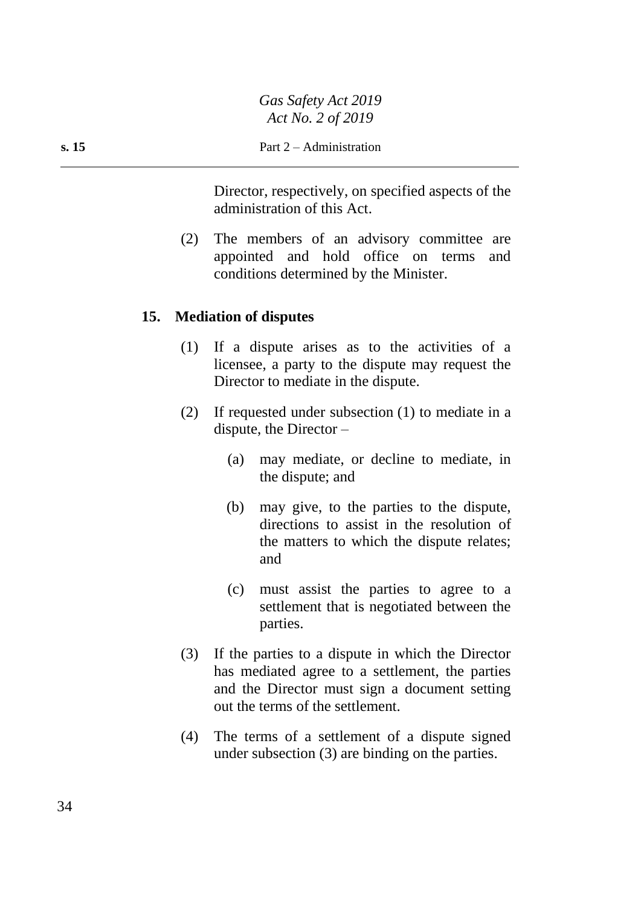Director, respectively, on specified aspects of the administration of this Act.

(2) The members of an advisory committee are appointed and hold office on terms and conditions determined by the Minister.

## **15. Mediation of disputes**

- (1) If a dispute arises as to the activities of a licensee, a party to the dispute may request the Director to mediate in the dispute.
- (2) If requested under subsection (1) to mediate in a dispute, the Director  $-$ 
	- (a) may mediate, or decline to mediate, in the dispute; and
	- (b) may give, to the parties to the dispute, directions to assist in the resolution of the matters to which the dispute relates; and
	- (c) must assist the parties to agree to a settlement that is negotiated between the parties.
- (3) If the parties to a dispute in which the Director has mediated agree to a settlement, the parties and the Director must sign a document setting out the terms of the settlement.
- (4) The terms of a settlement of a dispute signed under subsection (3) are binding on the parties.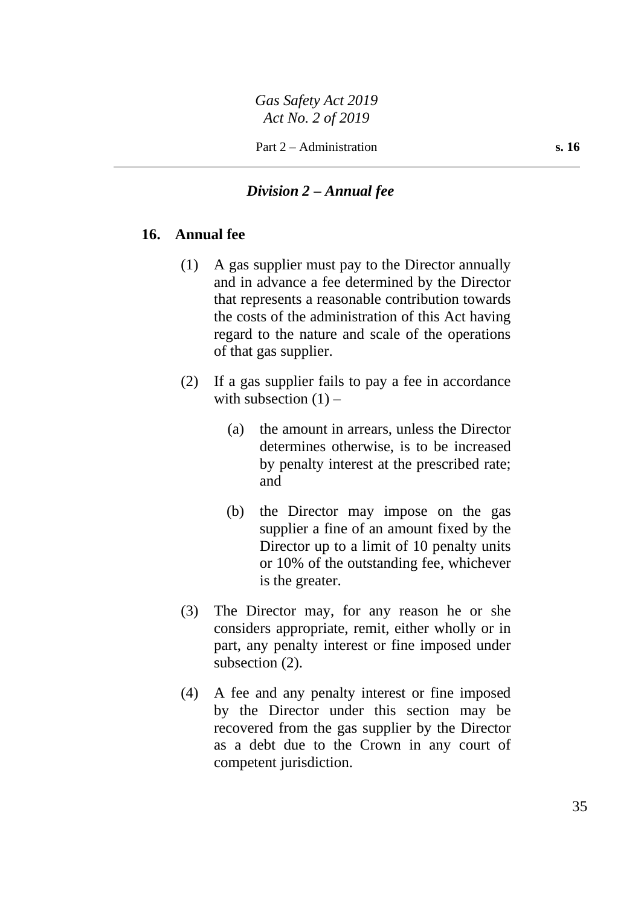### *Division 2 – Annual fee*

### **16. Annual fee**

- (1) A gas supplier must pay to the Director annually and in advance a fee determined by the Director that represents a reasonable contribution towards the costs of the administration of this Act having regard to the nature and scale of the operations of that gas supplier.
- (2) If a gas supplier fails to pay a fee in accordance with subsection  $(1)$  –
	- (a) the amount in arrears, unless the Director determines otherwise, is to be increased by penalty interest at the prescribed rate; and
	- (b) the Director may impose on the gas supplier a fine of an amount fixed by the Director up to a limit of 10 penalty units or 10% of the outstanding fee, whichever is the greater.
- (3) The Director may, for any reason he or she considers appropriate, remit, either wholly or in part, any penalty interest or fine imposed under subsection  $(2)$ .
- (4) A fee and any penalty interest or fine imposed by the Director under this section may be recovered from the gas supplier by the Director as a debt due to the Crown in any court of competent jurisdiction.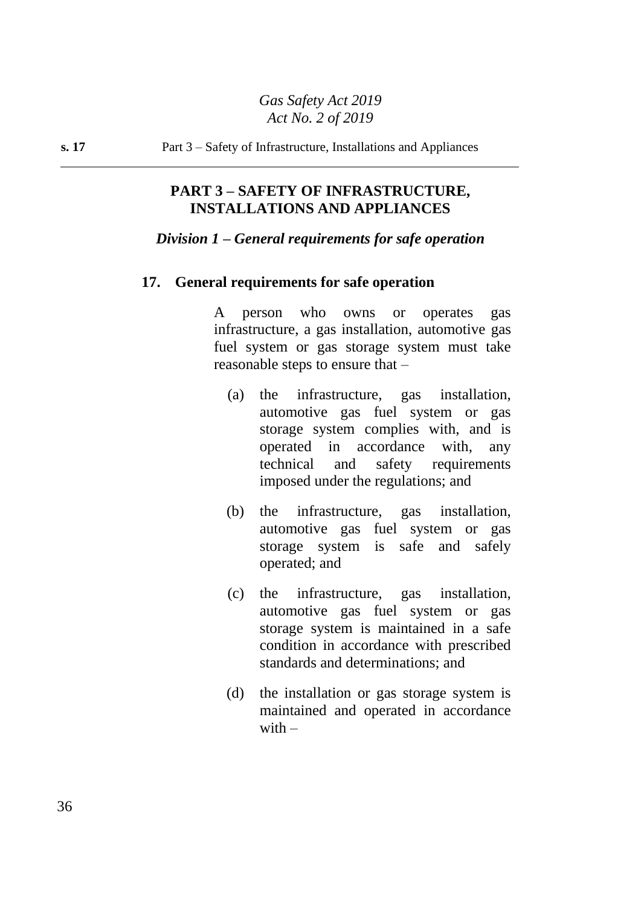**s. 17** Part 3 – Safety of Infrastructure, Installations and Appliances

## **PART 3 – SAFETY OF INFRASTRUCTURE, INSTALLATIONS AND APPLIANCES**

### *Division 1 – General requirements for safe operation*

### **17. General requirements for safe operation**

A person who owns or operates gas infrastructure, a gas installation, automotive gas fuel system or gas storage system must take reasonable steps to ensure that –

- (a) the infrastructure, gas installation, automotive gas fuel system or gas storage system complies with, and is operated in accordance with, any technical and safety requirements imposed under the regulations; and
- (b) the infrastructure, gas installation, automotive gas fuel system or gas storage system is safe and safely operated; and
- (c) the infrastructure, gas installation, automotive gas fuel system or gas storage system is maintained in a safe condition in accordance with prescribed standards and determinations; and
- (d) the installation or gas storage system is maintained and operated in accordance with  $-$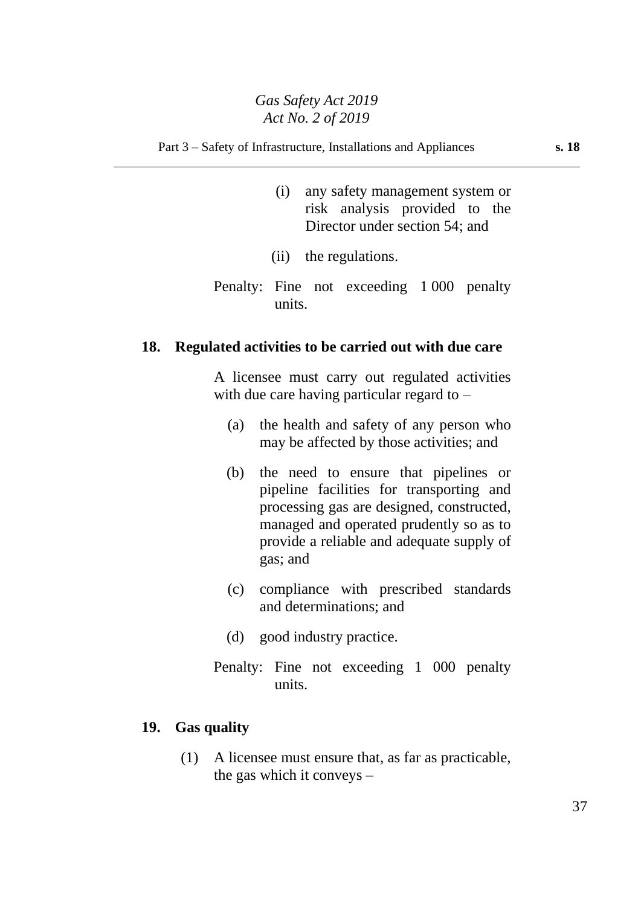#### Part 3 – Safety of Infrastructure, Installations and Appliances **s. 18**

- (i) any safety management system or risk analysis provided to the Director under section 54; and
- (ii) the regulations.
- Penalty: Fine not exceeding 1 000 penalty units.

### **18. Regulated activities to be carried out with due care**

A licensee must carry out regulated activities with due care having particular regard to  $-$ 

- (a) the health and safety of any person who may be affected by those activities; and
- (b) the need to ensure that pipelines or pipeline facilities for transporting and processing gas are designed, constructed, managed and operated prudently so as to provide a reliable and adequate supply of gas; and
- (c) compliance with prescribed standards and determinations; and
- (d) good industry practice.
- Penalty: Fine not exceeding 1 000 penalty units.

### **19. Gas quality**

(1) A licensee must ensure that, as far as practicable, the gas which it conveys –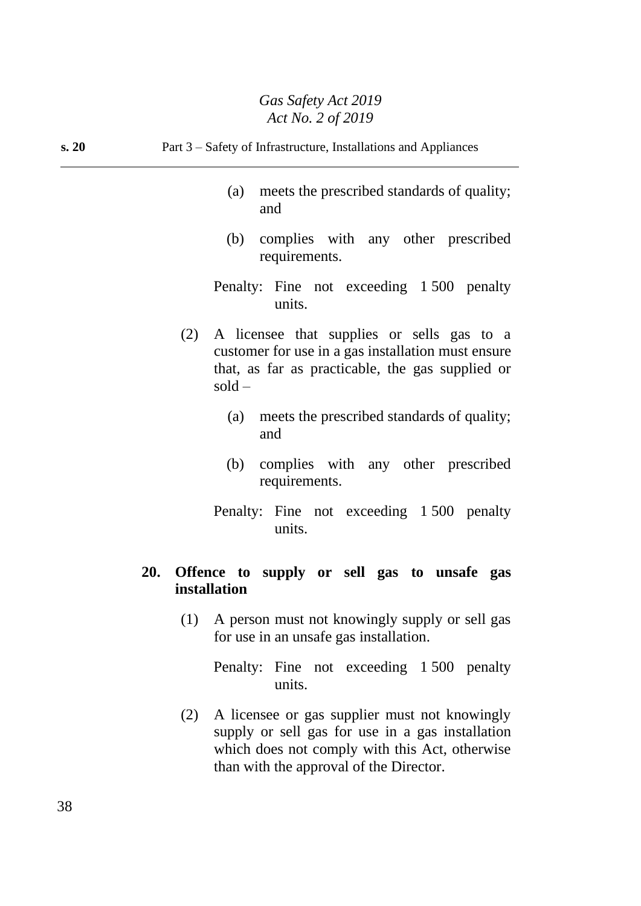| s. 20 | Part 3 – Safety of Infrastructure, Installations and Appliances                                                                                                                |
|-------|--------------------------------------------------------------------------------------------------------------------------------------------------------------------------------|
|       | meets the prescribed standards of quality;<br>(a)<br>and                                                                                                                       |
|       | (b)<br>complies with any other prescribed<br>requirements.                                                                                                                     |
|       | Penalty: Fine not exceeding 1500 penalty<br>units.                                                                                                                             |
|       | (2)<br>A licensee that supplies or sells gas to a<br>customer for use in a gas installation must ensure<br>that, as far as practicable, the gas supplied or<br>$\text{gold}$ – |
|       | meets the prescribed standards of quality;<br>(a)<br>and                                                                                                                       |
|       | complies with any other prescribed<br>(b)<br>requirements.                                                                                                                     |
|       | Penalty: Fine not exceeding 1500 penalty<br>units.                                                                                                                             |
|       | 20.<br>Offence to supply or sell gas to unsafe gas<br>installation                                                                                                             |
|       | A person must not knowingly supply or sell gas<br>(1)<br>for use in an unsafe gas installation.                                                                                |
|       | Penalty: Fine not exceeding 1500 penalty<br>units.                                                                                                                             |
|       | A licensee or gas supplier must not knowingly<br>(2)<br>supply or sell gas for use in a gas installation<br>which does not comply with this Act, otherwise                     |

than with the approval of the Director.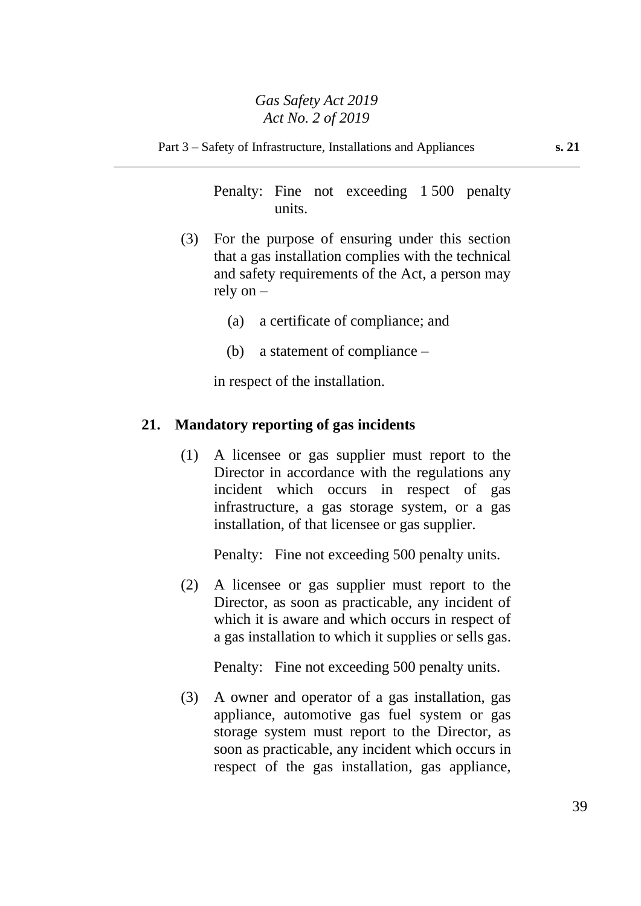Part 3 – Safety of Infrastructure, Installations and Appliances **s. 21**

Penalty: Fine not exceeding 1 500 penalty units.

- (3) For the purpose of ensuring under this section that a gas installation complies with the technical and safety requirements of the Act, a person may rely on –
	- (a) a certificate of compliance; and
	- (b) a statement of compliance –

in respect of the installation.

### **21. Mandatory reporting of gas incidents**

(1) A licensee or gas supplier must report to the Director in accordance with the regulations any incident which occurs in respect of gas infrastructure, a gas storage system, or a gas installation, of that licensee or gas supplier.

Penalty: Fine not exceeding 500 penalty units.

(2) A licensee or gas supplier must report to the Director, as soon as practicable, any incident of which it is aware and which occurs in respect of a gas installation to which it supplies or sells gas.

Penalty: Fine not exceeding 500 penalty units.

(3) A owner and operator of a gas installation, gas appliance, automotive gas fuel system or gas storage system must report to the Director, as soon as practicable, any incident which occurs in respect of the gas installation, gas appliance,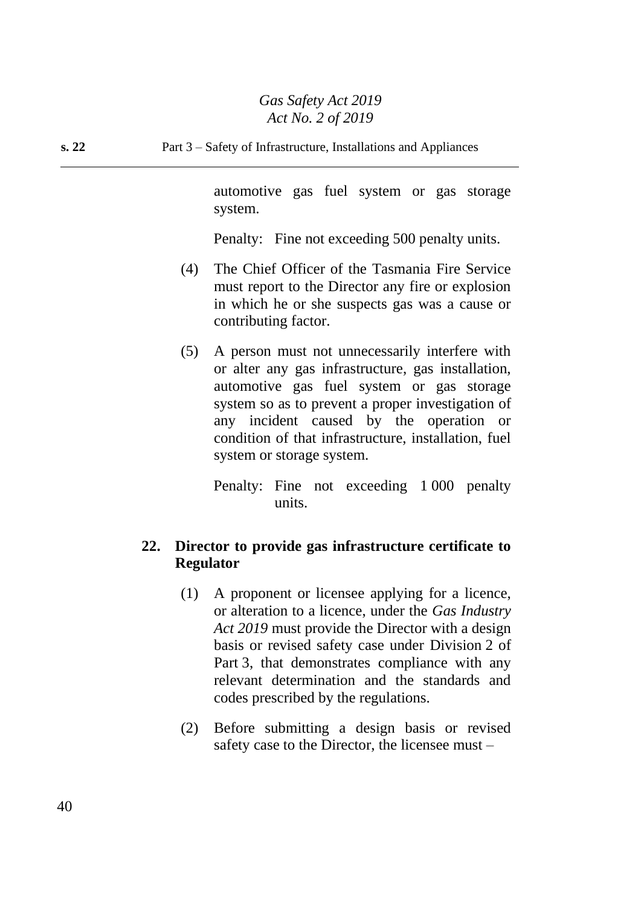# **s. 22** Part 3 – Safety of Infrastructure, Installations and Appliances

automotive gas fuel system or gas storage system.

Penalty: Fine not exceeding 500 penalty units.

- (4) The Chief Officer of the Tasmania Fire Service must report to the Director any fire or explosion in which he or she suspects gas was a cause or contributing factor.
- (5) A person must not unnecessarily interfere with or alter any gas infrastructure, gas installation, automotive gas fuel system or gas storage system so as to prevent a proper investigation of any incident caused by the operation or condition of that infrastructure, installation, fuel system or storage system.

Penalty: Fine not exceeding 1 000 penalty units.

# **22. Director to provide gas infrastructure certificate to Regulator**

- (1) A proponent or licensee applying for a licence, or alteration to a licence, under the *Gas Industry Act 2019* must provide the Director with a design basis or revised safety case under Division 2 of Part 3, that demonstrates compliance with any relevant determination and the standards and codes prescribed by the regulations.
- (2) Before submitting a design basis or revised safety case to the Director, the licensee must –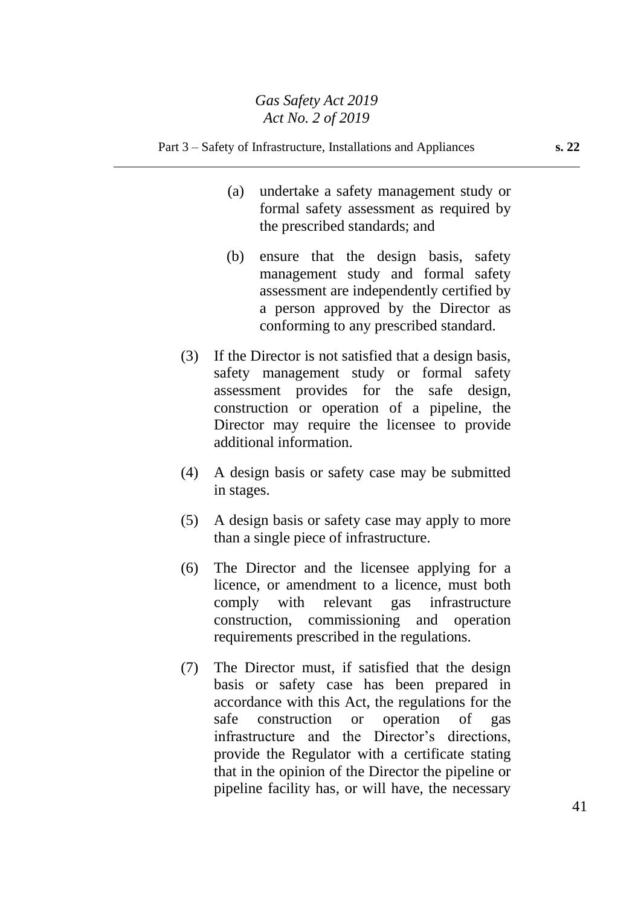#### Part 3 – Safety of Infrastructure, Installations and Appliances **s. 22**

- (a) undertake a safety management study or formal safety assessment as required by the prescribed standards; and
- (b) ensure that the design basis, safety management study and formal safety assessment are independently certified by a person approved by the Director as conforming to any prescribed standard.
- (3) If the Director is not satisfied that a design basis, safety management study or formal safety assessment provides for the safe design, construction or operation of a pipeline, the Director may require the licensee to provide additional information.
- (4) A design basis or safety case may be submitted in stages.
- (5) A design basis or safety case may apply to more than a single piece of infrastructure.
- (6) The Director and the licensee applying for a licence, or amendment to a licence, must both comply with relevant gas infrastructure construction, commissioning and operation requirements prescribed in the regulations.
- (7) The Director must, if satisfied that the design basis or safety case has been prepared in accordance with this Act, the regulations for the safe construction or operation of gas infrastructure and the Director's directions, provide the Regulator with a certificate stating that in the opinion of the Director the pipeline or pipeline facility has, or will have, the necessary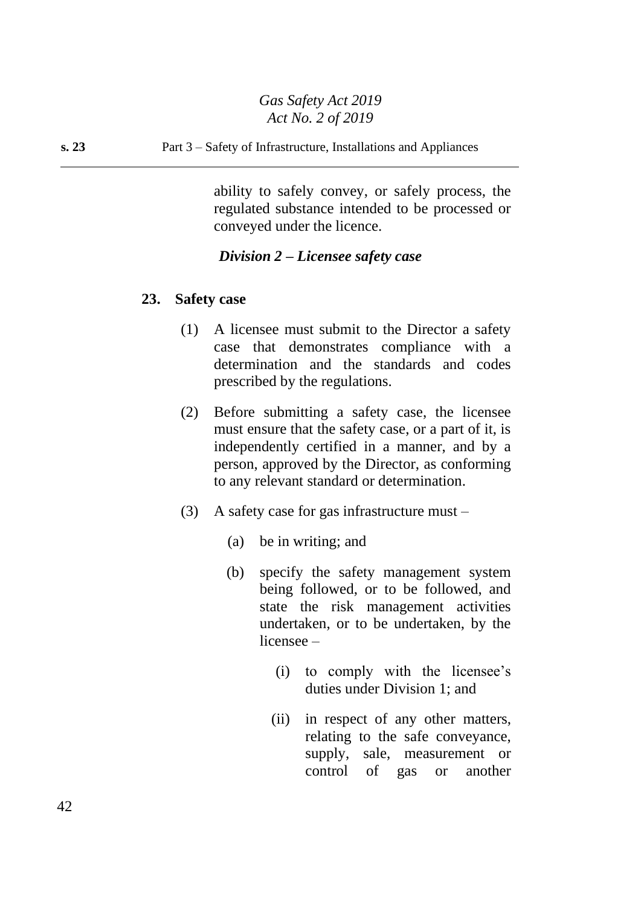**s. 23** Part 3 – Safety of Infrastructure, Installations and Appliances

ability to safely convey, or safely process, the regulated substance intended to be processed or conveyed under the licence.

# *Division 2 – Licensee safety case*

## **23. Safety case**

- (1) A licensee must submit to the Director a safety case that demonstrates compliance with a determination and the standards and codes prescribed by the regulations.
- (2) Before submitting a safety case, the licensee must ensure that the safety case, or a part of it, is independently certified in a manner, and by a person, approved by the Director, as conforming to any relevant standard or determination.
- (3) A safety case for gas infrastructure must
	- (a) be in writing; and
	- (b) specify the safety management system being followed, or to be followed, and state the risk management activities undertaken, or to be undertaken, by the licensee –
		- (i) to comply with the licensee's duties under Division 1; and
		- (ii) in respect of any other matters, relating to the safe conveyance, supply, sale, measurement or control of gas or another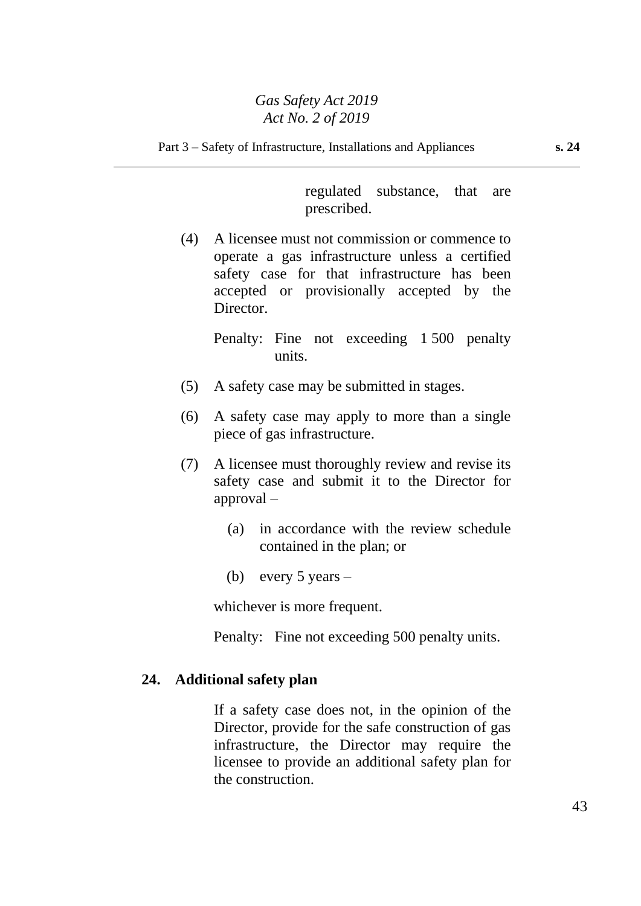regulated substance, that are prescribed.

(4) A licensee must not commission or commence to operate a gas infrastructure unless a certified safety case for that infrastructure has been accepted or provisionally accepted by the Director.

> Penalty: Fine not exceeding 1 500 penalty units.

- (5) A safety case may be submitted in stages.
- (6) A safety case may apply to more than a single piece of gas infrastructure.
- (7) A licensee must thoroughly review and revise its safety case and submit it to the Director for approval –
	- (a) in accordance with the review schedule contained in the plan; or
	- (b) every  $5$  years –

whichever is more frequent.

Penalty: Fine not exceeding 500 penalty units.

## **24. Additional safety plan**

If a safety case does not, in the opinion of the Director, provide for the safe construction of gas infrastructure, the Director may require the licensee to provide an additional safety plan for the construction.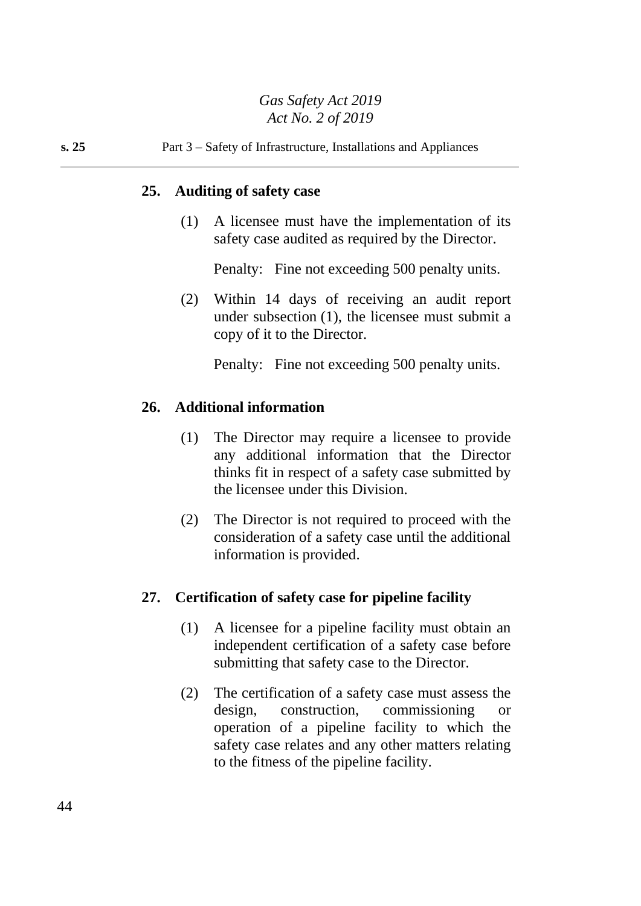# **s. 25** Part 3 – Safety of Infrastructure, Installations and Appliances

## **25. Auditing of safety case**

(1) A licensee must have the implementation of its safety case audited as required by the Director.

Penalty: Fine not exceeding 500 penalty units.

(2) Within 14 days of receiving an audit report under subsection (1), the licensee must submit a copy of it to the Director.

Penalty: Fine not exceeding 500 penalty units.

# **26. Additional information**

- (1) The Director may require a licensee to provide any additional information that the Director thinks fit in respect of a safety case submitted by the licensee under this Division.
- (2) The Director is not required to proceed with the consideration of a safety case until the additional information is provided.

# **27. Certification of safety case for pipeline facility**

- (1) A licensee for a pipeline facility must obtain an independent certification of a safety case before submitting that safety case to the Director.
- (2) The certification of a safety case must assess the design, construction, commissioning or operation of a pipeline facility to which the safety case relates and any other matters relating to the fitness of the pipeline facility.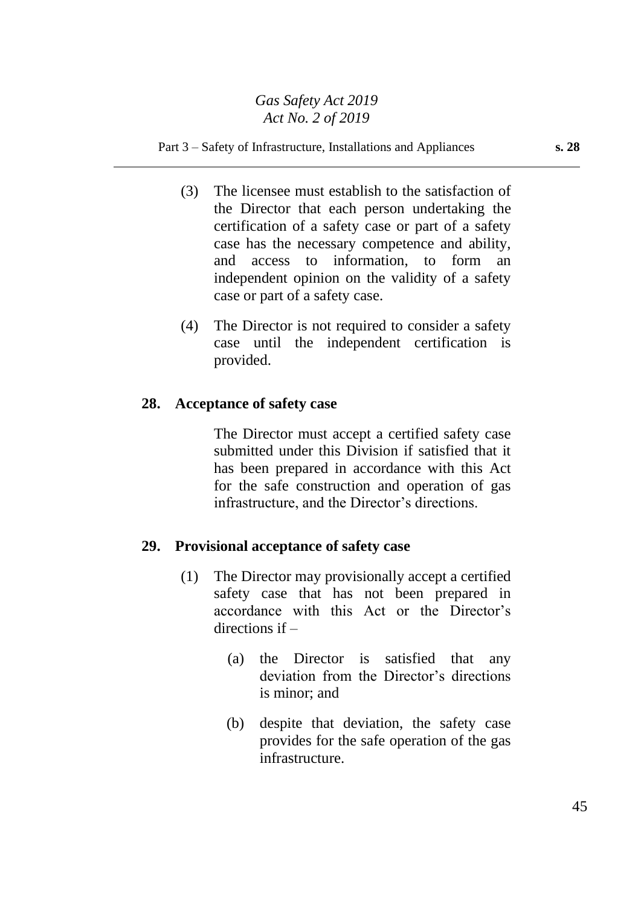#### Part 3 – Safety of Infrastructure, Installations and Appliances **s. 28**

- (3) The licensee must establish to the satisfaction of the Director that each person undertaking the certification of a safety case or part of a safety case has the necessary competence and ability, and access to information, to form an independent opinion on the validity of a safety case or part of a safety case.
- (4) The Director is not required to consider a safety case until the independent certification is provided.

### **28. Acceptance of safety case**

The Director must accept a certified safety case submitted under this Division if satisfied that it has been prepared in accordance with this Act for the safe construction and operation of gas infrastructure, and the Director's directions.

### **29. Provisional acceptance of safety case**

- (1) The Director may provisionally accept a certified safety case that has not been prepared in accordance with this Act or the Director's directions if –
	- (a) the Director is satisfied that any deviation from the Director's directions is minor; and
	- (b) despite that deviation, the safety case provides for the safe operation of the gas infrastructure.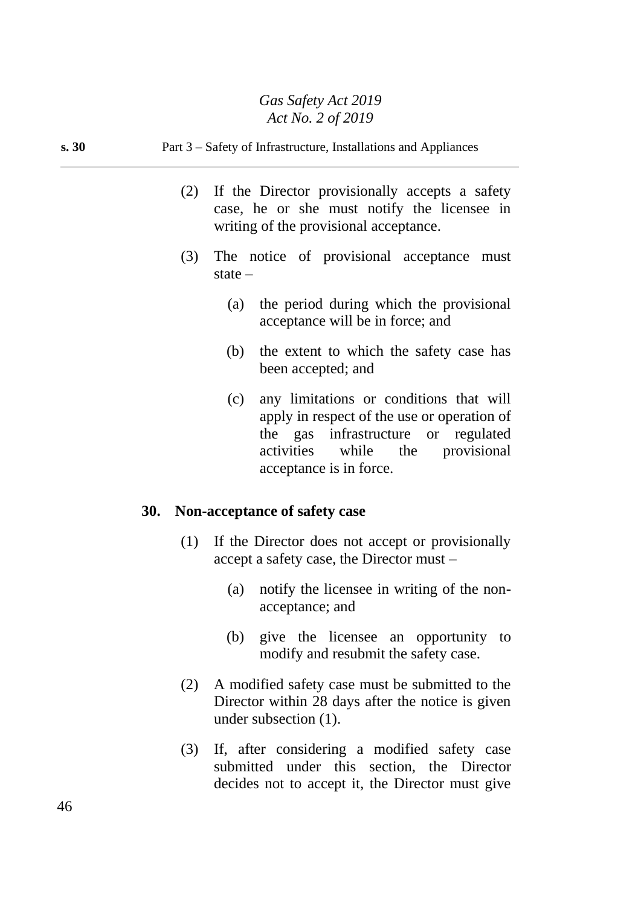# **s. 30** Part 3 – Safety of Infrastructure, Installations and Appliances

- (2) If the Director provisionally accepts a safety case, he or she must notify the licensee in writing of the provisional acceptance.
- (3) The notice of provisional acceptance must state –
	- (a) the period during which the provisional acceptance will be in force; and
	- (b) the extent to which the safety case has been accepted; and
	- (c) any limitations or conditions that will apply in respect of the use or operation of the gas infrastructure or regulated activities while the provisional acceptance is in force.

### **30. Non-acceptance of safety case**

- (1) If the Director does not accept or provisionally accept a safety case, the Director must –
	- (a) notify the licensee in writing of the nonacceptance; and
	- (b) give the licensee an opportunity to modify and resubmit the safety case.
- (2) A modified safety case must be submitted to the Director within 28 days after the notice is given under subsection (1).
- (3) If, after considering a modified safety case submitted under this section, the Director decides not to accept it, the Director must give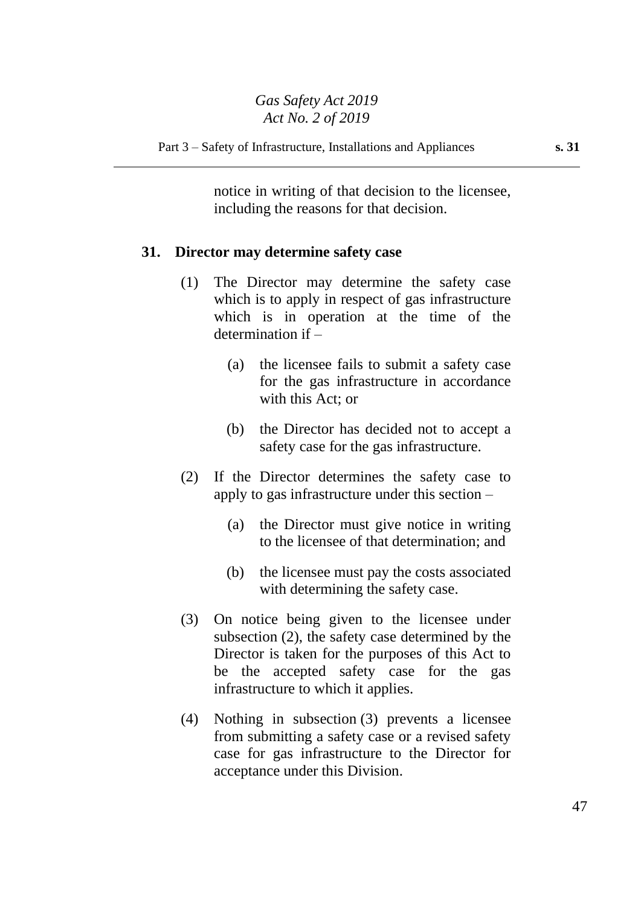notice in writing of that decision to the licensee, including the reasons for that decision.

### **31. Director may determine safety case**

- (1) The Director may determine the safety case which is to apply in respect of gas infrastructure which is in operation at the time of the determination if –
	- (a) the licensee fails to submit a safety case for the gas infrastructure in accordance with this Act; or
	- (b) the Director has decided not to accept a safety case for the gas infrastructure.
- (2) If the Director determines the safety case to apply to gas infrastructure under this section –
	- (a) the Director must give notice in writing to the licensee of that determination; and
	- (b) the licensee must pay the costs associated with determining the safety case.
- (3) On notice being given to the licensee under subsection (2), the safety case determined by the Director is taken for the purposes of this Act to be the accepted safety case for the gas infrastructure to which it applies.
- (4) Nothing in subsection (3) prevents a licensee from submitting a safety case or a revised safety case for gas infrastructure to the Director for acceptance under this Division.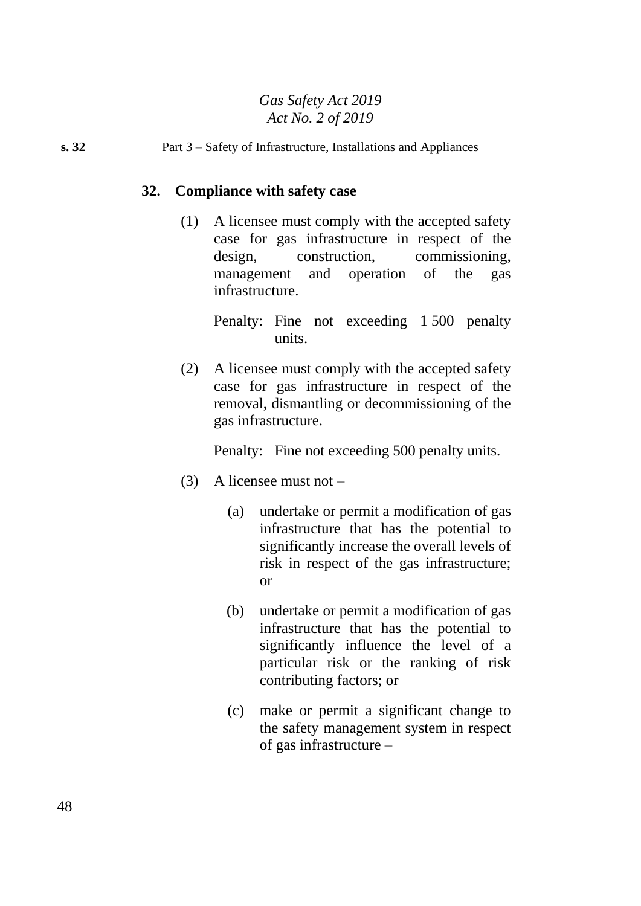### **s. 32** Part 3 – Safety of Infrastructure, Installations and Appliances

### **32. Compliance with safety case**

(1) A licensee must comply with the accepted safety case for gas infrastructure in respect of the design, construction, commissioning, management and operation of the gas infrastructure.

> Penalty: Fine not exceeding 1 500 penalty units.

(2) A licensee must comply with the accepted safety case for gas infrastructure in respect of the removal, dismantling or decommissioning of the gas infrastructure.

Penalty: Fine not exceeding 500 penalty units.

- (3) A licensee must not
	- (a) undertake or permit a modification of gas infrastructure that has the potential to significantly increase the overall levels of risk in respect of the gas infrastructure; or
	- (b) undertake or permit a modification of gas infrastructure that has the potential to significantly influence the level of a particular risk or the ranking of risk contributing factors; or
	- (c) make or permit a significant change to the safety management system in respect of gas infrastructure –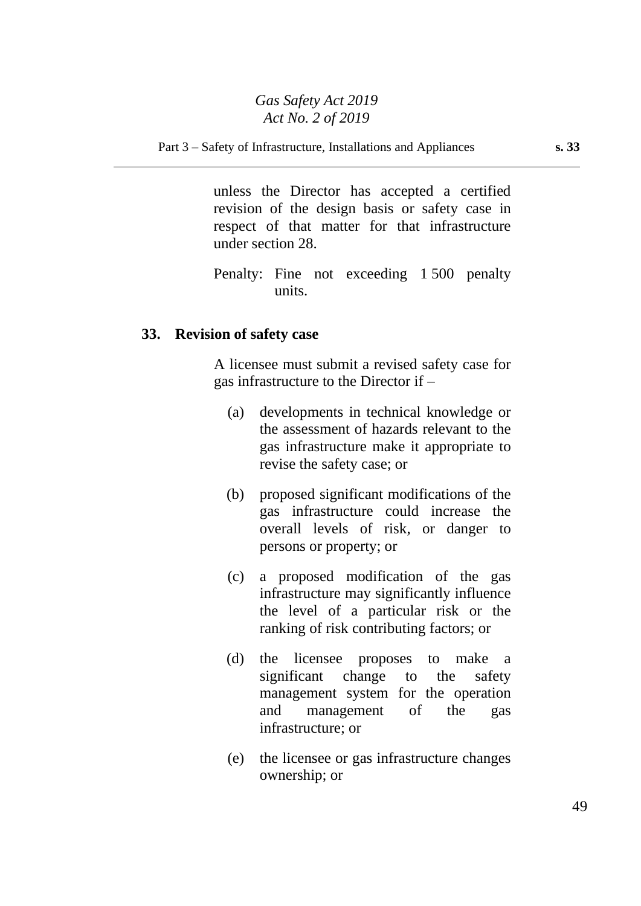unless the Director has accepted a certified revision of the design basis or safety case in respect of that matter for that infrastructure under section 28.

Penalty: Fine not exceeding 1 500 penalty units.

### **33. Revision of safety case**

A licensee must submit a revised safety case for gas infrastructure to the Director if –

- (a) developments in technical knowledge or the assessment of hazards relevant to the gas infrastructure make it appropriate to revise the safety case; or
- (b) proposed significant modifications of the gas infrastructure could increase the overall levels of risk, or danger to persons or property; or
- (c) a proposed modification of the gas infrastructure may significantly influence the level of a particular risk or the ranking of risk contributing factors; or
- (d) the licensee proposes to make a significant change to the safety management system for the operation and management of the gas infrastructure; or
- (e) the licensee or gas infrastructure changes ownership; or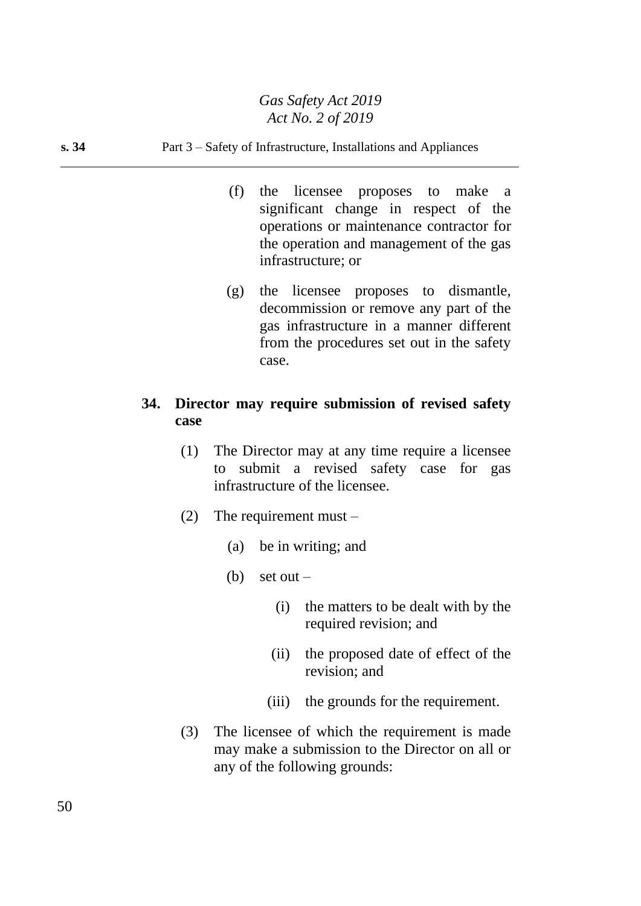#### **s. 34** Part 3 – Safety of Infrastructure, Installations and Appliances

- (f) the licensee proposes to make a significant change in respect of the operations or maintenance contractor for the operation and management of the gas infrastructure; or
- (g) the licensee proposes to dismantle, decommission or remove any part of the gas infrastructure in a manner different from the procedures set out in the safety case.

# **34. Director may require submission of revised safety case**

- (1) The Director may at any time require a licensee to submit a revised safety case for gas infrastructure of the licensee.
- (2) The requirement must  $-$ 
	- (a) be in writing; and
	- $(b)$  set out
		- (i) the matters to be dealt with by the required revision; and
		- (ii) the proposed date of effect of the revision; and
		- (iii) the grounds for the requirement.
- (3) The licensee of which the requirement is made may make a submission to the Director on all or any of the following grounds: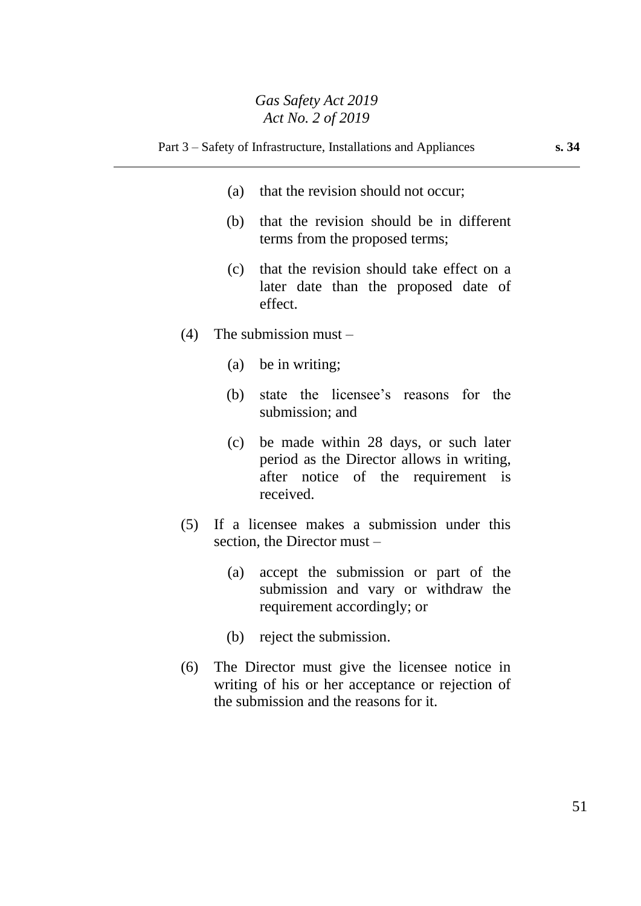- (a) that the revision should not occur;
- (b) that the revision should be in different terms from the proposed terms;
- (c) that the revision should take effect on a later date than the proposed date of effect.
- (4) The submission must
	- (a) be in writing;
	- (b) state the licensee's reasons for the submission; and
	- (c) be made within 28 days, or such later period as the Director allows in writing, after notice of the requirement is received.
- (5) If a licensee makes a submission under this section, the Director must –
	- (a) accept the submission or part of the submission and vary or withdraw the requirement accordingly; or
	- (b) reject the submission.
- (6) The Director must give the licensee notice in writing of his or her acceptance or rejection of the submission and the reasons for it.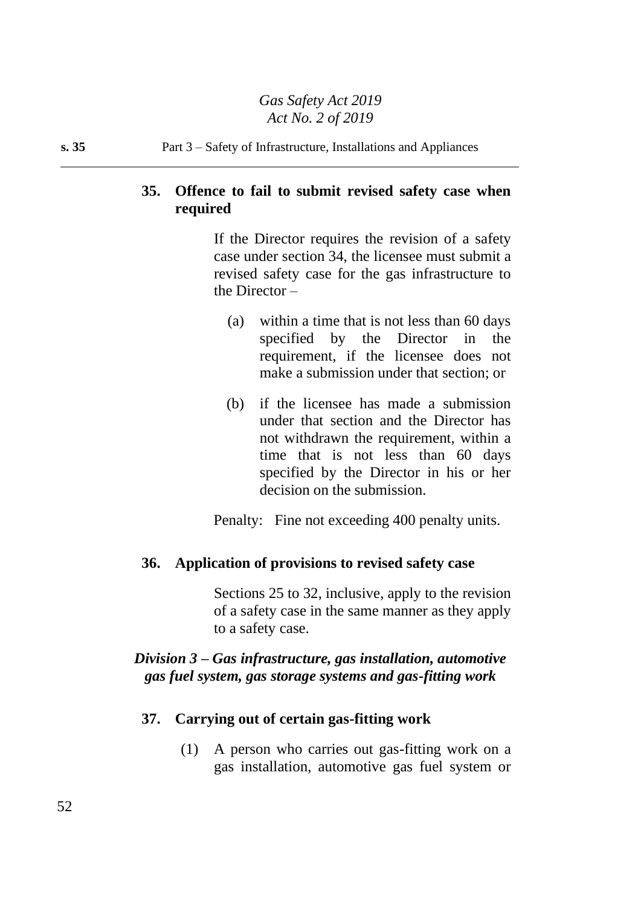**s. 35** Part 3 – Safety of Infrastructure, Installations and Appliances

# **35. Offence to fail to submit revised safety case when required**

If the Director requires the revision of a safety case under section 34, the licensee must submit a revised safety case for the gas infrastructure to the Director –

- (a) within a time that is not less than 60 days specified by the Director in the requirement, if the licensee does not make a submission under that section; or
- (b) if the licensee has made a submission under that section and the Director has not withdrawn the requirement, within a time that is not less than 60 days specified by the Director in his or her decision on the submission.

Penalty: Fine not exceeding 400 penalty units.

# **36. Application of provisions to revised safety case**

Sections 25 to 32, inclusive, apply to the revision of a safety case in the same manner as they apply to a safety case.

# *Division 3 – Gas infrastructure, gas installation, automotive gas fuel system, gas storage systems and gas-fitting work*

# **37. Carrying out of certain gas-fitting work**

(1) A person who carries out gas-fitting work on a gas installation, automotive gas fuel system or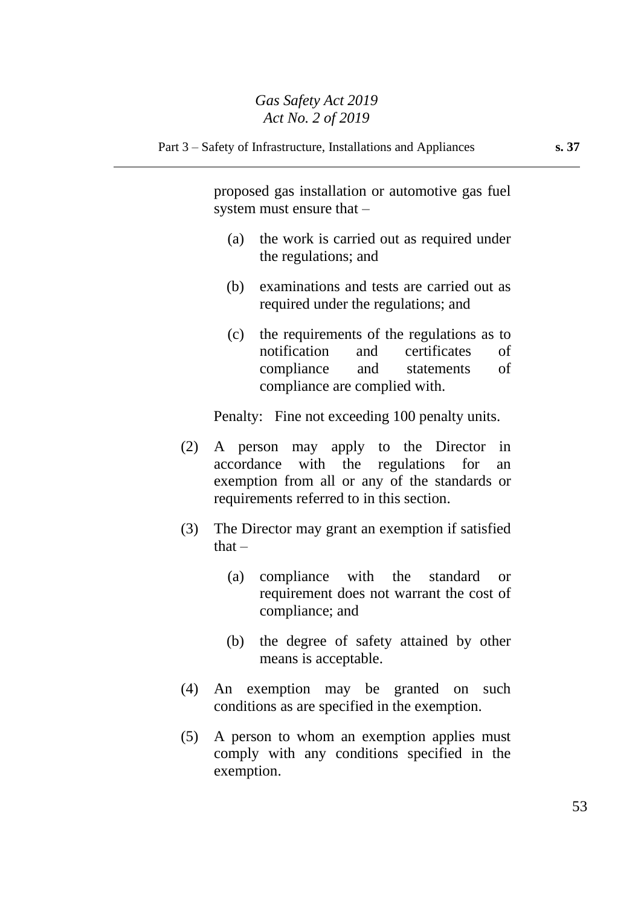proposed gas installation or automotive gas fuel system must ensure that –

- (a) the work is carried out as required under the regulations; and
- (b) examinations and tests are carried out as required under the regulations; and
- (c) the requirements of the regulations as to notification and certificates of compliance and statements of compliance are complied with.

Penalty: Fine not exceeding 100 penalty units.

- (2) A person may apply to the Director in accordance with the regulations for an exemption from all or any of the standards or requirements referred to in this section.
- (3) The Director may grant an exemption if satisfied  $that -$ 
	- (a) compliance with the standard or requirement does not warrant the cost of compliance; and
	- (b) the degree of safety attained by other means is acceptable.
- (4) An exemption may be granted on such conditions as are specified in the exemption.
- (5) A person to whom an exemption applies must comply with any conditions specified in the exemption.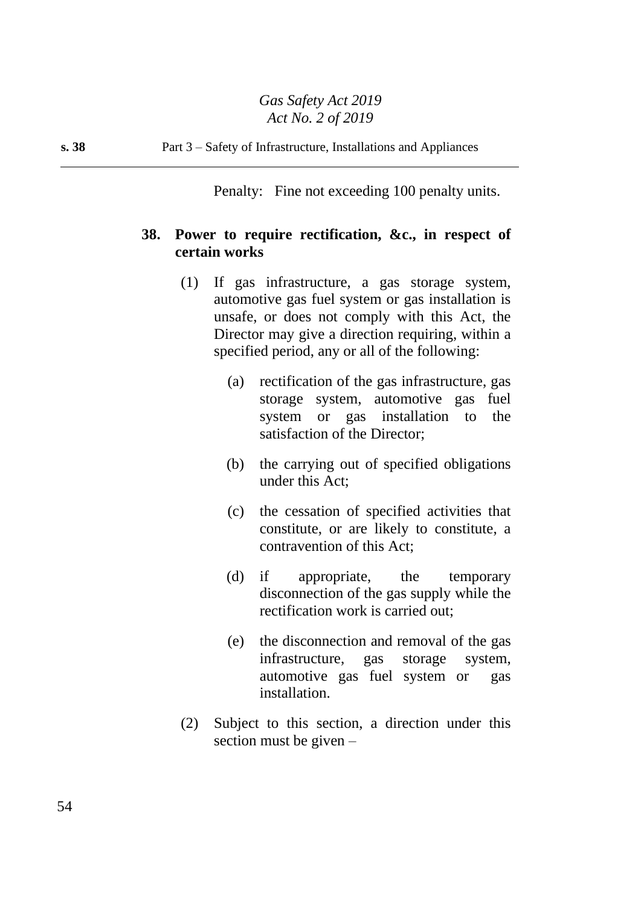Penalty: Fine not exceeding 100 penalty units.

# **38. Power to require rectification, &c., in respect of certain works**

- (1) If gas infrastructure, a gas storage system, automotive gas fuel system or gas installation is unsafe, or does not comply with this Act, the Director may give a direction requiring, within a specified period, any or all of the following:
	- (a) rectification of the gas infrastructure, gas storage system, automotive gas fuel system or gas installation to the satisfaction of the Director;
	- (b) the carrying out of specified obligations under this Act;
	- (c) the cessation of specified activities that constitute, or are likely to constitute, a contravention of this Act;
	- (d) if appropriate, the temporary disconnection of the gas supply while the rectification work is carried out;
	- (e) the disconnection and removal of the gas infrastructure, gas storage system, automotive gas fuel system or gas installation.
- (2) Subject to this section, a direction under this section must be given –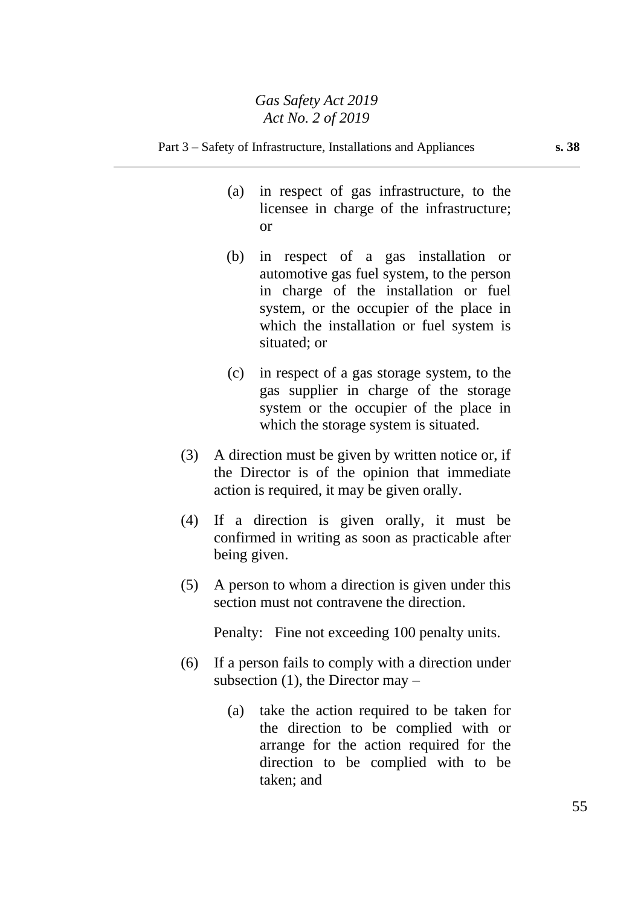- (a) in respect of gas infrastructure, to the licensee in charge of the infrastructure; or
- (b) in respect of a gas installation or automotive gas fuel system, to the person in charge of the installation or fuel system, or the occupier of the place in which the installation or fuel system is situated; or
- (c) in respect of a gas storage system, to the gas supplier in charge of the storage system or the occupier of the place in which the storage system is situated.
- (3) A direction must be given by written notice or, if the Director is of the opinion that immediate action is required, it may be given orally.
- (4) If a direction is given orally, it must be confirmed in writing as soon as practicable after being given.
- (5) A person to whom a direction is given under this section must not contravene the direction.

Penalty: Fine not exceeding 100 penalty units.

- (6) If a person fails to comply with a direction under subsection  $(1)$ , the Director may –
	- (a) take the action required to be taken for the direction to be complied with or arrange for the action required for the direction to be complied with to be taken; and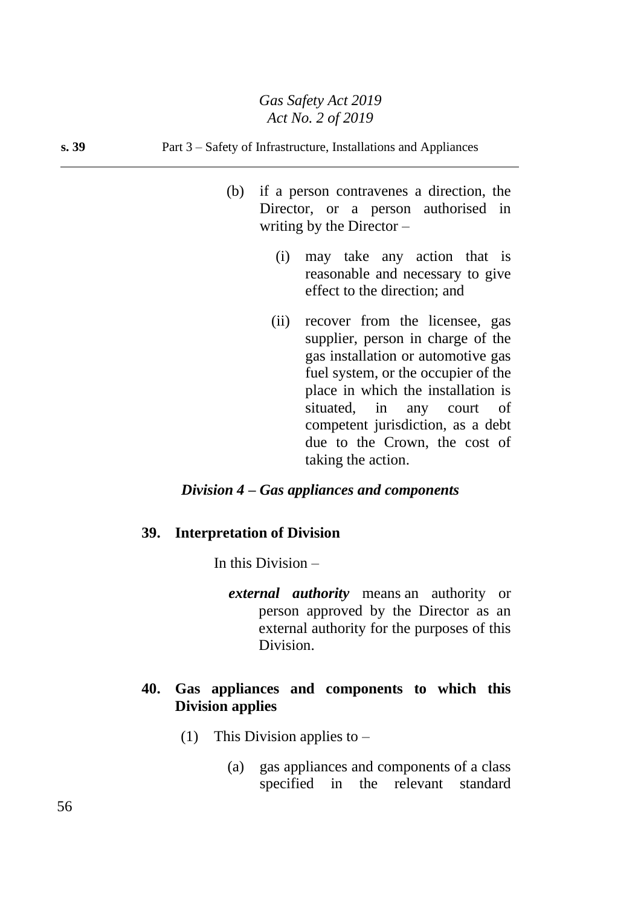#### **s. 39** Part 3 – Safety of Infrastructure, Installations and Appliances

- (b) if a person contravenes a direction, the Director, or a person authorised in writing by the Director  $-$ 
	- (i) may take any action that is reasonable and necessary to give effect to the direction; and
	- (ii) recover from the licensee, gas supplier, person in charge of the gas installation or automotive gas fuel system, or the occupier of the place in which the installation is situated, in any court of competent jurisdiction, as a debt due to the Crown, the cost of taking the action.

### *Division 4 – Gas appliances and components*

#### **39. Interpretation of Division**

In this Division –

*external authority* means an authority or person approved by the Director as an external authority for the purposes of this Division.

## **40. Gas appliances and components to which this Division applies**

- (1) This Division applies to  $-$ 
	- (a) gas appliances and components of a class specified in the relevant standard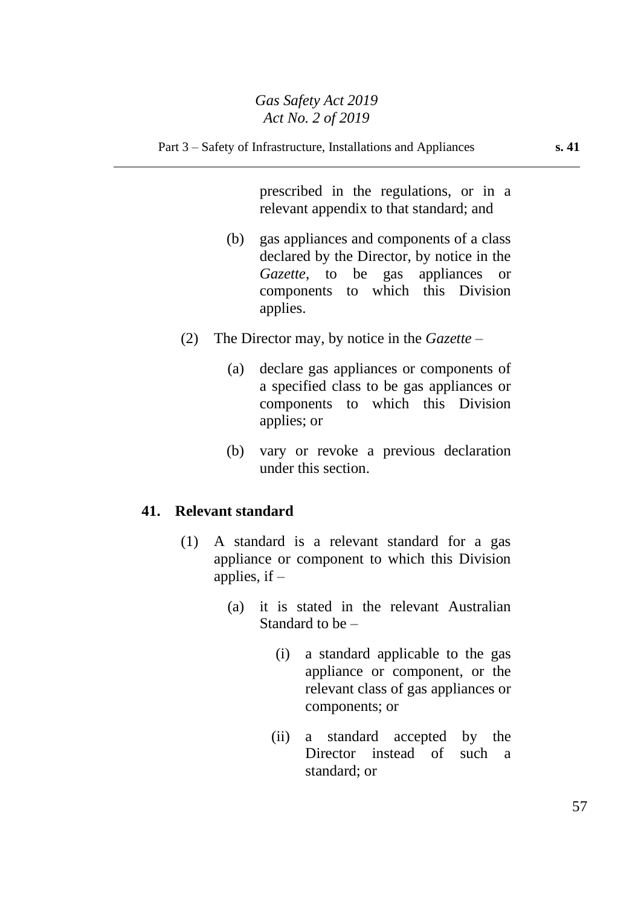prescribed in the regulations, or in a relevant appendix to that standard; and

- (b) gas appliances and components of a class declared by the Director, by notice in the *Gazette*, to be gas appliances or components to which this Division applies.
- (2) The Director may, by notice in the *Gazette*
	- (a) declare gas appliances or components of a specified class to be gas appliances or components to which this Division applies; or
	- (b) vary or revoke a previous declaration under this section.

## **41. Relevant standard**

- (1) A standard is a relevant standard for a gas appliance or component to which this Division applies, if  $-$ 
	- (a) it is stated in the relevant Australian Standard to be –
		- (i) a standard applicable to the gas appliance or component, or the relevant class of gas appliances or components; or
		- (ii) a standard accepted by the Director instead of such a standard; or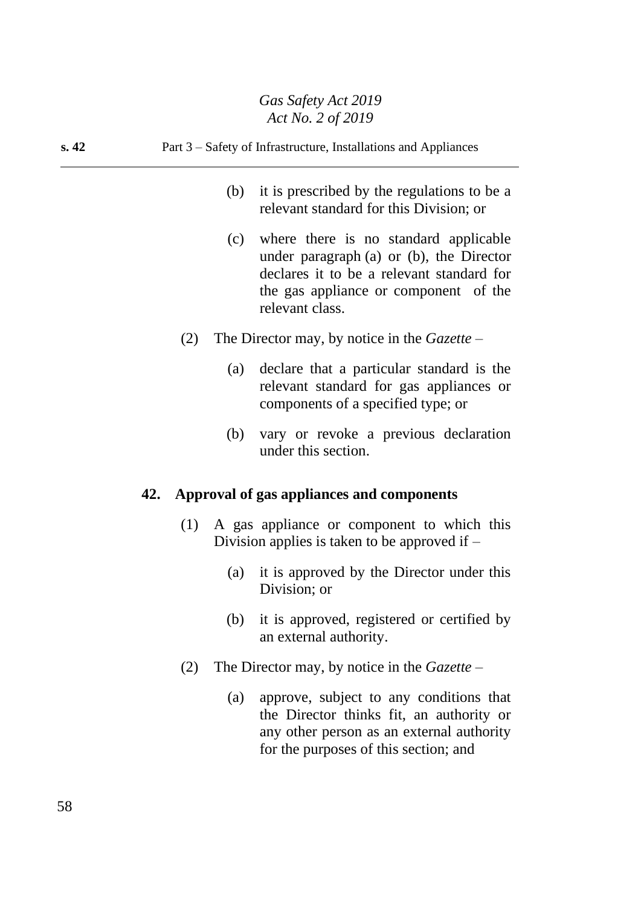# **s. 42** Part 3 – Safety of Infrastructure, Installations and Appliances

- (b) it is prescribed by the regulations to be a relevant standard for this Division; or
- (c) where there is no standard applicable under paragraph (a) or (b), the Director declares it to be a relevant standard for the gas appliance or component of the relevant class.
- (2) The Director may, by notice in the *Gazette*
	- (a) declare that a particular standard is the relevant standard for gas appliances or components of a specified type; or
	- (b) vary or revoke a previous declaration under this section.

## **42. Approval of gas appliances and components**

- (1) A gas appliance or component to which this Division applies is taken to be approved if –
	- (a) it is approved by the Director under this Division; or
	- (b) it is approved, registered or certified by an external authority.
- (2) The Director may, by notice in the *Gazette*
	- (a) approve, subject to any conditions that the Director thinks fit, an authority or any other person as an external authority for the purposes of this section; and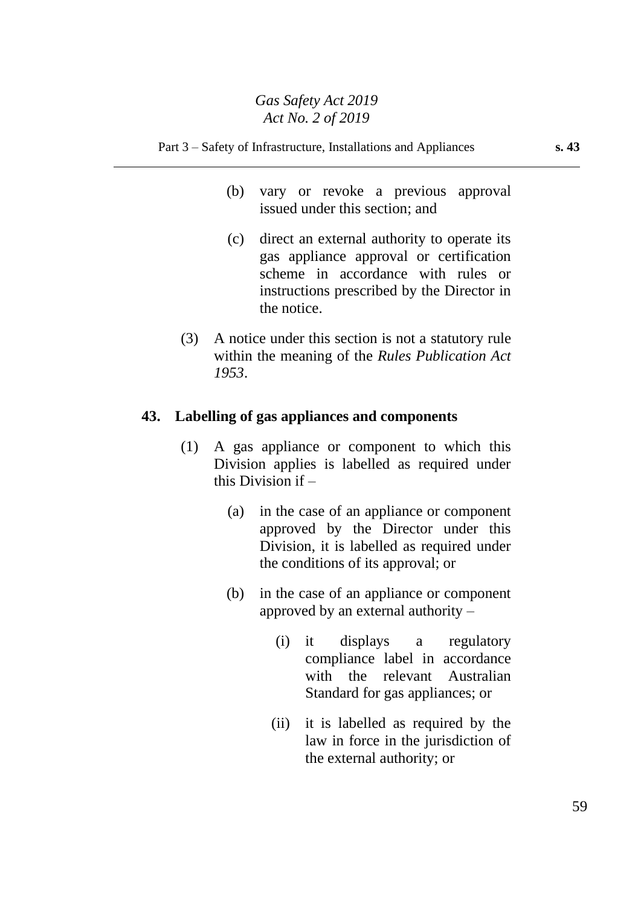#### Part 3 – Safety of Infrastructure, Installations and Appliances **s. 43**

- (b) vary or revoke a previous approval issued under this section; and
- (c) direct an external authority to operate its gas appliance approval or certification scheme in accordance with rules or instructions prescribed by the Director in the notice.
- (3) A notice under this section is not a statutory rule within the meaning of the *Rules Publication Act 1953*.

#### **43. Labelling of gas appliances and components**

- (1) A gas appliance or component to which this Division applies is labelled as required under this Division if –
	- (a) in the case of an appliance or component approved by the Director under this Division, it is labelled as required under the conditions of its approval; or
	- (b) in the case of an appliance or component approved by an external authority –
		- (i) it displays a regulatory compliance label in accordance with the relevant Australian Standard for gas appliances; or
		- (ii) it is labelled as required by the law in force in the jurisdiction of the external authority; or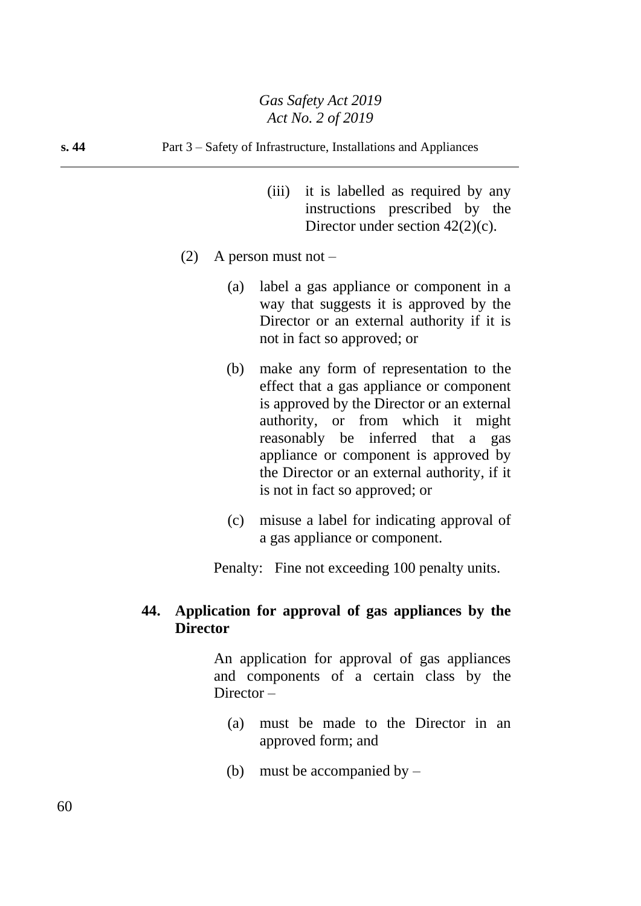- (iii) it is labelled as required by any instructions prescribed by the Director under section  $42(2)(c)$ .
- (2) A person must not  $-$ 
	- (a) label a gas appliance or component in a way that suggests it is approved by the Director or an external authority if it is not in fact so approved; or
	- (b) make any form of representation to the effect that a gas appliance or component is approved by the Director or an external authority, or from which it might reasonably be inferred that a gas appliance or component is approved by the Director or an external authority, if it is not in fact so approved; or
	- (c) misuse a label for indicating approval of a gas appliance or component.

Penalty: Fine not exceeding 100 penalty units.

# **44. Application for approval of gas appliances by the Director**

An application for approval of gas appliances and components of a certain class by the Director –

- (a) must be made to the Director in an approved form; and
- (b) must be accompanied by –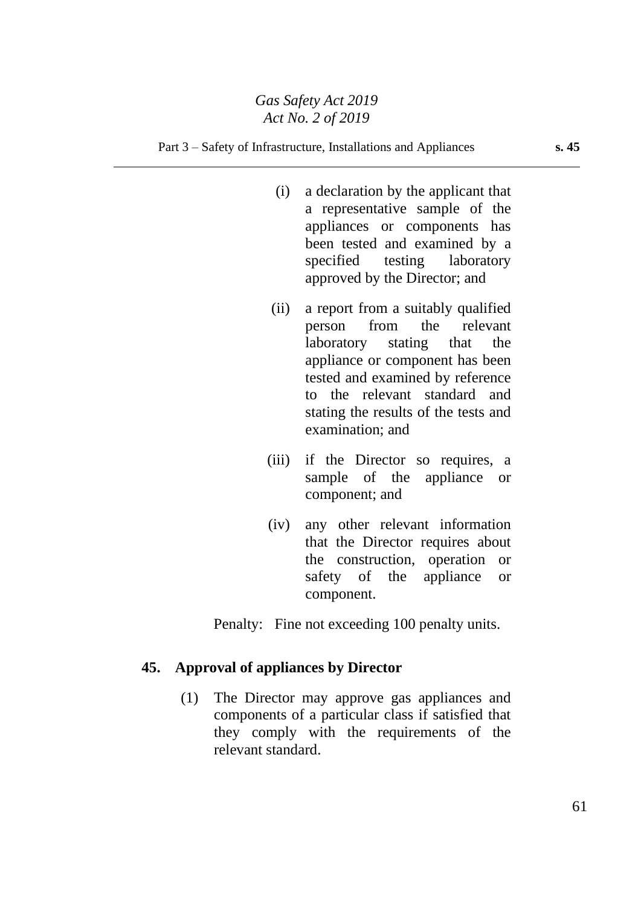#### Part 3 – Safety of Infrastructure, Installations and Appliances **s. 45**

- (i) a declaration by the applicant that a representative sample of the appliances or components has been tested and examined by a specified testing laboratory approved by the Director; and
- (ii) a report from a suitably qualified person from the relevant laboratory stating that the appliance or component has been tested and examined by reference to the relevant standard and stating the results of the tests and examination; and
- (iii) if the Director so requires, a sample of the appliance or component; and
- (iv) any other relevant information that the Director requires about the construction, operation or safety of the appliance or component.

Penalty: Fine not exceeding 100 penalty units.

## **45. Approval of appliances by Director**

(1) The Director may approve gas appliances and components of a particular class if satisfied that they comply with the requirements of the relevant standard.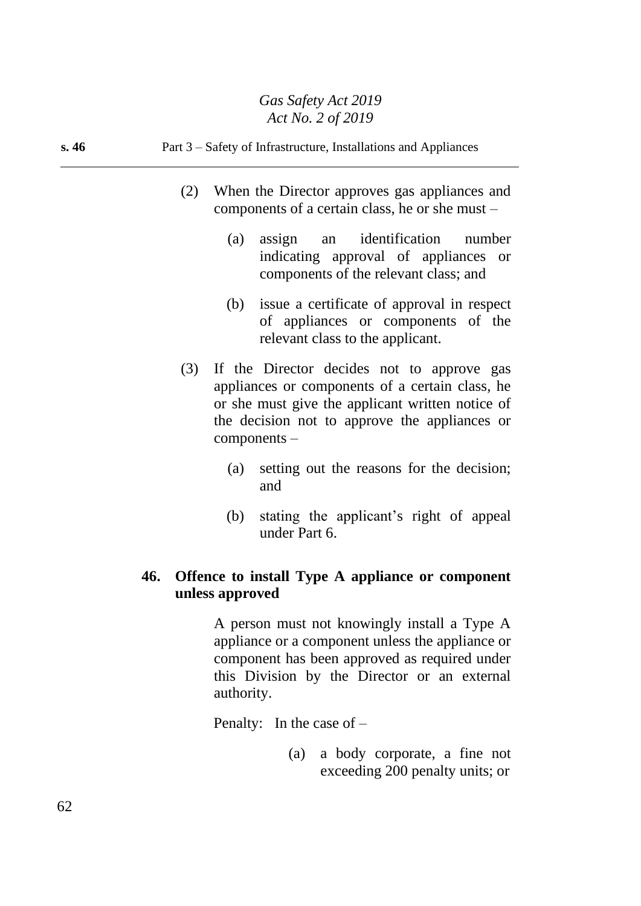### **s. 46** Part 3 – Safety of Infrastructure, Installations and Appliances

- (2) When the Director approves gas appliances and components of a certain class, he or she must –
	- (a) assign an identification number indicating approval of appliances or components of the relevant class; and
	- (b) issue a certificate of approval in respect of appliances or components of the relevant class to the applicant.
- (3) If the Director decides not to approve gas appliances or components of a certain class, he or she must give the applicant written notice of the decision not to approve the appliances or components –
	- (a) setting out the reasons for the decision; and
	- (b) stating the applicant's right of appeal under Part 6.

# **46. Offence to install Type A appliance or component unless approved**

A person must not knowingly install a Type A appliance or a component unless the appliance or component has been approved as required under this Division by the Director or an external authority.

Penalty: In the case of –

(a) a body corporate, a fine not exceeding 200 penalty units; or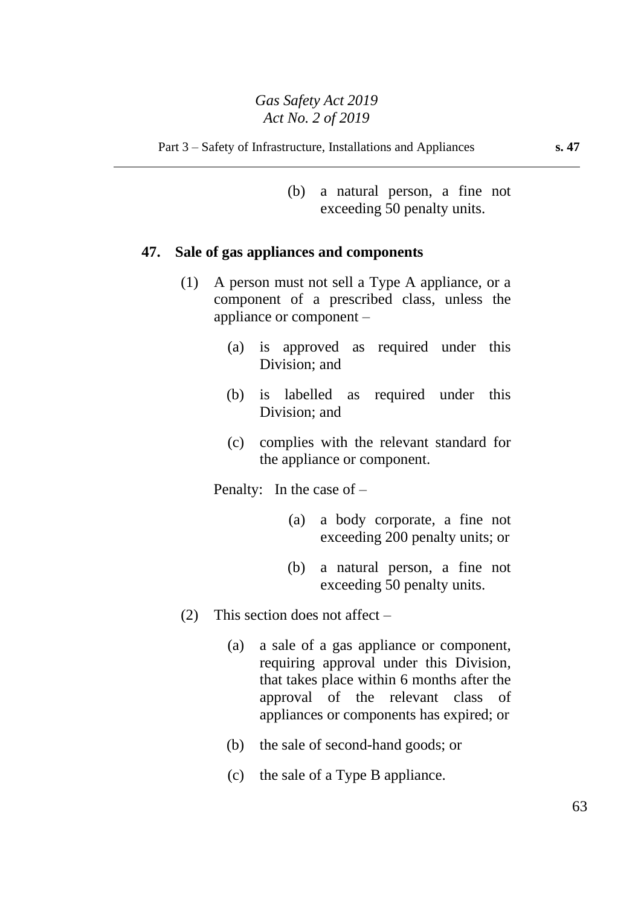(b) a natural person, a fine not exceeding 50 penalty units.

### **47. Sale of gas appliances and components**

- (1) A person must not sell a Type A appliance, or a component of a prescribed class, unless the appliance or component –
	- (a) is approved as required under this Division; and
	- (b) is labelled as required under this Division; and
	- (c) complies with the relevant standard for the appliance or component.

Penalty: In the case of –

- (a) a body corporate, a fine not exceeding 200 penalty units; or
- (b) a natural person, a fine not exceeding 50 penalty units.
- (2) This section does not affect
	- (a) a sale of a gas appliance or component, requiring approval under this Division, that takes place within 6 months after the approval of the relevant class of appliances or components has expired; or
	- (b) the sale of second-hand goods; or
	- (c) the sale of a Type B appliance.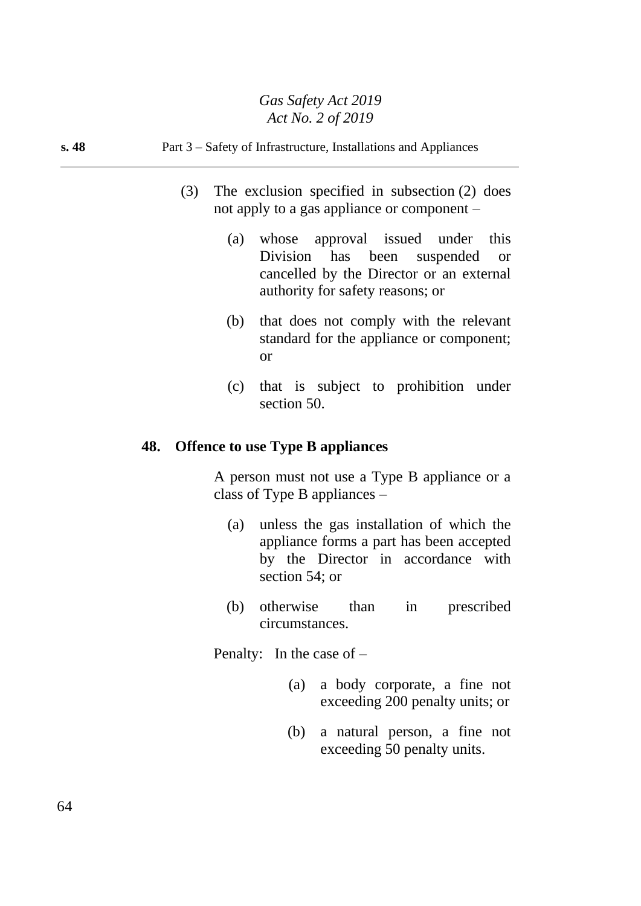### **s. 48** Part 3 – Safety of Infrastructure, Installations and Appliances

- (3) The exclusion specified in subsection (2) does not apply to a gas appliance or component –
	- (a) whose approval issued under this Division has been suspended or cancelled by the Director or an external authority for safety reasons; or
	- (b) that does not comply with the relevant standard for the appliance or component; or
	- (c) that is subject to prohibition under section 50.

### **48. Offence to use Type B appliances**

A person must not use a Type B appliance or a class of Type B appliances –

- (a) unless the gas installation of which the appliance forms a part has been accepted by the Director in accordance with section 54; or
- (b) otherwise than in prescribed circumstances.

Penalty: In the case of –

- (a) a body corporate, a fine not exceeding 200 penalty units; or
- (b) a natural person, a fine not exceeding 50 penalty units.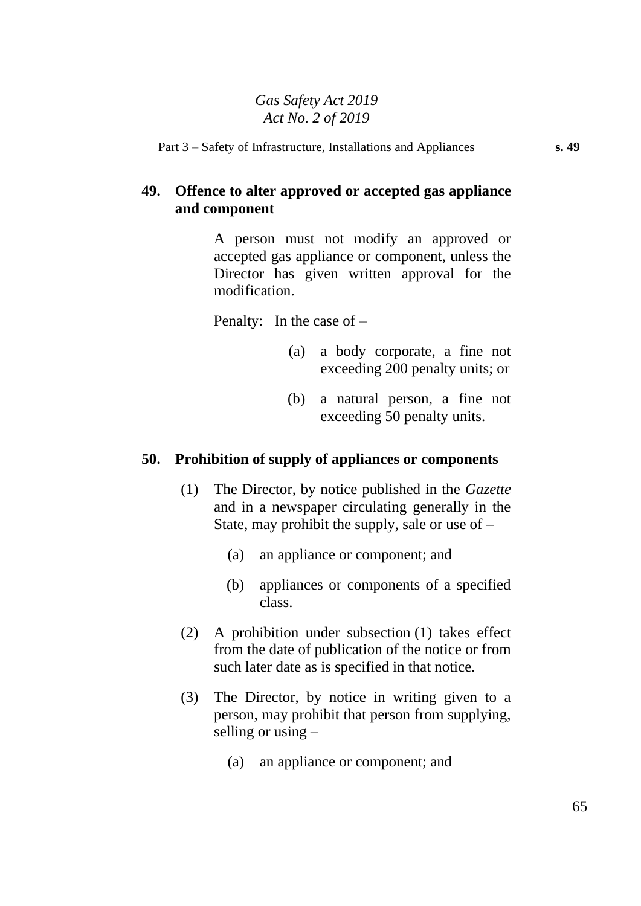# **49. Offence to alter approved or accepted gas appliance and component**

A person must not modify an approved or accepted gas appliance or component, unless the Director has given written approval for the modification.

Penalty: In the case of –

- (a) a body corporate, a fine not exceeding 200 penalty units; or
- (b) a natural person, a fine not exceeding 50 penalty units.

## **50. Prohibition of supply of appliances or components**

- (1) The Director, by notice published in the *Gazette* and in a newspaper circulating generally in the State, may prohibit the supply, sale or use of –
	- (a) an appliance or component; and
	- (b) appliances or components of a specified class.
- (2) A prohibition under subsection (1) takes effect from the date of publication of the notice or from such later date as is specified in that notice.
- (3) The Director, by notice in writing given to a person, may prohibit that person from supplying, selling or using –
	- (a) an appliance or component; and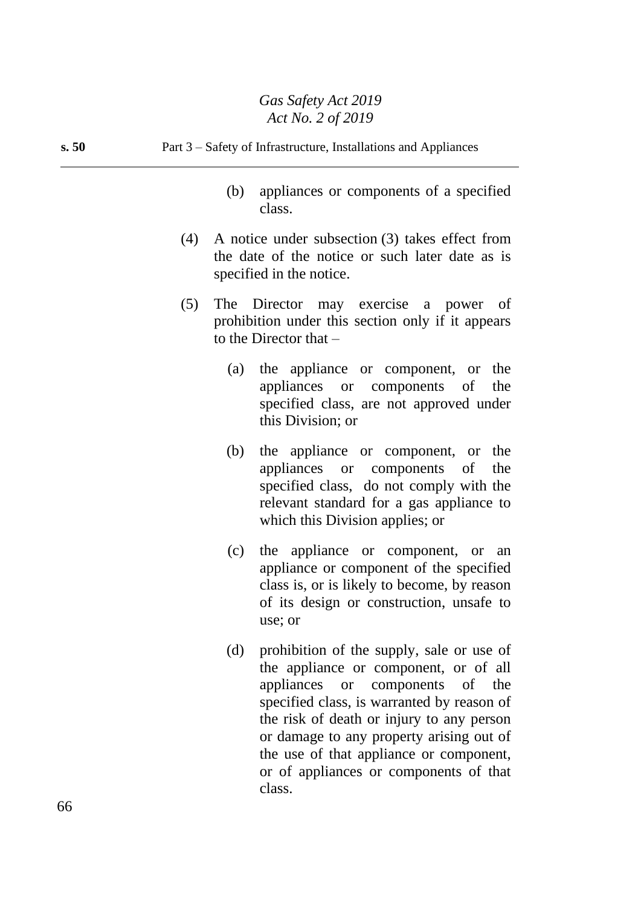| s.50 | Part 3 – Safety of Infrastructure, Installations and Appliances                                                                              |
|------|----------------------------------------------------------------------------------------------------------------------------------------------|
|      | appliances or components of a specified<br>(b)<br>class.                                                                                     |
|      | A notice under subsection (3) takes effect from<br>(4)<br>the date of the notice or such later date as is<br>specified in the notice.        |
|      | The Director may exercise a power of<br>(5)<br>prohibition under this section only if it appears<br>to the Director that $-$                 |
|      | (a) the appliance or component, or the<br>appliances or components of<br>the<br>specified class, are not approved under<br>this Division; or |
|      | the appliance or component, or the<br>(b)                                                                                                    |

- appliances or components of the specified class, do not comply with the relevant standard for a gas appliance to which this Division applies; or
- (c) the appliance or component, or an appliance or component of the specified class is, or is likely to become, by reason of its design or construction, unsafe to use; or
- (d) prohibition of the supply, sale or use of the appliance or component, or of all appliances or components of the specified class, is warranted by reason of the risk of death or injury to any person or damage to any property arising out of the use of that appliance or component, or of appliances or components of that class.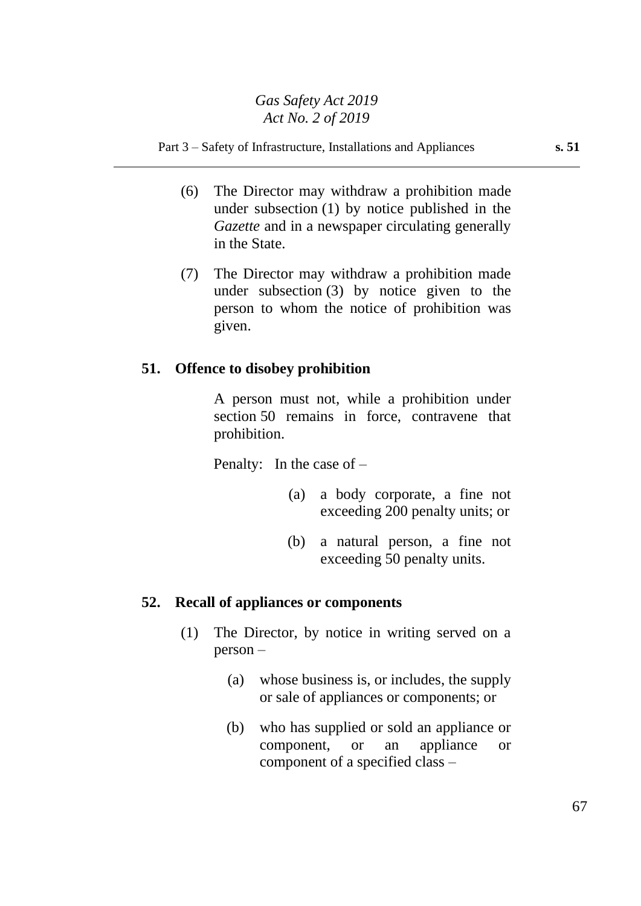#### Part 3 – Safety of Infrastructure, Installations and Appliances **s. 51**

- (6) The Director may withdraw a prohibition made under subsection (1) by notice published in the *Gazette* and in a newspaper circulating generally in the State.
- (7) The Director may withdraw a prohibition made under subsection (3) by notice given to the person to whom the notice of prohibition was given.

### **51. Offence to disobey prohibition**

A person must not, while a prohibition under section 50 remains in force, contravene that prohibition.

Penalty: In the case of –

- (a) a body corporate, a fine not exceeding 200 penalty units; or
- (b) a natural person, a fine not exceeding 50 penalty units.

### **52. Recall of appliances or components**

- (1) The Director, by notice in writing served on a person –
	- (a) whose business is, or includes, the supply or sale of appliances or components; or
	- (b) who has supplied or sold an appliance or component, or an appliance or component of a specified class –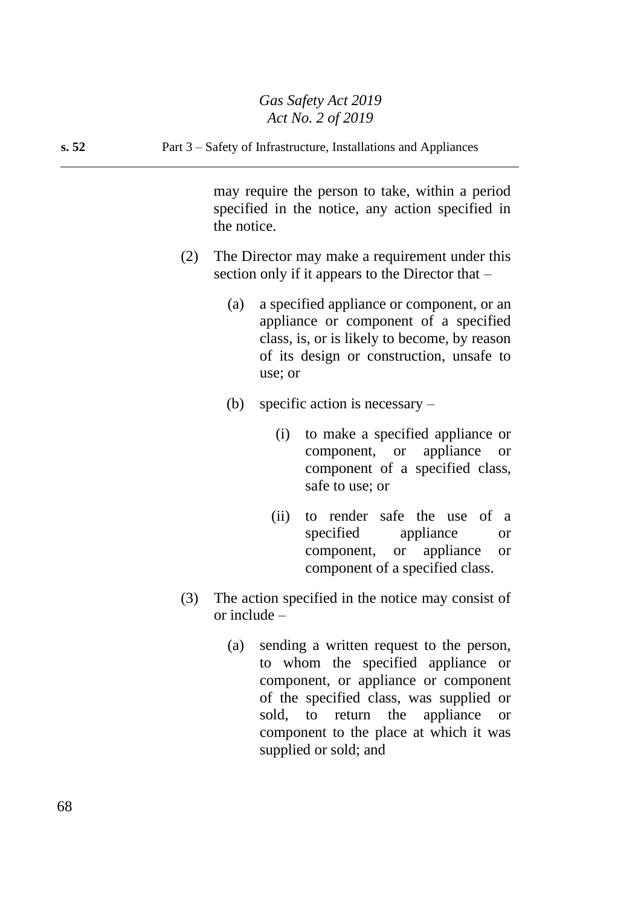**s. 52** Part 3 – Safety of Infrastructure, Installations and Appliances

may require the person to take, within a period specified in the notice, any action specified in the notice.

- (2) The Director may make a requirement under this section only if it appears to the Director that –
	- (a) a specified appliance or component, or an appliance or component of a specified class, is, or is likely to become, by reason of its design or construction, unsafe to use; or
	- (b) specific action is necessary
		- (i) to make a specified appliance or component, or appliance or component of a specified class, safe to use; or
		- (ii) to render safe the use of a specified appliance or component, or appliance or component of a specified class.
- (3) The action specified in the notice may consist of or include –
	- (a) sending a written request to the person, to whom the specified appliance or component, or appliance or component of the specified class, was supplied or sold, to return the appliance or component to the place at which it was supplied or sold; and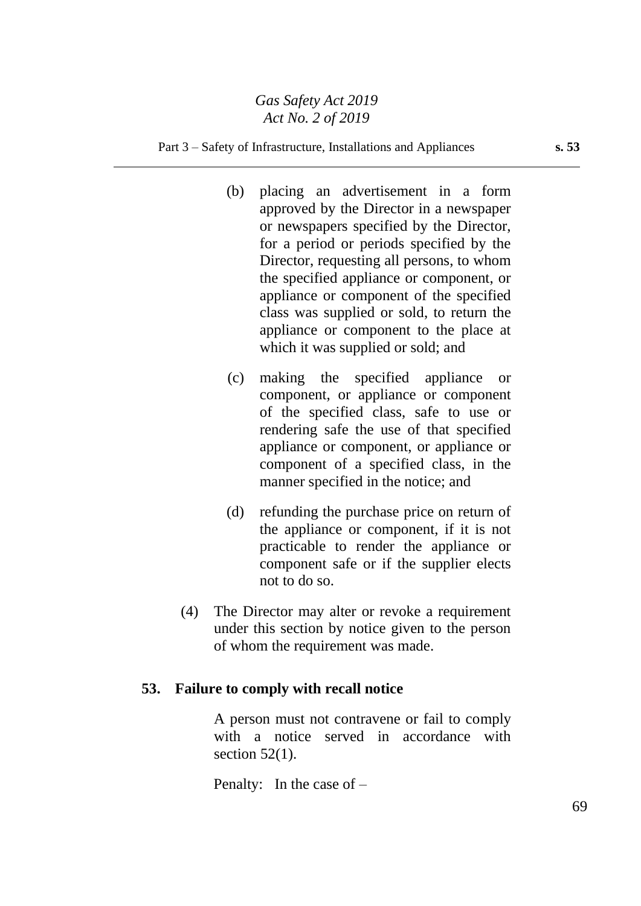#### Part 3 – Safety of Infrastructure, Installations and Appliances **s. 53**

- (b) placing an advertisement in a form approved by the Director in a newspaper or newspapers specified by the Director, for a period or periods specified by the Director, requesting all persons, to whom the specified appliance or component, or appliance or component of the specified class was supplied or sold, to return the appliance or component to the place at which it was supplied or sold; and
- (c) making the specified appliance or component, or appliance or component of the specified class, safe to use or rendering safe the use of that specified appliance or component, or appliance or component of a specified class, in the manner specified in the notice; and
- (d) refunding the purchase price on return of the appliance or component, if it is not practicable to render the appliance or component safe or if the supplier elects not to do so.
- (4) The Director may alter or revoke a requirement under this section by notice given to the person of whom the requirement was made.

## **53. Failure to comply with recall notice**

A person must not contravene or fail to comply with a notice served in accordance with section  $52(1)$ .

Penalty: In the case of –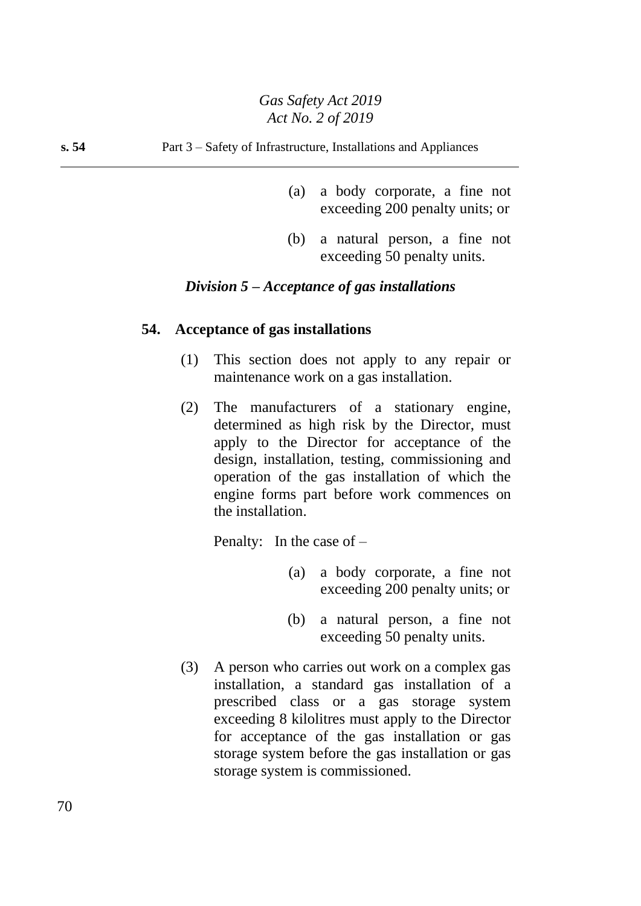- (a) a body corporate, a fine not exceeding 200 penalty units; or
- (b) a natural person, a fine not exceeding 50 penalty units.

### *Division 5 – Acceptance of gas installations*

#### **54. Acceptance of gas installations**

- (1) This section does not apply to any repair or maintenance work on a gas installation.
- (2) The manufacturers of a stationary engine, determined as high risk by the Director, must apply to the Director for acceptance of the design, installation, testing, commissioning and operation of the gas installation of which the engine forms part before work commences on the installation.

Penalty: In the case of –

- (a) a body corporate, a fine not exceeding 200 penalty units; or
- (b) a natural person, a fine not exceeding 50 penalty units.
- (3) A person who carries out work on a complex gas installation, a standard gas installation of a prescribed class or a gas storage system exceeding 8 kilolitres must apply to the Director for acceptance of the gas installation or gas storage system before the gas installation or gas storage system is commissioned.

70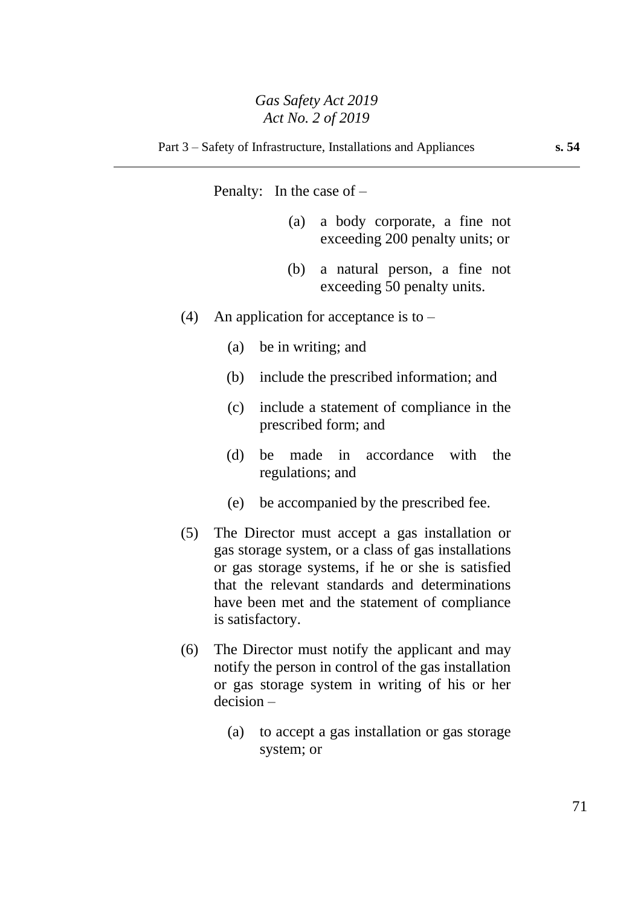Penalty: In the case of –

- (a) a body corporate, a fine not exceeding 200 penalty units; or
- (b) a natural person, a fine not exceeding 50 penalty units.
- (4) An application for acceptance is to  $-$ 
	- (a) be in writing; and
	- (b) include the prescribed information; and
	- (c) include a statement of compliance in the prescribed form; and
	- (d) be made in accordance with the regulations; and
	- (e) be accompanied by the prescribed fee.
- (5) The Director must accept a gas installation or gas storage system, or a class of gas installations or gas storage systems, if he or she is satisfied that the relevant standards and determinations have been met and the statement of compliance is satisfactory.
- (6) The Director must notify the applicant and may notify the person in control of the gas installation or gas storage system in writing of his or her decision –
	- (a) to accept a gas installation or gas storage system; or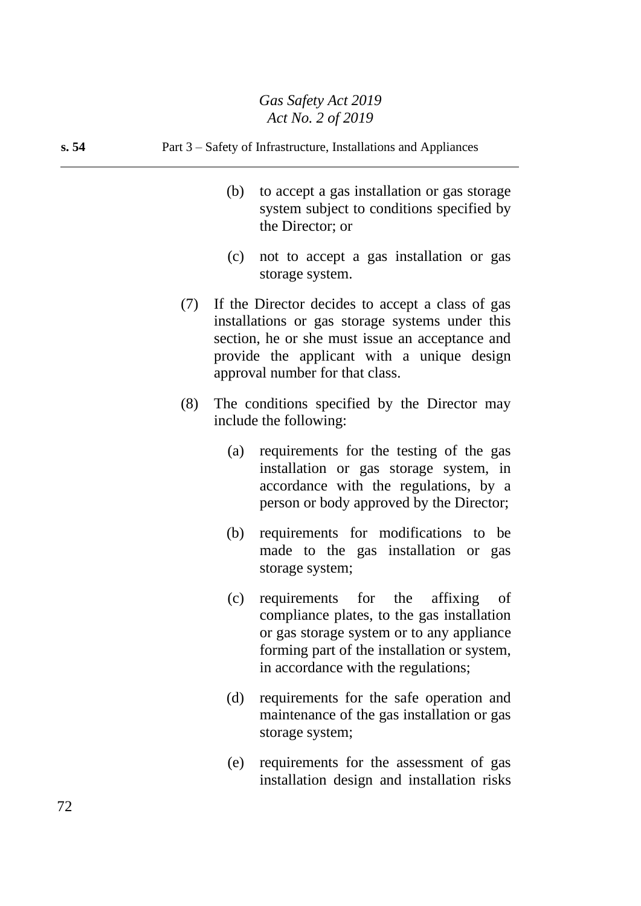#### **s. 54** Part 3 – Safety of Infrastructure, Installations and Appliances

- (b) to accept a gas installation or gas storage system subject to conditions specified by the Director; or
- (c) not to accept a gas installation or gas storage system.
- (7) If the Director decides to accept a class of gas installations or gas storage systems under this section, he or she must issue an acceptance and provide the applicant with a unique design approval number for that class.
- (8) The conditions specified by the Director may include the following:
	- (a) requirements for the testing of the gas installation or gas storage system, in accordance with the regulations, by a person or body approved by the Director;
	- (b) requirements for modifications to be made to the gas installation or gas storage system;
	- (c) requirements for the affixing of compliance plates, to the gas installation or gas storage system or to any appliance forming part of the installation or system, in accordance with the regulations;
	- (d) requirements for the safe operation and maintenance of the gas installation or gas storage system;
	- (e) requirements for the assessment of gas installation design and installation risks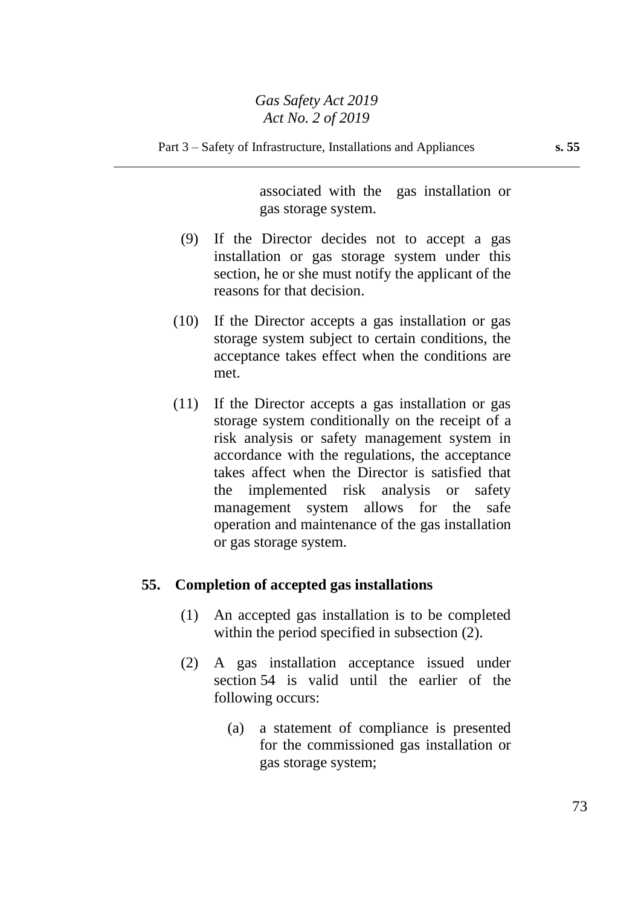Part 3 – Safety of Infrastructure, Installations and Appliances **s. 55**

associated with the gas installation or gas storage system.

- (9) If the Director decides not to accept a gas installation or gas storage system under this section, he or she must notify the applicant of the reasons for that decision.
- (10) If the Director accepts a gas installation or gas storage system subject to certain conditions, the acceptance takes effect when the conditions are met.
- (11) If the Director accepts a gas installation or gas storage system conditionally on the receipt of a risk analysis or safety management system in accordance with the regulations, the acceptance takes affect when the Director is satisfied that the implemented risk analysis or safety management system allows for the safe operation and maintenance of the gas installation or gas storage system.

#### **55. Completion of accepted gas installations**

- (1) An accepted gas installation is to be completed within the period specified in subsection (2).
- (2) A gas installation acceptance issued under section 54 is valid until the earlier of the following occurs:
	- (a) a statement of compliance is presented for the commissioned gas installation or gas storage system;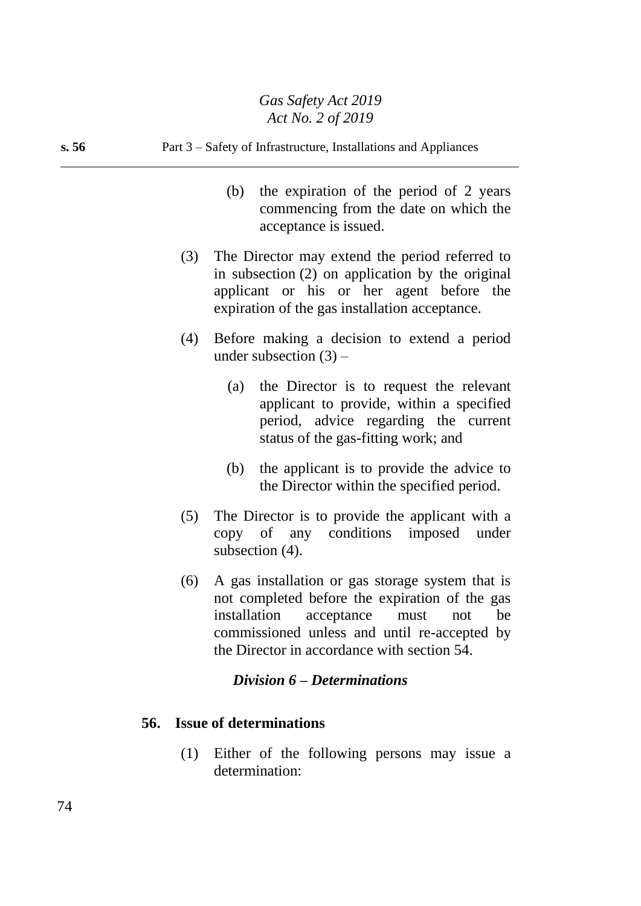## **s. 56** Part 3 – Safety of Infrastructure, Installations and Appliances (b) the expiration of the period of 2 years commencing from the date on which the acceptance is issued. (3) The Director may extend the period referred to in subsection (2) on application by the original applicant or his or her agent before the expiration of the gas installation acceptance. (4) Before making a decision to extend a period under subsection  $(3)$  – (a) the Director is to request the relevant applicant to provide, within a specified period, advice regarding the current status of the gas-fitting work; and

- (b) the applicant is to provide the advice to the Director within the specified period.
- (5) The Director is to provide the applicant with a copy of any conditions imposed under subsection  $(4)$ .
- (6) A gas installation or gas storage system that is not completed before the expiration of the gas installation acceptance must not be commissioned unless and until re-accepted by the Director in accordance with section 54.

## *Division 6 – Determinations*

## **56. Issue of determinations**

(1) Either of the following persons may issue a determination: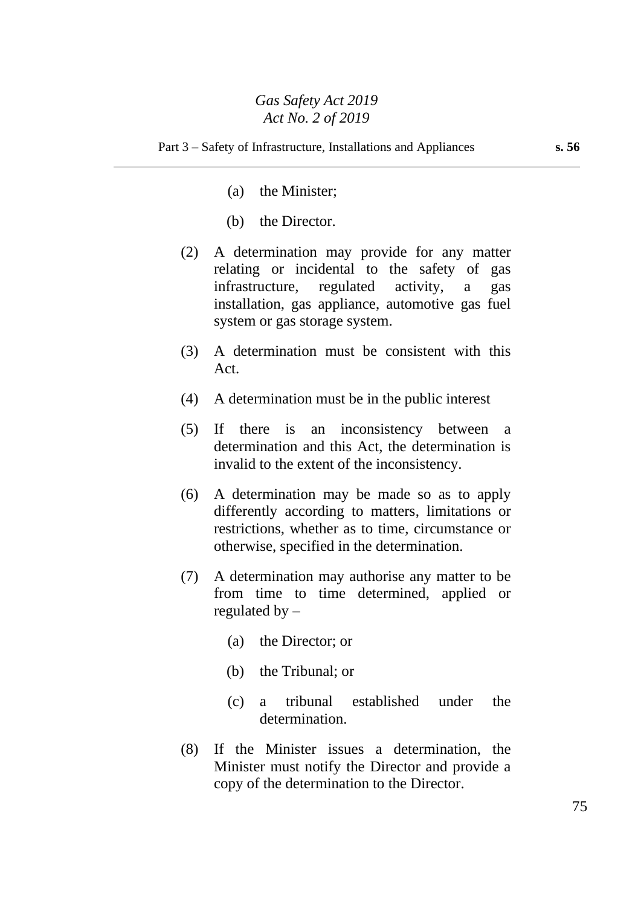- (a) the Minister;
- (b) the Director.
- (2) A determination may provide for any matter relating or incidental to the safety of gas infrastructure, regulated activity, a gas installation, gas appliance, automotive gas fuel system or gas storage system.
- (3) A determination must be consistent with this Act.
- (4) A determination must be in the public interest
- (5) If there is an inconsistency between a determination and this Act, the determination is invalid to the extent of the inconsistency.
- (6) A determination may be made so as to apply differently according to matters, limitations or restrictions, whether as to time, circumstance or otherwise, specified in the determination.
- (7) A determination may authorise any matter to be from time to time determined, applied or regulated by  $-$ 
	- (a) the Director; or
	- (b) the Tribunal; or
	- (c) a tribunal established under the determination.
- (8) If the Minister issues a determination, the Minister must notify the Director and provide a copy of the determination to the Director.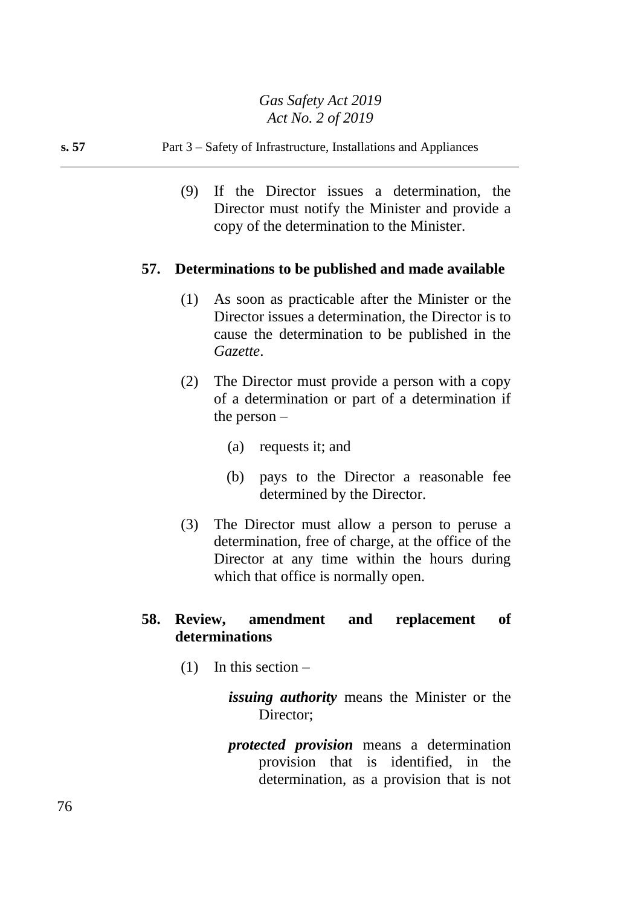#### **s. 57** Part 3 – Safety of Infrastructure, Installations and Appliances

(9) If the Director issues a determination, the Director must notify the Minister and provide a copy of the determination to the Minister.

## **57. Determinations to be published and made available**

- (1) As soon as practicable after the Minister or the Director issues a determination, the Director is to cause the determination to be published in the *Gazette*.
- (2) The Director must provide a person with a copy of a determination or part of a determination if the person –
	- (a) requests it; and
	- (b) pays to the Director a reasonable fee determined by the Director.
- (3) The Director must allow a person to peruse a determination, free of charge, at the office of the Director at any time within the hours during which that office is normally open.

#### **58. Review, amendment and replacement of determinations**

- $(1)$  In this section
	- *issuing authority* means the Minister or the Director:
	- *protected provision* means a determination provision that is identified, in the determination, as a provision that is not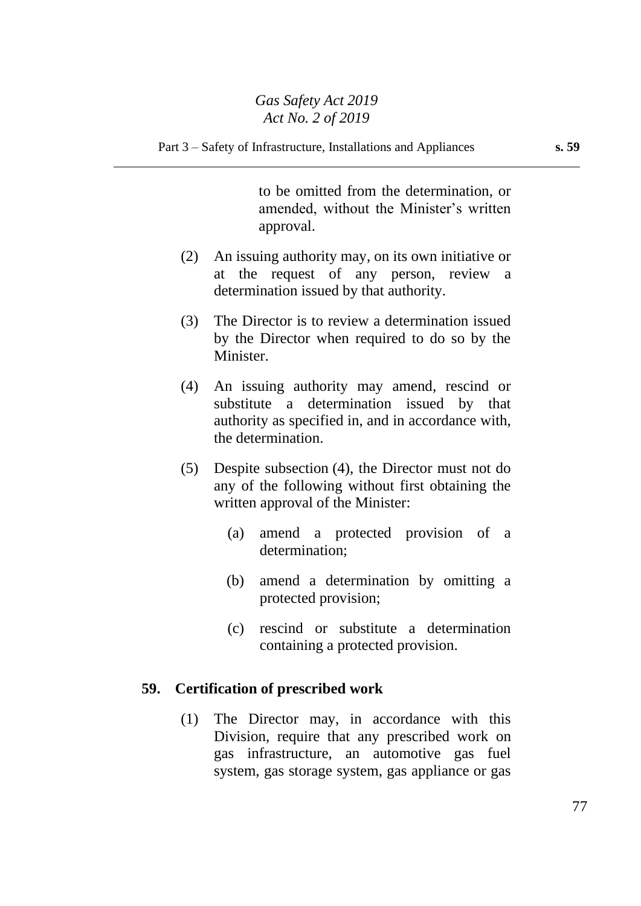to be omitted from the determination, or amended, without the Minister's written approval.

- (2) An issuing authority may, on its own initiative or at the request of any person, review a determination issued by that authority.
- (3) The Director is to review a determination issued by the Director when required to do so by the Minister.
- (4) An issuing authority may amend, rescind or substitute a determination issued by that authority as specified in, and in accordance with, the determination.
- (5) Despite subsection (4), the Director must not do any of the following without first obtaining the written approval of the Minister:
	- (a) amend a protected provision of a determination;
	- (b) amend a determination by omitting a protected provision;
	- (c) rescind or substitute a determination containing a protected provision.

#### **59. Certification of prescribed work**

(1) The Director may, in accordance with this Division, require that any prescribed work on gas infrastructure, an automotive gas fuel system, gas storage system, gas appliance or gas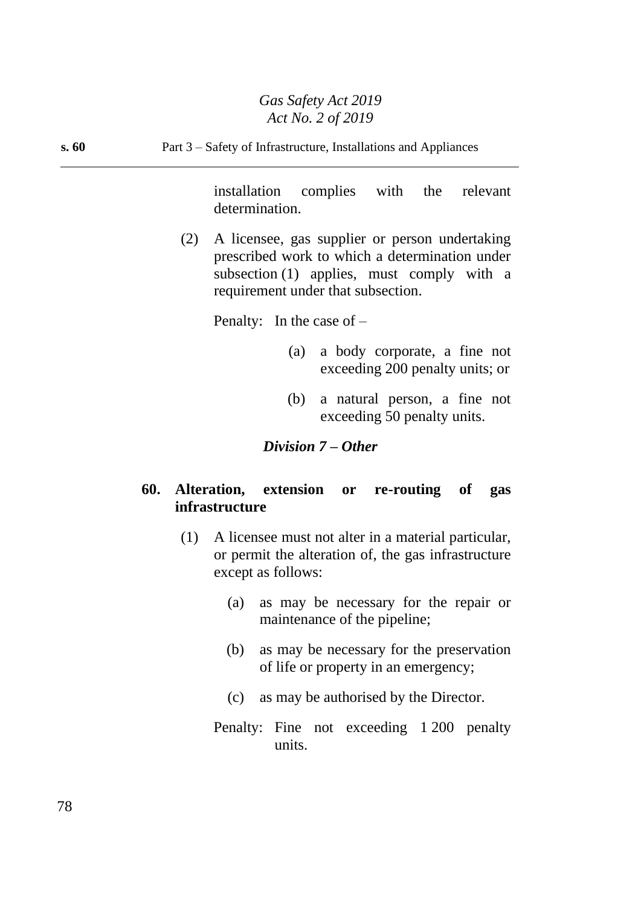**s. 60** Part 3 – Safety of Infrastructure, Installations and Appliances

installation complies with the relevant determination.

(2) A licensee, gas supplier or person undertaking prescribed work to which a determination under subsection (1) applies, must comply with a requirement under that subsection.

Penalty: In the case of –

- (a) a body corporate, a fine not exceeding 200 penalty units; or
- (b) a natural person, a fine not exceeding 50 penalty units.

## *Division 7 – Other*

## **60. Alteration, extension or re-routing of gas infrastructure**

- (1) A licensee must not alter in a material particular, or permit the alteration of, the gas infrastructure except as follows:
	- (a) as may be necessary for the repair or maintenance of the pipeline;
	- (b) as may be necessary for the preservation of life or property in an emergency;
	- (c) as may be authorised by the Director.
	- Penalty: Fine not exceeding 1 200 penalty units.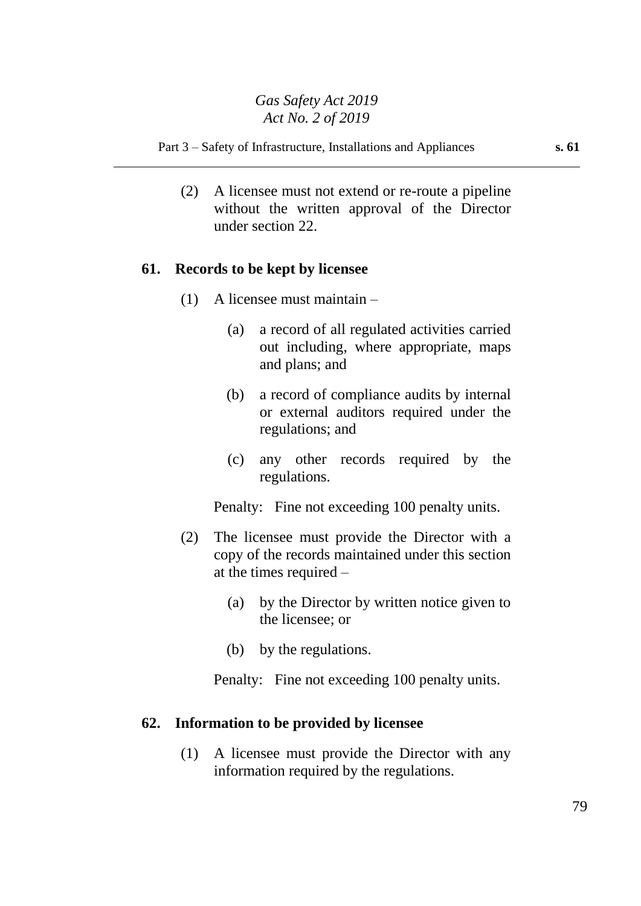Part 3 – Safety of Infrastructure, Installations and Appliances **s. 61**

(2) A licensee must not extend or re-route a pipeline without the written approval of the Director under section 22.

#### **61. Records to be kept by licensee**

- (1) A licensee must maintain
	- (a) a record of all regulated activities carried out including, where appropriate, maps and plans; and
	- (b) a record of compliance audits by internal or external auditors required under the regulations; and
	- (c) any other records required by the regulations.

Penalty: Fine not exceeding 100 penalty units.

- (2) The licensee must provide the Director with a copy of the records maintained under this section at the times required –
	- (a) by the Director by written notice given to the licensee; or
	- (b) by the regulations.

Penalty: Fine not exceeding 100 penalty units.

#### **62. Information to be provided by licensee**

(1) A licensee must provide the Director with any information required by the regulations.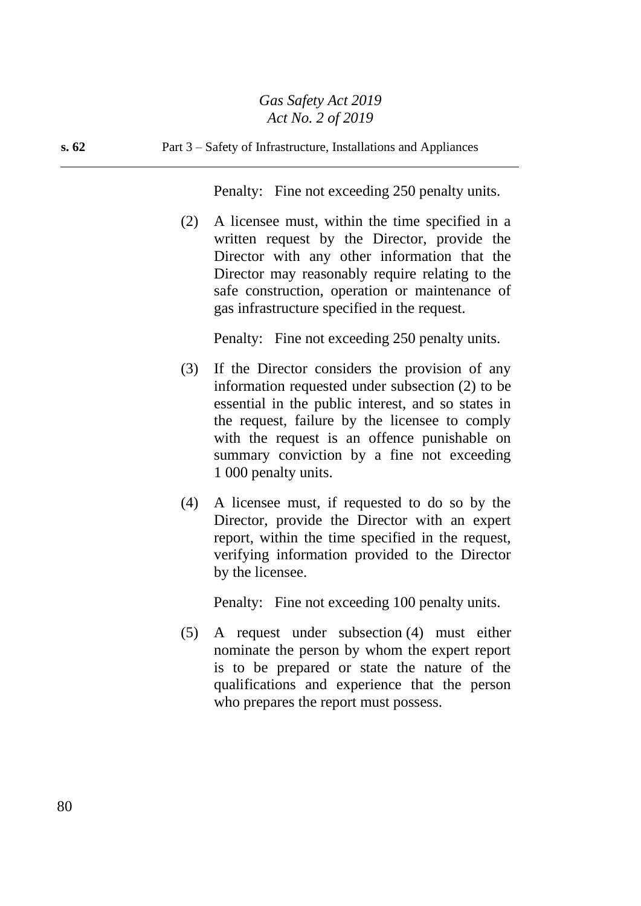**s. 62** Part 3 – Safety of Infrastructure, Installations and Appliances

Penalty: Fine not exceeding 250 penalty units.

(2) A licensee must, within the time specified in a written request by the Director, provide the Director with any other information that the Director may reasonably require relating to the safe construction, operation or maintenance of gas infrastructure specified in the request.

Penalty: Fine not exceeding 250 penalty units.

- (3) If the Director considers the provision of any information requested under subsection (2) to be essential in the public interest, and so states in the request, failure by the licensee to comply with the request is an offence punishable on summary conviction by a fine not exceeding 1 000 penalty units.
- (4) A licensee must, if requested to do so by the Director, provide the Director with an expert report, within the time specified in the request, verifying information provided to the Director by the licensee.

Penalty: Fine not exceeding 100 penalty units.

(5) A request under subsection (4) must either nominate the person by whom the expert report is to be prepared or state the nature of the qualifications and experience that the person who prepares the report must possess.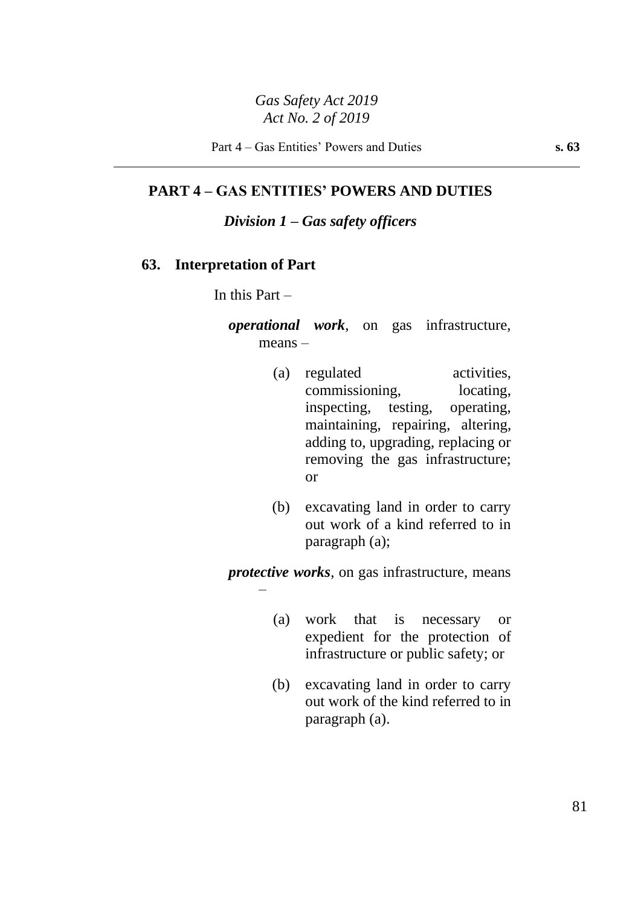Part 4 – Gas Entities' Powers and Duties **s. 63**

**PART 4 – GAS ENTITIES' POWERS AND DUTIES**

*Division 1 – Gas safety officers*

#### **63. Interpretation of Part**

In this Part –

–

*operational work*, on gas infrastructure, means –

- (a) regulated activities, commissioning, locating, inspecting, testing, operating, maintaining, repairing, altering, adding to, upgrading, replacing or removing the gas infrastructure; or
- (b) excavating land in order to carry out work of a kind referred to in paragraph (a);

*protective works*, on gas infrastructure, means

- (a) work that is necessary or expedient for the protection of infrastructure or public safety; or
- (b) excavating land in order to carry out work of the kind referred to in paragraph (a).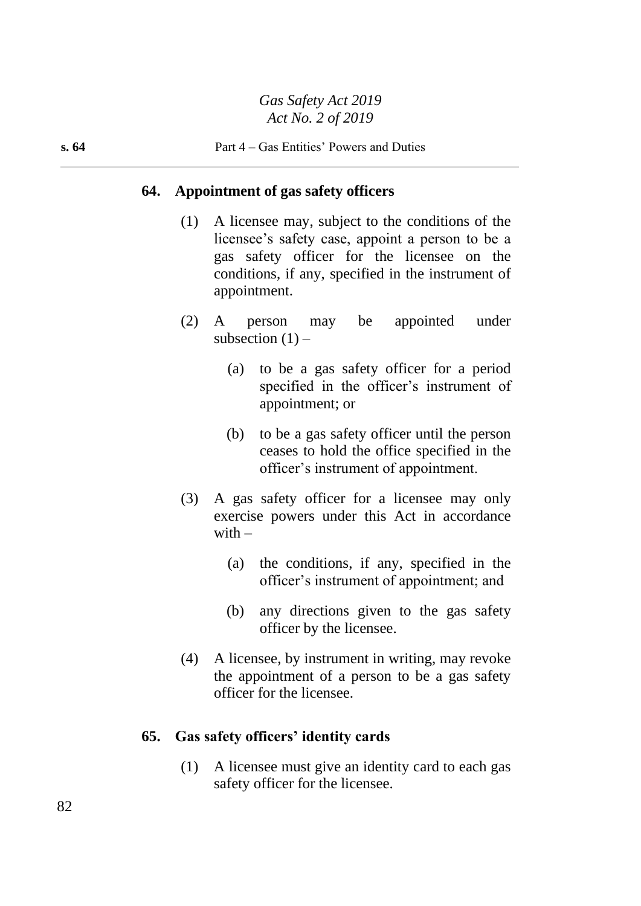#### **64. Appointment of gas safety officers**

- (1) A licensee may, subject to the conditions of the licensee's safety case, appoint a person to be a gas safety officer for the licensee on the conditions, if any, specified in the instrument of appointment.
- (2) A person may be appointed under subsection  $(1)$  –
	- (a) to be a gas safety officer for a period specified in the officer's instrument of appointment; or
	- (b) to be a gas safety officer until the person ceases to hold the office specified in the officer's instrument of appointment.
- (3) A gas safety officer for a licensee may only exercise powers under this Act in accordance with  $-$ 
	- (a) the conditions, if any, specified in the officer's instrument of appointment; and
	- (b) any directions given to the gas safety officer by the licensee.
- (4) A licensee, by instrument in writing, may revoke the appointment of a person to be a gas safety officer for the licensee.

#### **65. Gas safety officers' identity cards**

(1) A licensee must give an identity card to each gas safety officer for the licensee.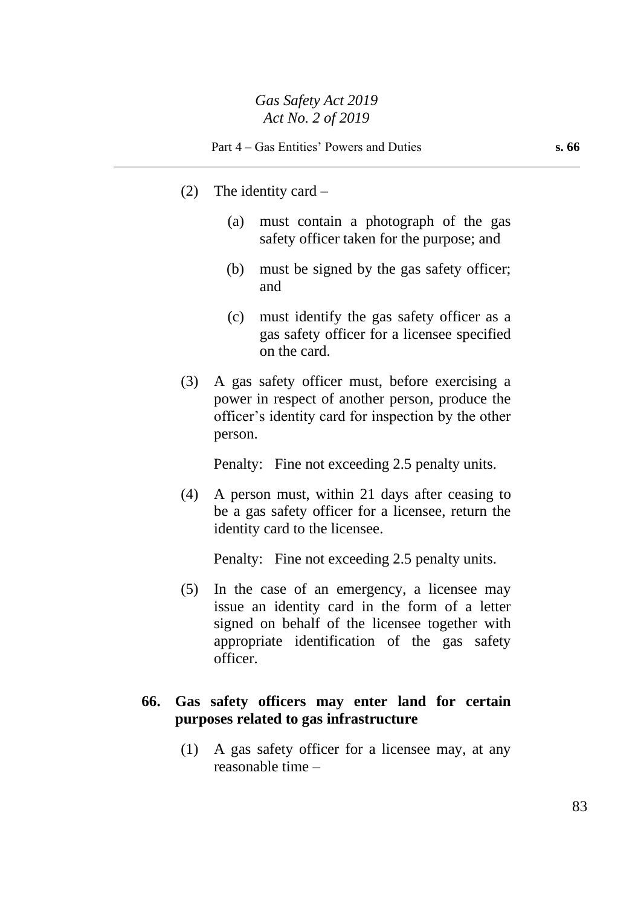- (2) The identity card
	- (a) must contain a photograph of the gas safety officer taken for the purpose; and
	- (b) must be signed by the gas safety officer; and
	- (c) must identify the gas safety officer as a gas safety officer for a licensee specified on the card.
- (3) A gas safety officer must, before exercising a power in respect of another person, produce the officer's identity card for inspection by the other person.

Penalty: Fine not exceeding 2.5 penalty units.

(4) A person must, within 21 days after ceasing to be a gas safety officer for a licensee, return the identity card to the licensee.

Penalty: Fine not exceeding 2.5 penalty units.

(5) In the case of an emergency, a licensee may issue an identity card in the form of a letter signed on behalf of the licensee together with appropriate identification of the gas safety officer.

## **66. Gas safety officers may enter land for certain purposes related to gas infrastructure**

(1) A gas safety officer for a licensee may, at any reasonable time –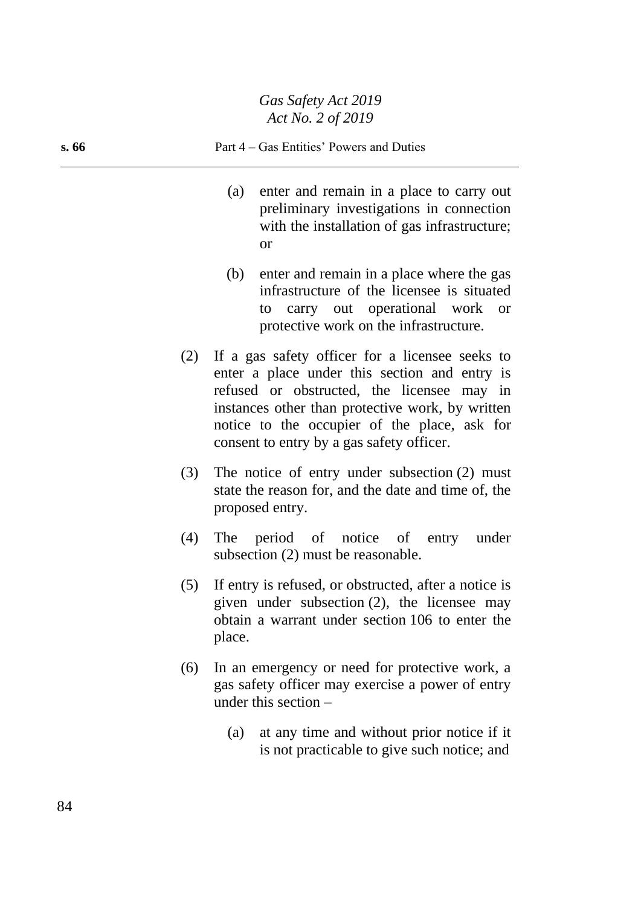#### **s. 66** Part 4 – Gas Entities' Powers and Duties

- (a) enter and remain in a place to carry out preliminary investigations in connection with the installation of gas infrastructure; or
- (b) enter and remain in a place where the gas infrastructure of the licensee is situated to carry out operational work or protective work on the infrastructure.
- (2) If a gas safety officer for a licensee seeks to enter a place under this section and entry is refused or obstructed, the licensee may in instances other than protective work, by written notice to the occupier of the place, ask for consent to entry by a gas safety officer.
- (3) The notice of entry under subsection (2) must state the reason for, and the date and time of, the proposed entry.
- (4) The period of notice of entry under subsection (2) must be reasonable.
- (5) If entry is refused, or obstructed, after a notice is given under subsection (2), the licensee may obtain a warrant under section 106 to enter the place.
- (6) In an emergency or need for protective work, a gas safety officer may exercise a power of entry under this section –
	- (a) at any time and without prior notice if it is not practicable to give such notice; and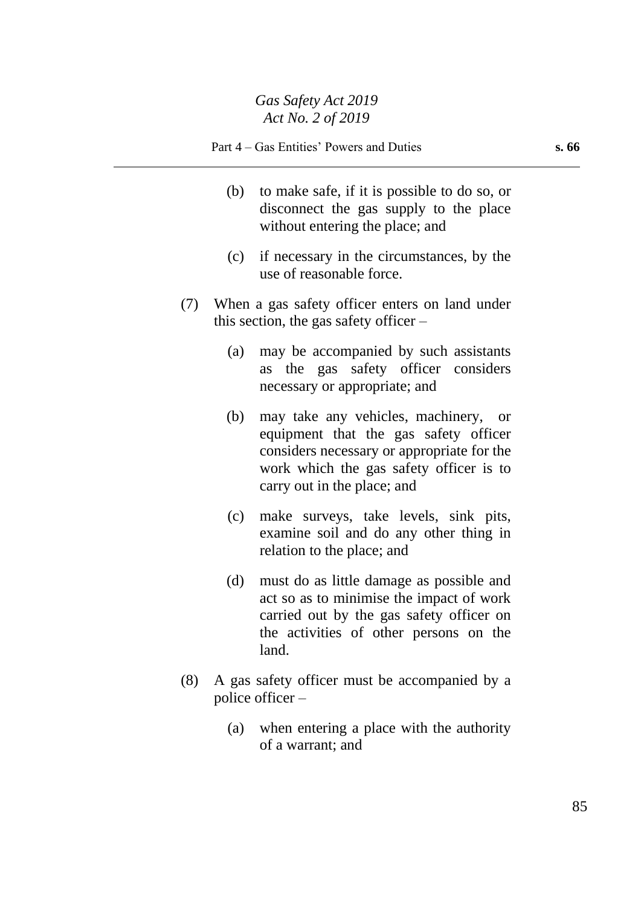- (b) to make safe, if it is possible to do so, or disconnect the gas supply to the place without entering the place; and
- (c) if necessary in the circumstances, by the use of reasonable force.
- (7) When a gas safety officer enters on land under this section, the gas safety officer –
	- (a) may be accompanied by such assistants as the gas safety officer considers necessary or appropriate; and
	- (b) may take any vehicles, machinery, or equipment that the gas safety officer considers necessary or appropriate for the work which the gas safety officer is to carry out in the place; and
	- (c) make surveys, take levels, sink pits, examine soil and do any other thing in relation to the place; and
	- (d) must do as little damage as possible and act so as to minimise the impact of work carried out by the gas safety officer on the activities of other persons on the land.
- (8) A gas safety officer must be accompanied by a police officer –
	- (a) when entering a place with the authority of a warrant; and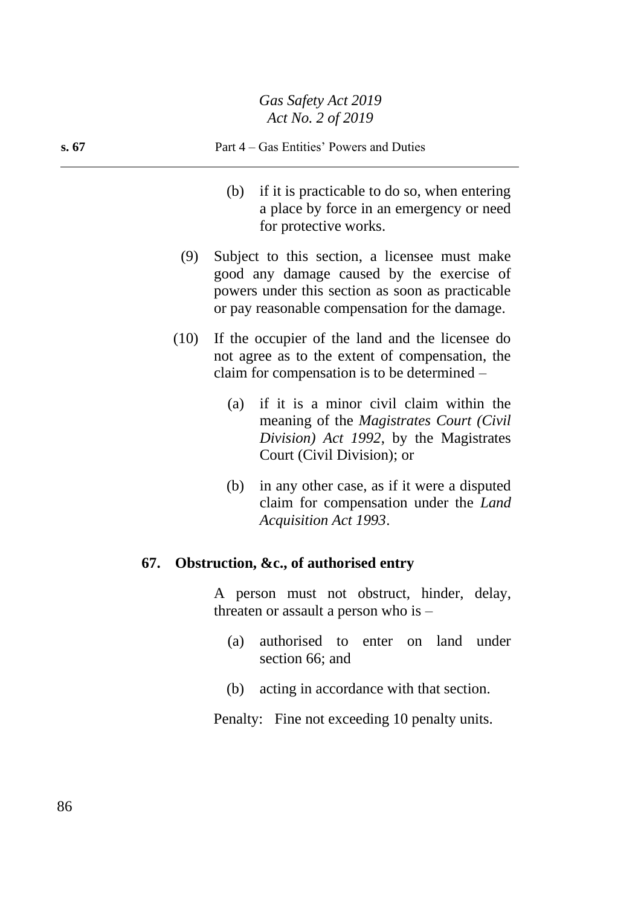# **s. 67** Part 4 – Gas Entities' Powers and Duties

- (b) if it is practicable to do so, when entering a place by force in an emergency or need for protective works.
- (9) Subject to this section, a licensee must make good any damage caused by the exercise of powers under this section as soon as practicable or pay reasonable compensation for the damage.
- (10) If the occupier of the land and the licensee do not agree as to the extent of compensation, the claim for compensation is to be determined –
	- (a) if it is a minor civil claim within the meaning of the *Magistrates Court (Civil Division) Act 1992*, by the Magistrates Court (Civil Division); or
	- (b) in any other case, as if it were a disputed claim for compensation under the *Land Acquisition Act 1993*.

## **67. Obstruction, &c., of authorised entry**

A person must not obstruct, hinder, delay, threaten or assault a person who is –

- (a) authorised to enter on land under section 66; and
- (b) acting in accordance with that section.

Penalty: Fine not exceeding 10 penalty units.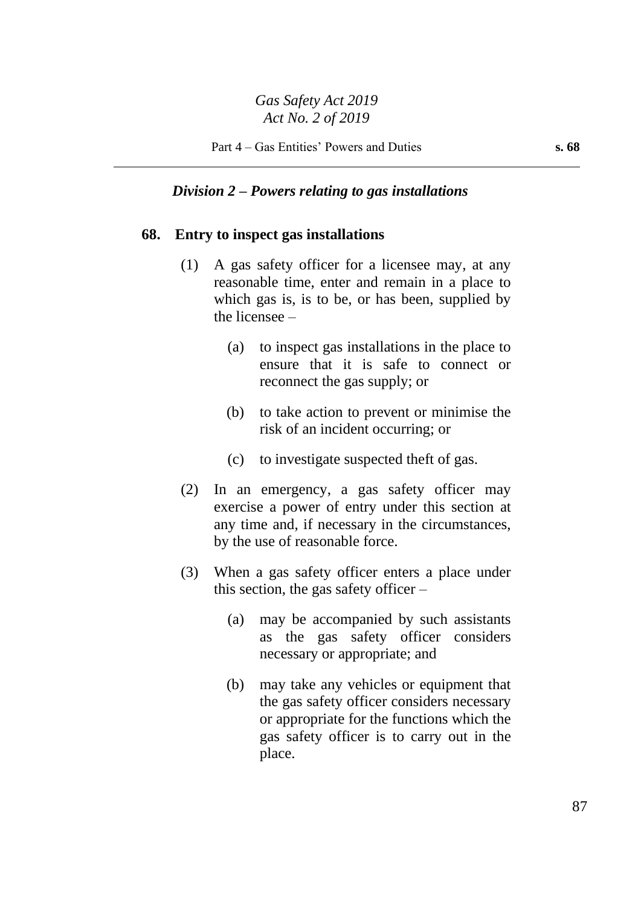#### *Division 2 – Powers relating to gas installations*

#### **68. Entry to inspect gas installations**

- (1) A gas safety officer for a licensee may, at any reasonable time, enter and remain in a place to which gas is, is to be, or has been, supplied by the licensee –
	- (a) to inspect gas installations in the place to ensure that it is safe to connect or reconnect the gas supply; or
	- (b) to take action to prevent or minimise the risk of an incident occurring; or
	- (c) to investigate suspected theft of gas.
- (2) In an emergency, a gas safety officer may exercise a power of entry under this section at any time and, if necessary in the circumstances, by the use of reasonable force.
- (3) When a gas safety officer enters a place under this section, the gas safety officer  $-$ 
	- (a) may be accompanied by such assistants as the gas safety officer considers necessary or appropriate; and
	- (b) may take any vehicles or equipment that the gas safety officer considers necessary or appropriate for the functions which the gas safety officer is to carry out in the place.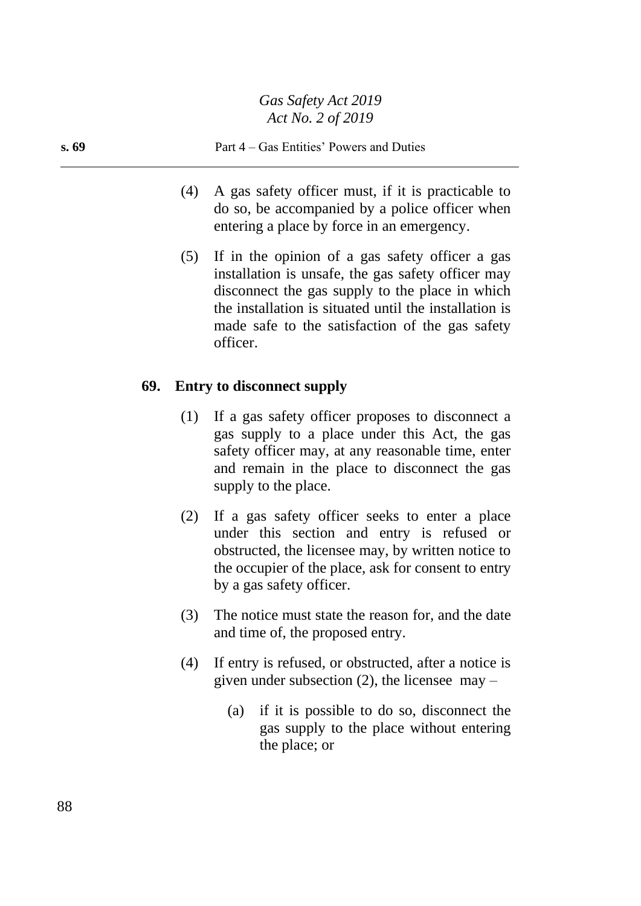- (4) A gas safety officer must, if it is practicable to do so, be accompanied by a police officer when entering a place by force in an emergency.
- (5) If in the opinion of a gas safety officer a gas installation is unsafe, the gas safety officer may disconnect the gas supply to the place in which the installation is situated until the installation is made safe to the satisfaction of the gas safety officer.

#### **69. Entry to disconnect supply**

- (1) If a gas safety officer proposes to disconnect a gas supply to a place under this Act, the gas safety officer may, at any reasonable time, enter and remain in the place to disconnect the gas supply to the place.
- (2) If a gas safety officer seeks to enter a place under this section and entry is refused or obstructed, the licensee may, by written notice to the occupier of the place, ask for consent to entry by a gas safety officer.
- (3) The notice must state the reason for, and the date and time of, the proposed entry.
- (4) If entry is refused, or obstructed, after a notice is given under subsection  $(2)$ , the licensee may –
	- (a) if it is possible to do so, disconnect the gas supply to the place without entering the place; or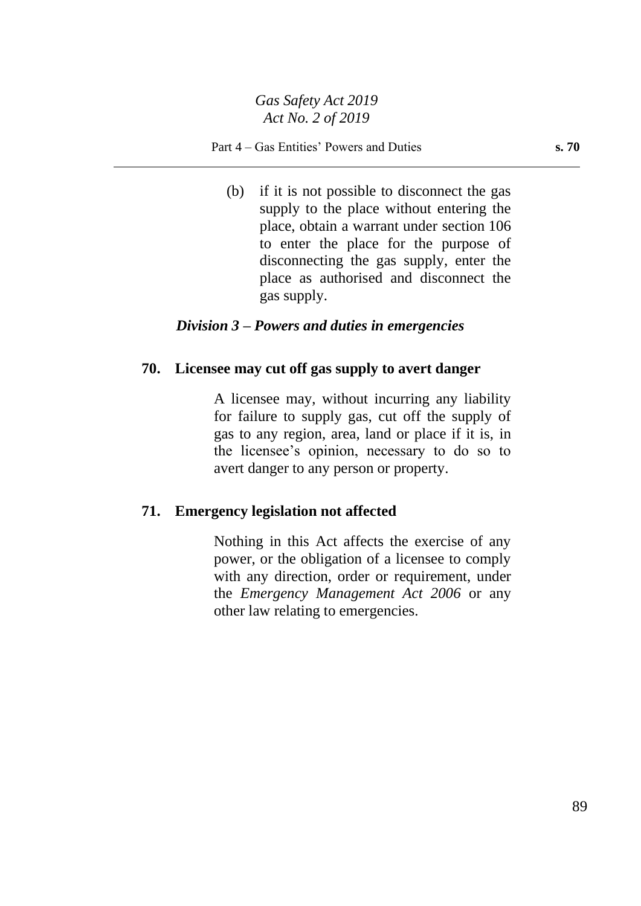(b) if it is not possible to disconnect the gas supply to the place without entering the place, obtain a warrant under section 106 to enter the place for the purpose of disconnecting the gas supply, enter the place as authorised and disconnect the gas supply.

#### *Division 3 – Powers and duties in emergencies*

#### **70. Licensee may cut off gas supply to avert danger**

A licensee may, without incurring any liability for failure to supply gas, cut off the supply of gas to any region, area, land or place if it is, in the licensee's opinion, necessary to do so to avert danger to any person or property.

#### **71. Emergency legislation not affected**

Nothing in this Act affects the exercise of any power, or the obligation of a licensee to comply with any direction, order or requirement, under the *Emergency Management Act 2006* or any other law relating to emergencies.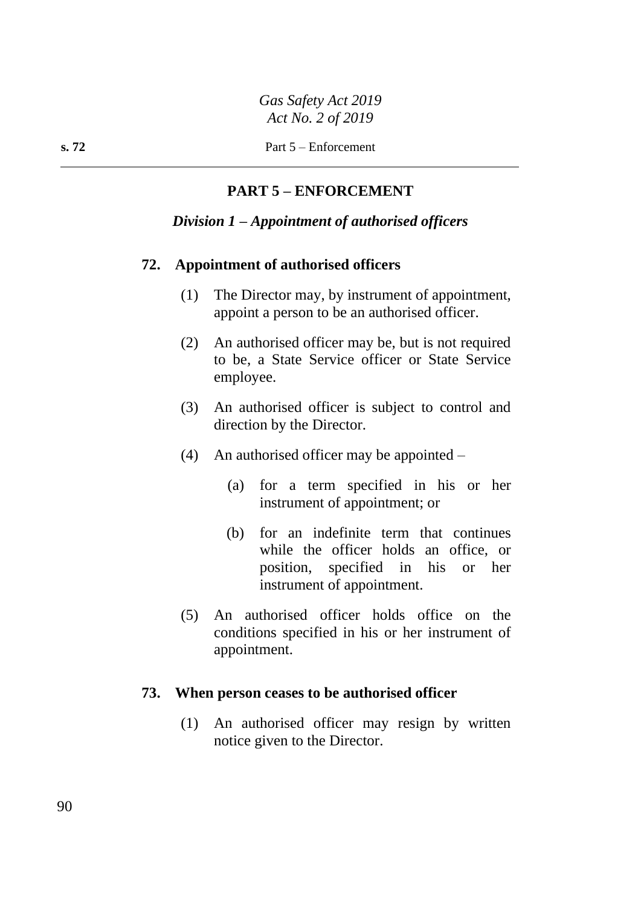## **PART 5 – ENFORCEMENT**

#### *Division 1 – Appointment of authorised officers*

#### **72. Appointment of authorised officers**

- (1) The Director may, by instrument of appointment, appoint a person to be an authorised officer.
- (2) An authorised officer may be, but is not required to be, a State Service officer or State Service employee.
- (3) An authorised officer is subject to control and direction by the Director.
- (4) An authorised officer may be appointed
	- (a) for a term specified in his or her instrument of appointment; or
	- (b) for an indefinite term that continues while the officer holds an office, or position, specified in his or her instrument of appointment.
- (5) An authorised officer holds office on the conditions specified in his or her instrument of appointment.

#### **73. When person ceases to be authorised officer**

(1) An authorised officer may resign by written notice given to the Director.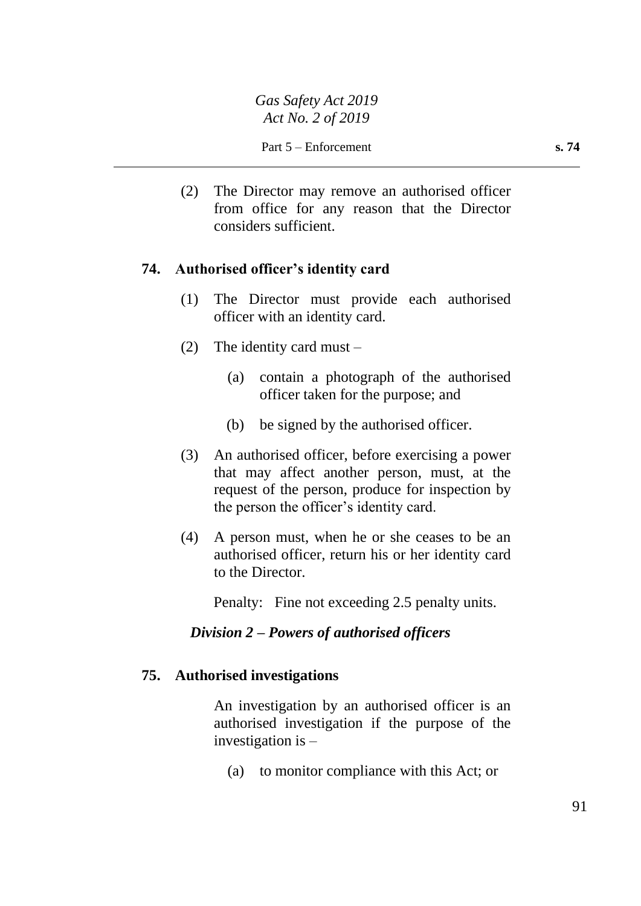Part 5 – Enforcement **s. 74** 

(2) The Director may remove an authorised officer from office for any reason that the Director considers sufficient.

## **74. Authorised officer's identity card**

- (1) The Director must provide each authorised officer with an identity card.
- (2) The identity card must
	- (a) contain a photograph of the authorised officer taken for the purpose; and
	- (b) be signed by the authorised officer.
- (3) An authorised officer, before exercising a power that may affect another person, must, at the request of the person, produce for inspection by the person the officer's identity card.
- (4) A person must, when he or she ceases to be an authorised officer, return his or her identity card to the Director.

Penalty: Fine not exceeding 2.5 penalty units.

## *Division 2 – Powers of authorised officers*

#### **75. Authorised investigations**

An investigation by an authorised officer is an authorised investigation if the purpose of the investigation is –

(a) to monitor compliance with this Act; or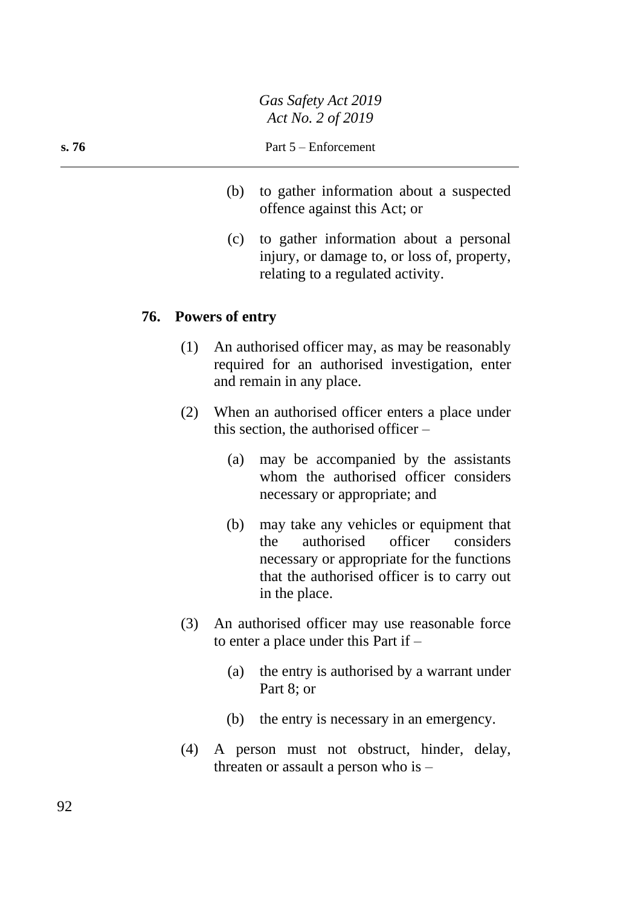- (b) to gather information about a suspected offence against this Act; or
- (c) to gather information about a personal injury, or damage to, or loss of, property, relating to a regulated activity.

#### **76. Powers of entry**

- (1) An authorised officer may, as may be reasonably required for an authorised investigation, enter and remain in any place.
- (2) When an authorised officer enters a place under this section, the authorised officer –
	- (a) may be accompanied by the assistants whom the authorised officer considers necessary or appropriate; and
	- (b) may take any vehicles or equipment that the authorised officer considers necessary or appropriate for the functions that the authorised officer is to carry out in the place.
- (3) An authorised officer may use reasonable force to enter a place under this Part if –
	- (a) the entry is authorised by a warrant under Part 8; or
	- (b) the entry is necessary in an emergency.
- (4) A person must not obstruct, hinder, delay, threaten or assault a person who is –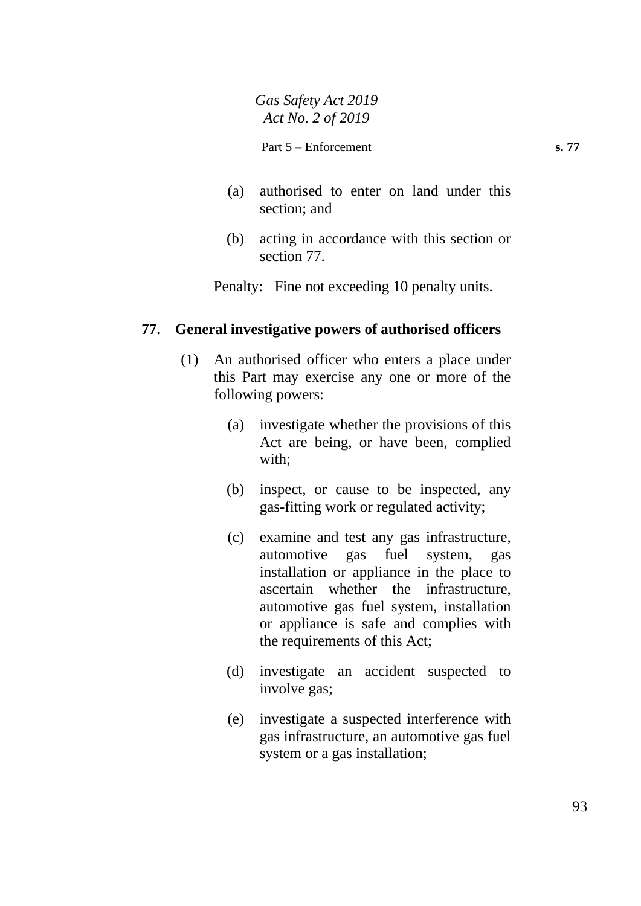- (a) authorised to enter on land under this section; and
- (b) acting in accordance with this section or section 77.

Penalty: Fine not exceeding 10 penalty units.

#### **77. General investigative powers of authorised officers**

- (1) An authorised officer who enters a place under this Part may exercise any one or more of the following powers:
	- (a) investigate whether the provisions of this Act are being, or have been, complied with;
	- (b) inspect, or cause to be inspected, any gas-fitting work or regulated activity;
	- (c) examine and test any gas infrastructure, automotive gas fuel system, gas installation or appliance in the place to ascertain whether the infrastructure, automotive gas fuel system, installation or appliance is safe and complies with the requirements of this Act;
	- (d) investigate an accident suspected to involve gas;
	- (e) investigate a suspected interference with gas infrastructure, an automotive gas fuel system or a gas installation;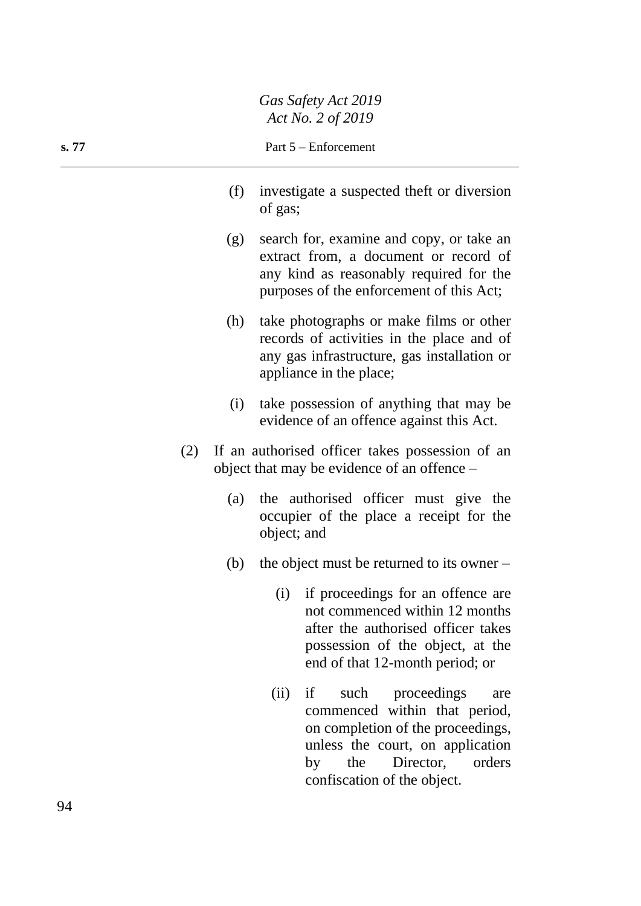|       |                      | $11011101 = 012017$                                                                                                                                                      |
|-------|----------------------|--------------------------------------------------------------------------------------------------------------------------------------------------------------------------|
| s. 77 | Part 5 – Enforcement |                                                                                                                                                                          |
|       | (f)                  | investigate a suspected theft or diversion<br>of gas;                                                                                                                    |
|       | (g)                  | search for, examine and copy, or take an<br>extract from, a document or record of<br>any kind as reasonably required for the<br>purposes of the enforcement of this Act; |
|       | (h)                  | take photographs or make films or other<br>records of activities in the place and of<br>any gas infrastructure, gas installation or<br>appliance in the place;           |
|       | (1)                  | take possession of anything that may be                                                                                                                                  |

- (2) If an authorised officer takes possession of an object that may be evidence of an offence –
	- (a) the authorised officer must give the occupier of the place a receipt for the object; and

evidence of an offence against this Act.

- (b) the object must be returned to its owner
	- (i) if proceedings for an offence are not commenced within 12 months after the authorised officer takes possession of the object, at the end of that 12-month period; or

(ii) if such proceedings are commenced within that period, on completion of the proceedings, unless the court, on application by the Director, orders confiscation of the object.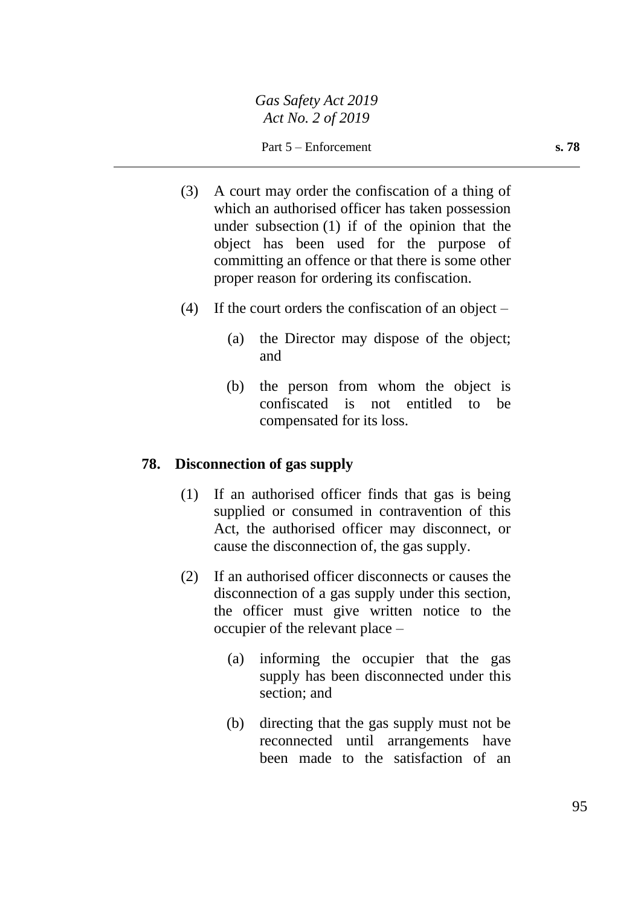Part 5 – Enforcement **s. 78** 

- (3) A court may order the confiscation of a thing of which an authorised officer has taken possession under subsection (1) if of the opinion that the object has been used for the purpose of committing an offence or that there is some other proper reason for ordering its confiscation.
- (4) If the court orders the confiscation of an object  $-$ 
	- (a) the Director may dispose of the object; and
	- (b) the person from whom the object is confiscated is not entitled to be compensated for its loss.

#### **78. Disconnection of gas supply**

- (1) If an authorised officer finds that gas is being supplied or consumed in contravention of this Act, the authorised officer may disconnect, or cause the disconnection of, the gas supply.
- (2) If an authorised officer disconnects or causes the disconnection of a gas supply under this section, the officer must give written notice to the occupier of the relevant place –
	- (a) informing the occupier that the gas supply has been disconnected under this section; and
	- (b) directing that the gas supply must not be reconnected until arrangements have been made to the satisfaction of an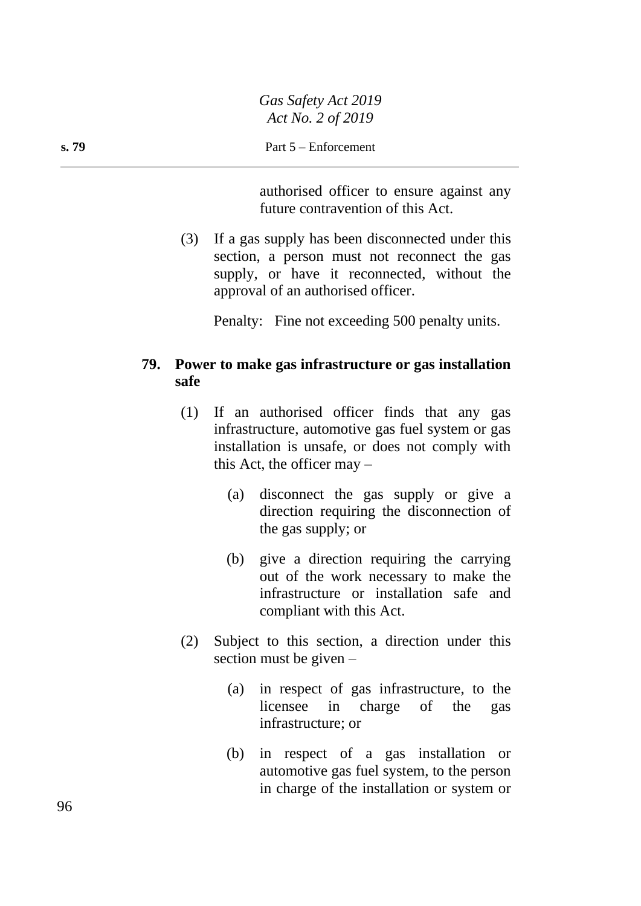authorised officer to ensure against any future contravention of this Act.

(3) If a gas supply has been disconnected under this section, a person must not reconnect the gas supply, or have it reconnected, without the approval of an authorised officer.

Penalty: Fine not exceeding 500 penalty units.

## **79. Power to make gas infrastructure or gas installation safe**

- (1) If an authorised officer finds that any gas infrastructure, automotive gas fuel system or gas installation is unsafe, or does not comply with this Act, the officer may –
	- (a) disconnect the gas supply or give a direction requiring the disconnection of the gas supply; or
	- (b) give a direction requiring the carrying out of the work necessary to make the infrastructure or installation safe and compliant with this Act.
- (2) Subject to this section, a direction under this section must be given –
	- (a) in respect of gas infrastructure, to the licensee in charge of the gas infrastructure; or
	- (b) in respect of a gas installation or automotive gas fuel system, to the person in charge of the installation or system or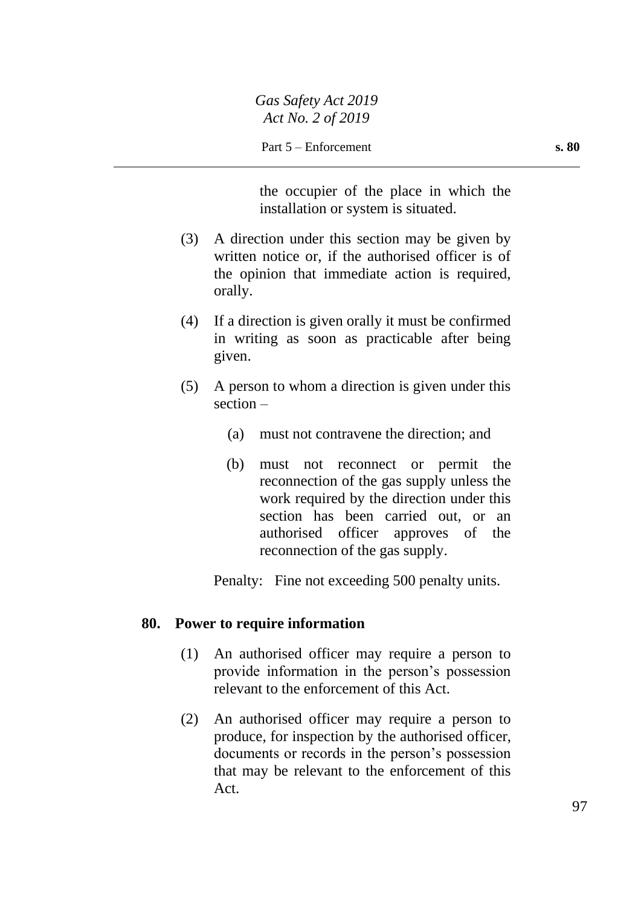the occupier of the place in which the installation or system is situated.

- (3) A direction under this section may be given by written notice or, if the authorised officer is of the opinion that immediate action is required, orally.
- (4) If a direction is given orally it must be confirmed in writing as soon as practicable after being given.
- (5) A person to whom a direction is given under this section –
	- (a) must not contravene the direction; and
	- (b) must not reconnect or permit the reconnection of the gas supply unless the work required by the direction under this section has been carried out, or an authorised officer approves of the reconnection of the gas supply.

Penalty: Fine not exceeding 500 penalty units.

#### **80. Power to require information**

- (1) An authorised officer may require a person to provide information in the person's possession relevant to the enforcement of this Act.
- (2) An authorised officer may require a person to produce, for inspection by the authorised officer, documents or records in the person's possession that may be relevant to the enforcement of this Act.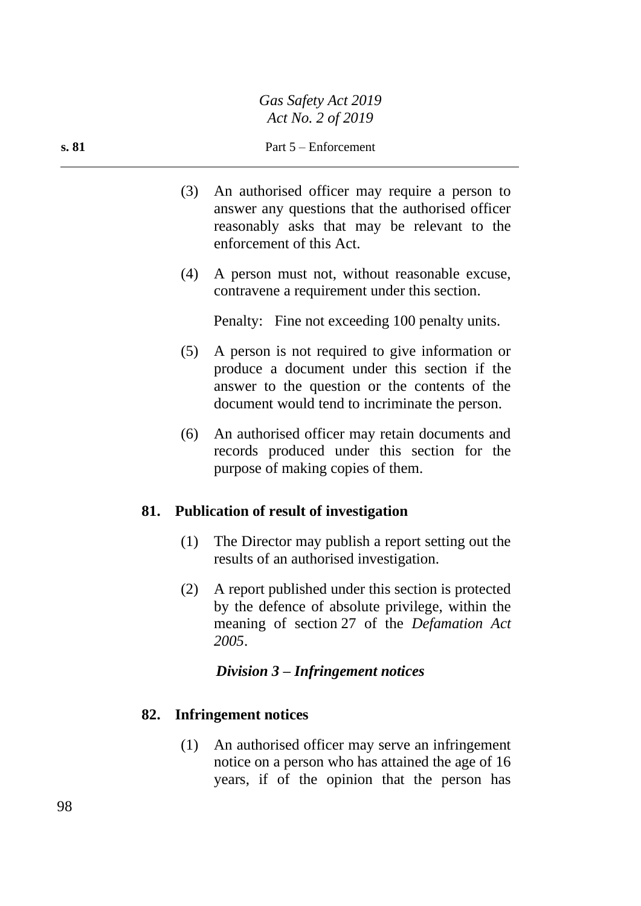- (3) An authorised officer may require a person to answer any questions that the authorised officer reasonably asks that may be relevant to the enforcement of this Act.
- (4) A person must not, without reasonable excuse, contravene a requirement under this section.

Penalty: Fine not exceeding 100 penalty units.

- (5) A person is not required to give information or produce a document under this section if the answer to the question or the contents of the document would tend to incriminate the person.
- (6) An authorised officer may retain documents and records produced under this section for the purpose of making copies of them.

#### **81. Publication of result of investigation**

- (1) The Director may publish a report setting out the results of an authorised investigation.
- (2) A report published under this section is protected by the defence of absolute privilege, within the meaning of section 27 of the *Defamation Act 2005*.

#### *Division 3 – Infringement notices*

#### **82. Infringement notices**

(1) An authorised officer may serve an infringement notice on a person who has attained the age of 16 years, if of the opinion that the person has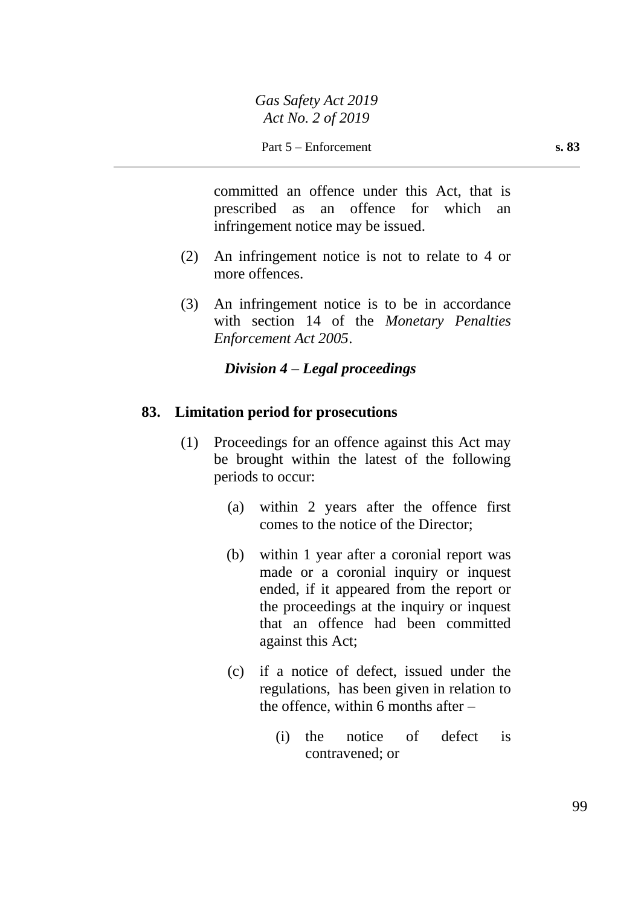committed an offence under this Act, that is prescribed as an offence for which an infringement notice may be issued.

- (2) An infringement notice is not to relate to 4 or more offences.
- (3) An infringement notice is to be in accordance with section 14 of the *Monetary Penalties Enforcement Act 2005*.

## *Division 4 – Legal proceedings*

## **83. Limitation period for prosecutions**

- (1) Proceedings for an offence against this Act may be brought within the latest of the following periods to occur:
	- (a) within 2 years after the offence first comes to the notice of the Director;
	- (b) within 1 year after a coronial report was made or a coronial inquiry or inquest ended, if it appeared from the report or the proceedings at the inquiry or inquest that an offence had been committed against this Act;
	- (c) if a notice of defect, issued under the regulations, has been given in relation to the offence, within 6 months after  $-$ 
		- (i) the notice of defect is contravened; or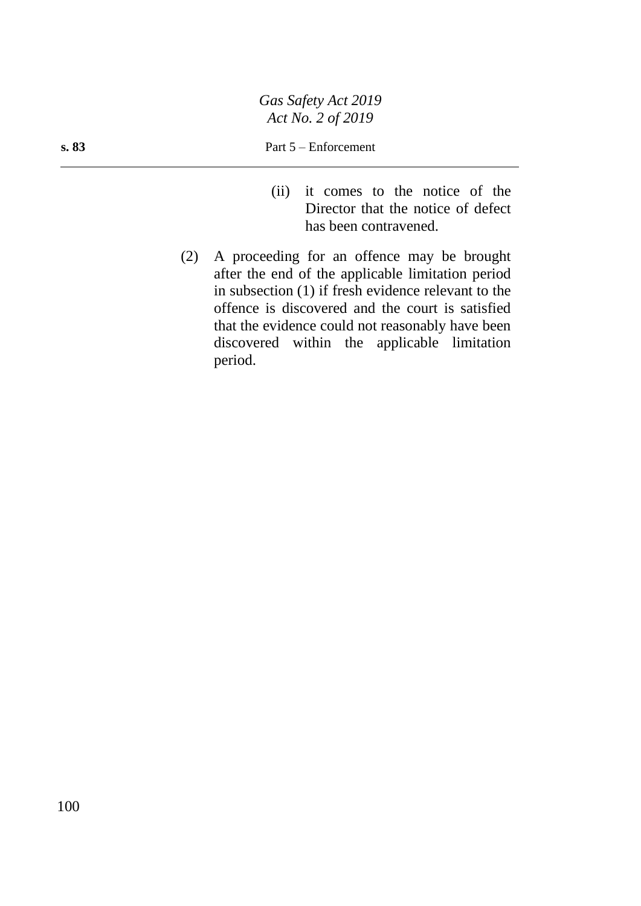#### **s. 83** Part 5 – Enforcement

- (ii) it comes to the notice of the Director that the notice of defect has been contravened.
- (2) A proceeding for an offence may be brought after the end of the applicable limitation period in subsection (1) if fresh evidence relevant to the offence is discovered and the court is satisfied that the evidence could not reasonably have been discovered within the applicable limitation period.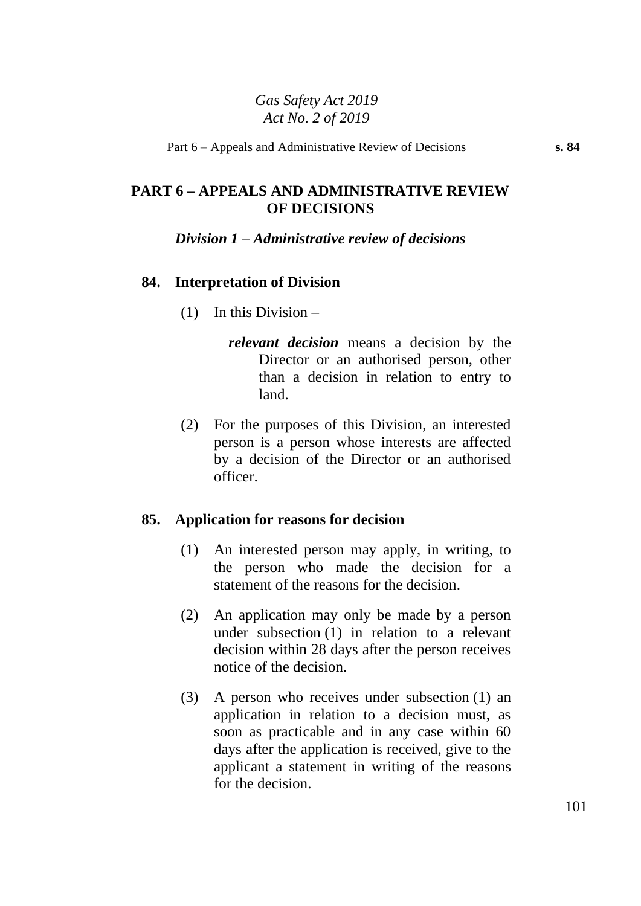## **PART 6 – APPEALS AND ADMINISTRATIVE REVIEW OF DECISIONS**

#### *Division 1 – Administrative review of decisions*

#### **84. Interpretation of Division**

- (1) In this Division
	- *relevant decision* means a decision by the Director or an authorised person, other than a decision in relation to entry to land.
- (2) For the purposes of this Division, an interested person is a person whose interests are affected by a decision of the Director or an authorised officer.

#### **85. Application for reasons for decision**

- (1) An interested person may apply, in writing, to the person who made the decision for a statement of the reasons for the decision.
- (2) An application may only be made by a person under subsection (1) in relation to a relevant decision within 28 days after the person receives notice of the decision.
- (3) A person who receives under subsection (1) an application in relation to a decision must, as soon as practicable and in any case within 60 days after the application is received, give to the applicant a statement in writing of the reasons for the decision.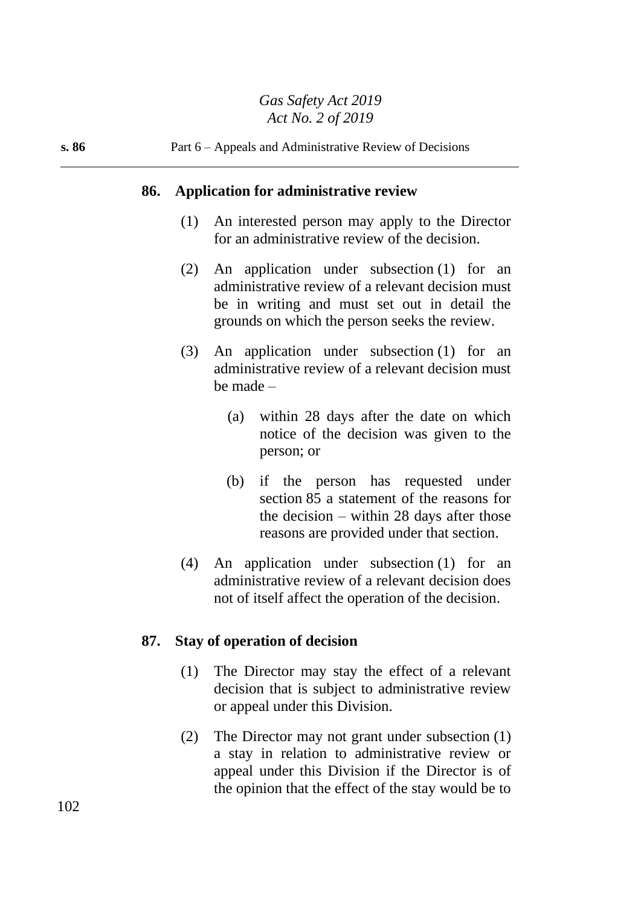#### **86. Application for administrative review**

- (1) An interested person may apply to the Director for an administrative review of the decision.
- (2) An application under subsection (1) for an administrative review of a relevant decision must be in writing and must set out in detail the grounds on which the person seeks the review.
- (3) An application under subsection (1) for an administrative review of a relevant decision must be made –
	- (a) within 28 days after the date on which notice of the decision was given to the person; or
	- (b) if the person has requested under section 85 a statement of the reasons for the decision – within 28 days after those reasons are provided under that section.
- (4) An application under subsection (1) for an administrative review of a relevant decision does not of itself affect the operation of the decision.

#### **87. Stay of operation of decision**

- (1) The Director may stay the effect of a relevant decision that is subject to administrative review or appeal under this Division.
- (2) The Director may not grant under subsection (1) a stay in relation to administrative review or appeal under this Division if the Director is of the opinion that the effect of the stay would be to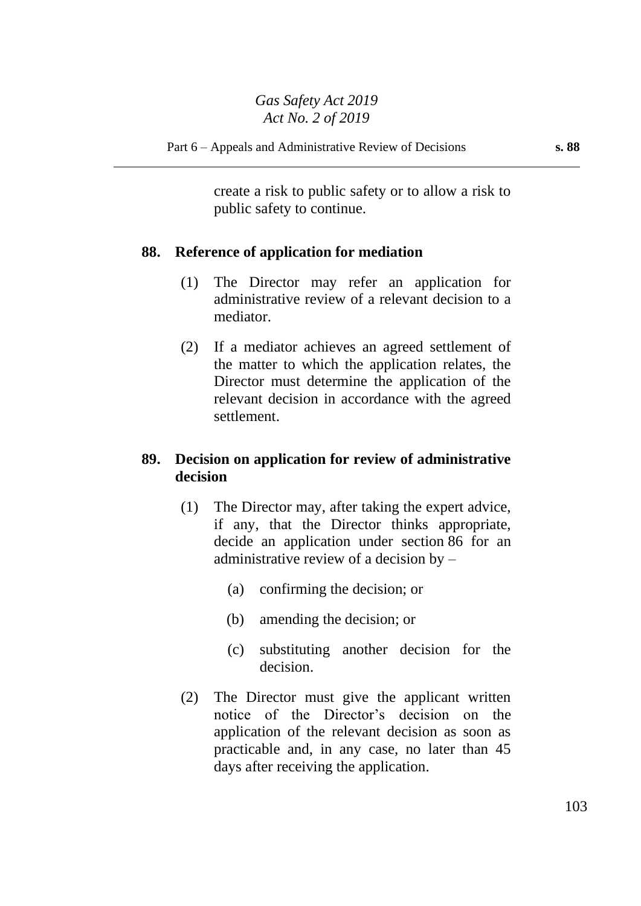create a risk to public safety or to allow a risk to public safety to continue.

## **88. Reference of application for mediation**

- (1) The Director may refer an application for administrative review of a relevant decision to a mediator.
- (2) If a mediator achieves an agreed settlement of the matter to which the application relates, the Director must determine the application of the relevant decision in accordance with the agreed settlement.

## **89. Decision on application for review of administrative decision**

- (1) The Director may, after taking the expert advice, if any, that the Director thinks appropriate, decide an application under section 86 for an administrative review of a decision by –
	- (a) confirming the decision; or
	- (b) amending the decision; or
	- (c) substituting another decision for the decision.
- (2) The Director must give the applicant written notice of the Director's decision on the application of the relevant decision as soon as practicable and, in any case, no later than 45 days after receiving the application.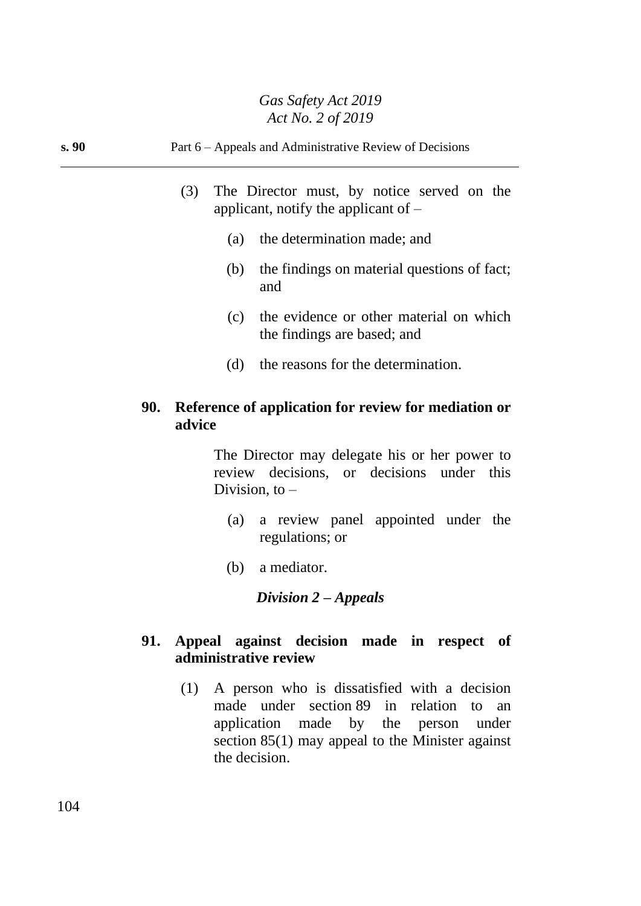|      |                  | 1101110.2012                                                                                                                                           |  |  |
|------|------------------|--------------------------------------------------------------------------------------------------------------------------------------------------------|--|--|
| s.90 |                  | Part 6 – Appeals and Administrative Review of Decisions<br>(3)<br>The Director must, by notice served on the<br>applicant, notify the applicant of $-$ |  |  |
|      |                  |                                                                                                                                                        |  |  |
|      | (a)              | the determination made; and                                                                                                                            |  |  |
|      | (b)<br>and       | the findings on material questions of fact;                                                                                                            |  |  |
|      | (c)              | the evidence or other material on which<br>the findings are based; and                                                                                 |  |  |
|      | (d)              | the reasons for the determination.                                                                                                                     |  |  |
|      | 90.<br>advice    | Reference of application for review for mediation or                                                                                                   |  |  |
|      | Division, to $-$ | The Director may delegate his or her power to<br>review decisions, or decisions under this                                                             |  |  |
|      | (a)              | a review panel appointed under the<br>regulations; or                                                                                                  |  |  |

(b) a mediator.

*Division 2 – Appeals*

## **91. Appeal against decision made in respect of administrative review**

(1) A person who is dissatisfied with a decision made under section 89 in relation to an application made by the person under section 85(1) may appeal to the Minister against the decision.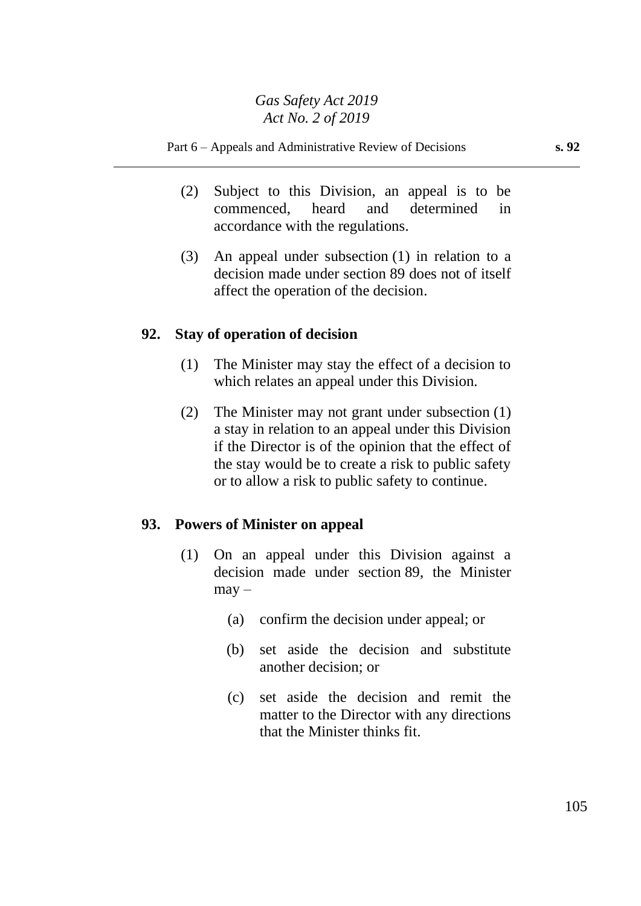#### Part 6 – Appeals and Administrative Review of Decisions **s. 92**

- (2) Subject to this Division, an appeal is to be commenced, heard and determined in accordance with the regulations.
- (3) An appeal under subsection (1) in relation to a decision made under section 89 does not of itself affect the operation of the decision.

#### **92. Stay of operation of decision**

- (1) The Minister may stay the effect of a decision to which relates an appeal under this Division.
- (2) The Minister may not grant under subsection (1) a stay in relation to an appeal under this Division if the Director is of the opinion that the effect of the stay would be to create a risk to public safety or to allow a risk to public safety to continue.

#### **93. Powers of Minister on appeal**

- (1) On an appeal under this Division against a decision made under section 89, the Minister  $may -$ 
	- (a) confirm the decision under appeal; or
	- (b) set aside the decision and substitute another decision; or
	- (c) set aside the decision and remit the matter to the Director with any directions that the Minister thinks fit.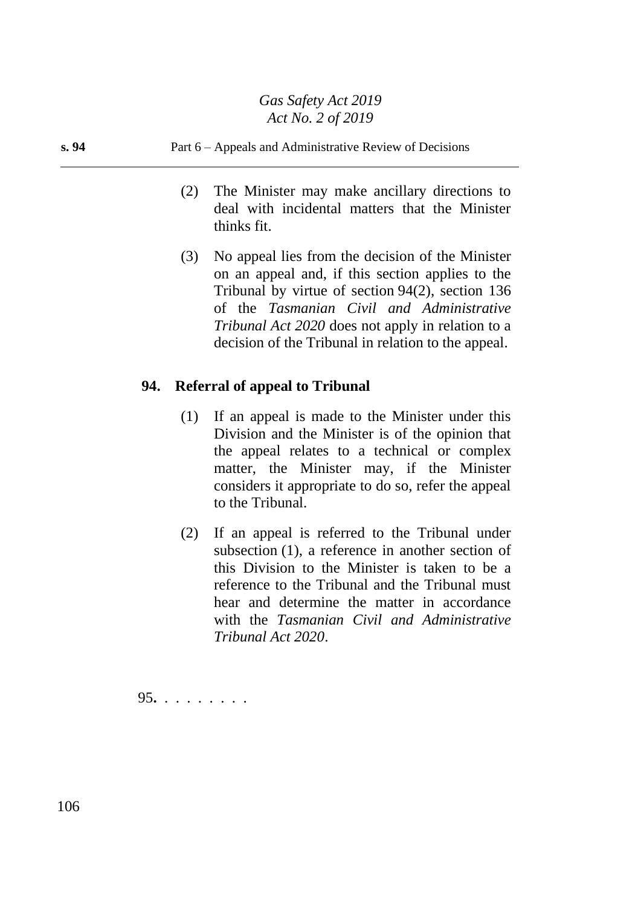#### **s. 94** Part 6 – Appeals and Administrative Review of Decisions

- (2) The Minister may make ancillary directions to deal with incidental matters that the Minister thinks fit.
- (3) No appeal lies from the decision of the Minister on an appeal and, if this section applies to the Tribunal by virtue of section 94(2), section 136 of the *Tasmanian Civil and Administrative Tribunal Act 2020* does not apply in relation to a decision of the Tribunal in relation to the appeal.

## **94. Referral of appeal to Tribunal**

- (1) If an appeal is made to the Minister under this Division and the Minister is of the opinion that the appeal relates to a technical or complex matter, the Minister may, if the Minister considers it appropriate to do so, refer the appeal to the Tribunal.
- (2) If an appeal is referred to the Tribunal under subsection (1), a reference in another section of this Division to the Minister is taken to be a reference to the Tribunal and the Tribunal must hear and determine the matter in accordance with the *Tasmanian Civil and Administrative Tribunal Act 2020*.

95**.** . . . . . . . .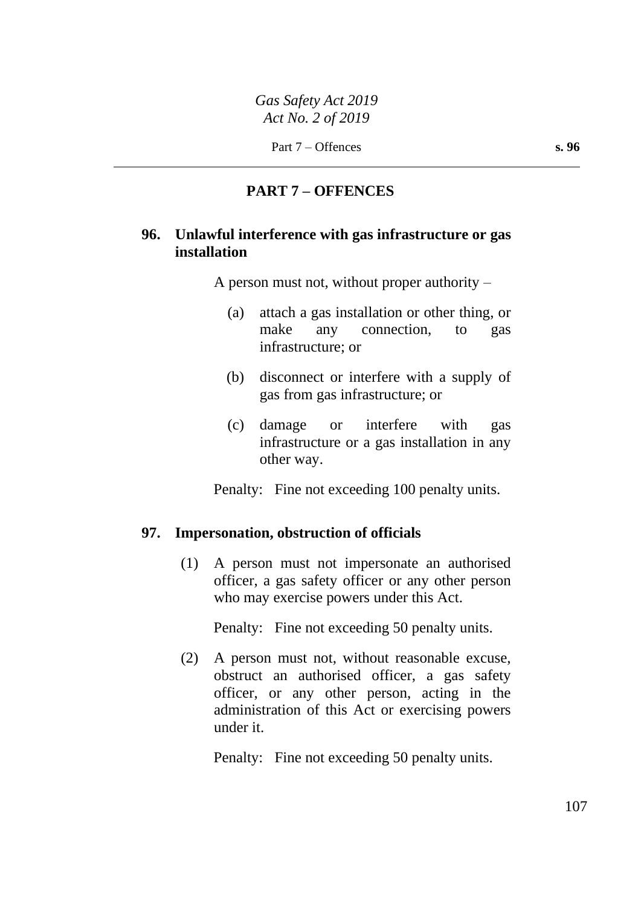## **PART 7 – OFFENCES**

#### **96. Unlawful interference with gas infrastructure or gas installation**

A person must not, without proper authority –

- (a) attach a gas installation or other thing, or make any connection, to gas infrastructure; or
- (b) disconnect or interfere with a supply of gas from gas infrastructure; or
- (c) damage or interfere with gas infrastructure or a gas installation in any other way.

Penalty: Fine not exceeding 100 penalty units.

#### **97. Impersonation, obstruction of officials**

(1) A person must not impersonate an authorised officer, a gas safety officer or any other person who may exercise powers under this Act.

Penalty: Fine not exceeding 50 penalty units.

(2) A person must not, without reasonable excuse, obstruct an authorised officer, a gas safety officer, or any other person, acting in the administration of this Act or exercising powers under it.

Penalty: Fine not exceeding 50 penalty units.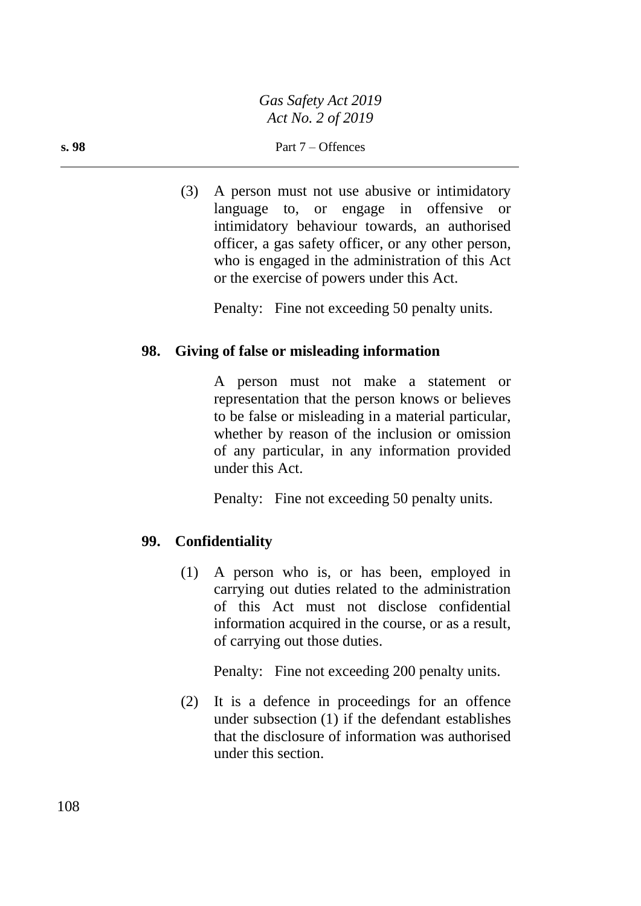(3) A person must not use abusive or intimidatory language to, or engage in offensive or intimidatory behaviour towards, an authorised officer, a gas safety officer, or any other person, who is engaged in the administration of this Act or the exercise of powers under this Act.

Penalty: Fine not exceeding 50 penalty units.

## **98. Giving of false or misleading information**

A person must not make a statement or representation that the person knows or believes to be false or misleading in a material particular, whether by reason of the inclusion or omission of any particular, in any information provided under this Act.

Penalty: Fine not exceeding 50 penalty units.

## **99. Confidentiality**

(1) A person who is, or has been, employed in carrying out duties related to the administration of this Act must not disclose confidential information acquired in the course, or as a result, of carrying out those duties.

Penalty: Fine not exceeding 200 penalty units.

(2) It is a defence in proceedings for an offence under subsection (1) if the defendant establishes that the disclosure of information was authorised under this section.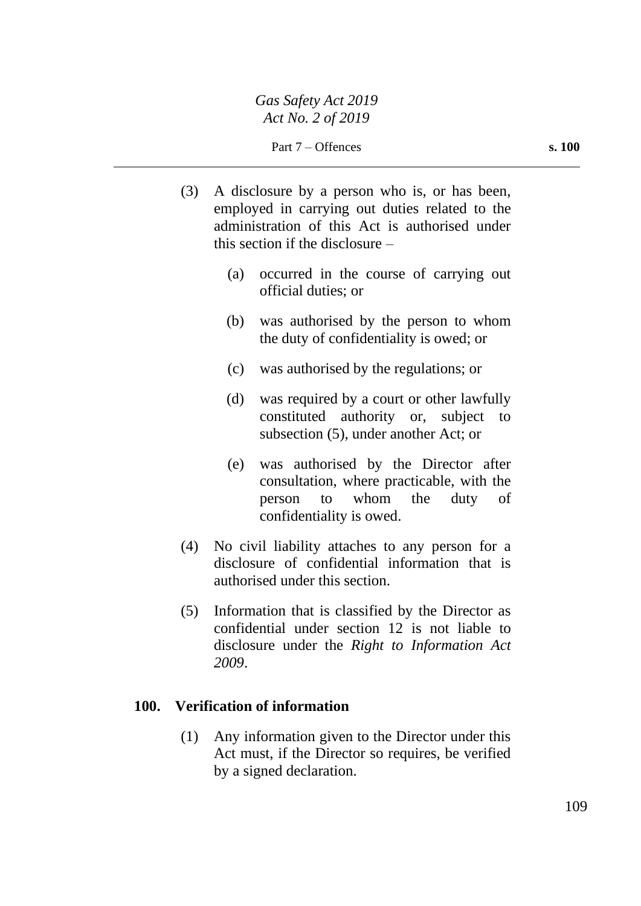Part 7 – Offences **s. 100** 

- (3) A disclosure by a person who is, or has been, employed in carrying out duties related to the administration of this Act is authorised under this section if the disclosure –
	- (a) occurred in the course of carrying out official duties; or
	- (b) was authorised by the person to whom the duty of confidentiality is owed; or
	- (c) was authorised by the regulations; or
	- (d) was required by a court or other lawfully constituted authority or, subject to subsection (5), under another Act; or
	- (e) was authorised by the Director after consultation, where practicable, with the person to whom the duty of confidentiality is owed.
- (4) No civil liability attaches to any person for a disclosure of confidential information that is authorised under this section.
- (5) Information that is classified by the Director as confidential under section 12 is not liable to disclosure under the *Right to Information Act 2009*.

# **100. Verification of information**

(1) Any information given to the Director under this Act must, if the Director so requires, be verified by a signed declaration.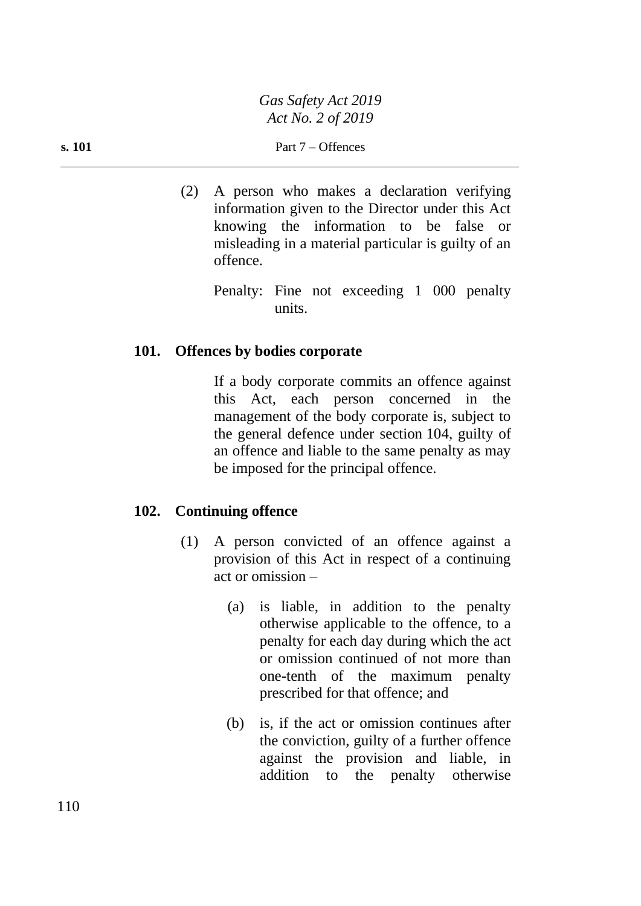*Gas Safety Act 2019 Act No. 2 of 2019*

(2) A person who makes a declaration verifying information given to the Director under this Act knowing the information to be false or misleading in a material particular is guilty of an offence.

Penalty: Fine not exceeding 1 000 penalty units.

#### **101. Offences by bodies corporate**

If a body corporate commits an offence against this Act, each person concerned in the management of the body corporate is, subject to the general defence under section 104, guilty of an offence and liable to the same penalty as may be imposed for the principal offence.

#### **102. Continuing offence**

- (1) A person convicted of an offence against a provision of this Act in respect of a continuing act or omission –
	- (a) is liable, in addition to the penalty otherwise applicable to the offence, to a penalty for each day during which the act or omission continued of not more than one-tenth of the maximum penalty prescribed for that offence; and
	- (b) is, if the act or omission continues after the conviction, guilty of a further offence against the provision and liable, in addition to the penalty otherwise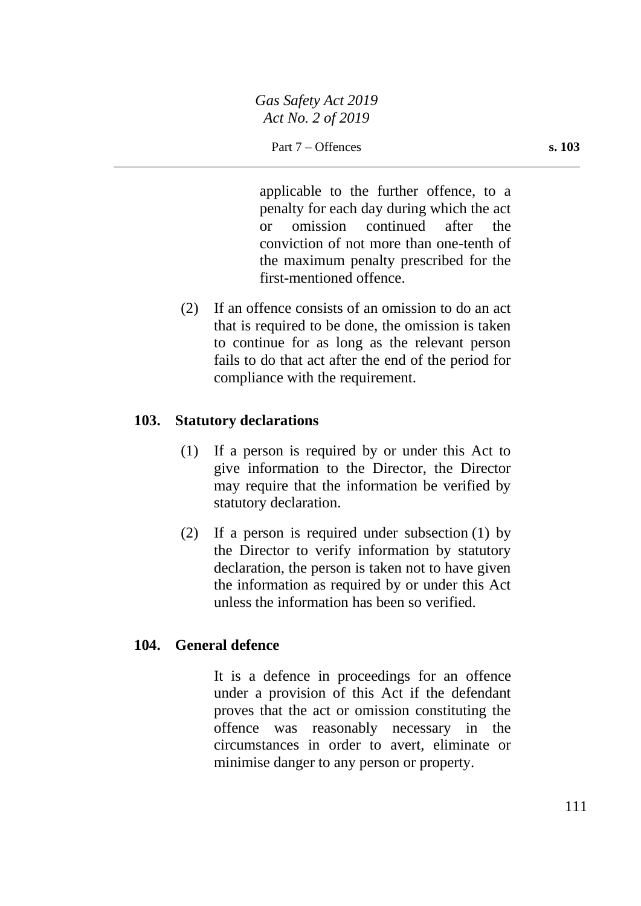applicable to the further offence, to a penalty for each day during which the act or omission continued after the conviction of not more than one-tenth of the maximum penalty prescribed for the first-mentioned offence.

(2) If an offence consists of an omission to do an act that is required to be done, the omission is taken to continue for as long as the relevant person fails to do that act after the end of the period for compliance with the requirement.

# **103. Statutory declarations**

- (1) If a person is required by or under this Act to give information to the Director, the Director may require that the information be verified by statutory declaration.
- (2) If a person is required under subsection (1) by the Director to verify information by statutory declaration, the person is taken not to have given the information as required by or under this Act unless the information has been so verified.

# **104. General defence**

It is a defence in proceedings for an offence under a provision of this Act if the defendant proves that the act or omission constituting the offence was reasonably necessary in the circumstances in order to avert, eliminate or minimise danger to any person or property.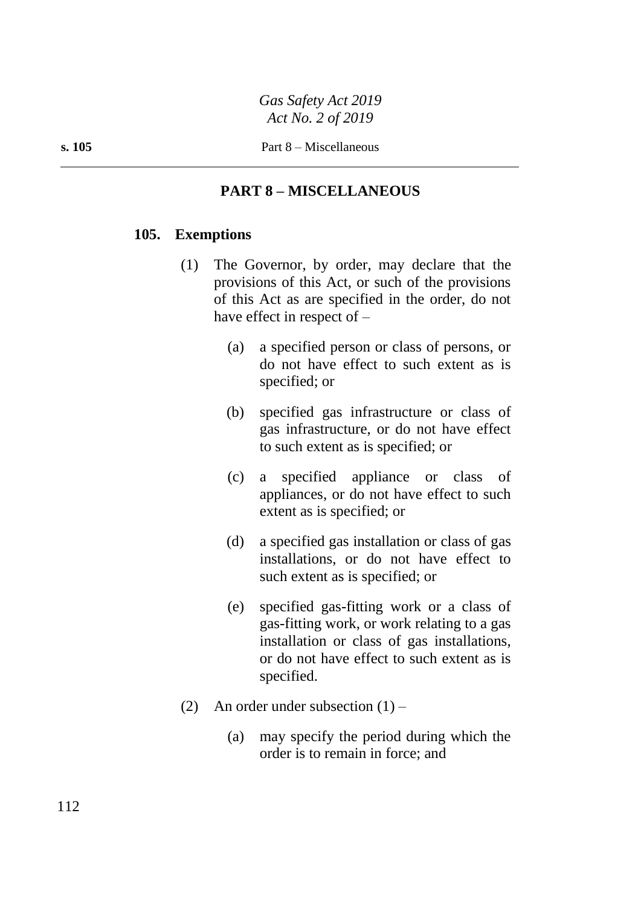# **PART 8 – MISCELLANEOUS**

### **105. Exemptions**

- (1) The Governor, by order, may declare that the provisions of this Act, or such of the provisions of this Act as are specified in the order, do not have effect in respect of –
	- (a) a specified person or class of persons, or do not have effect to such extent as is specified; or
	- (b) specified gas infrastructure or class of gas infrastructure, or do not have effect to such extent as is specified; or
	- (c) a specified appliance or class of appliances, or do not have effect to such extent as is specified; or
	- (d) a specified gas installation or class of gas installations, or do not have effect to such extent as is specified; or
	- (e) specified gas-fitting work or a class of gas-fitting work, or work relating to a gas installation or class of gas installations, or do not have effect to such extent as is specified.
- (2) An order under subsection  $(1)$ 
	- (a) may specify the period during which the order is to remain in force; and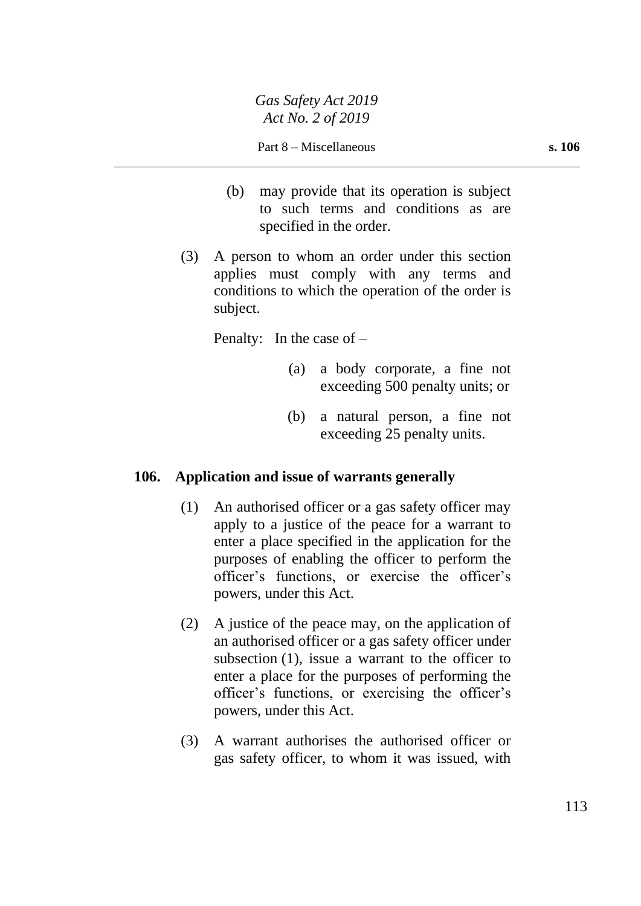- (b) may provide that its operation is subject to such terms and conditions as are specified in the order.
- (3) A person to whom an order under this section applies must comply with any terms and conditions to which the operation of the order is subject.

Penalty: In the case of –

- (a) a body corporate, a fine not exceeding 500 penalty units; or
- (b) a natural person, a fine not exceeding 25 penalty units.

# **106. Application and issue of warrants generally**

- (1) An authorised officer or a gas safety officer may apply to a justice of the peace for a warrant to enter a place specified in the application for the purposes of enabling the officer to perform the officer's functions, or exercise the officer's powers, under this Act.
- (2) A justice of the peace may, on the application of an authorised officer or a gas safety officer under subsection (1), issue a warrant to the officer to enter a place for the purposes of performing the officer's functions, or exercising the officer's powers, under this Act.
- (3) A warrant authorises the authorised officer or gas safety officer, to whom it was issued, with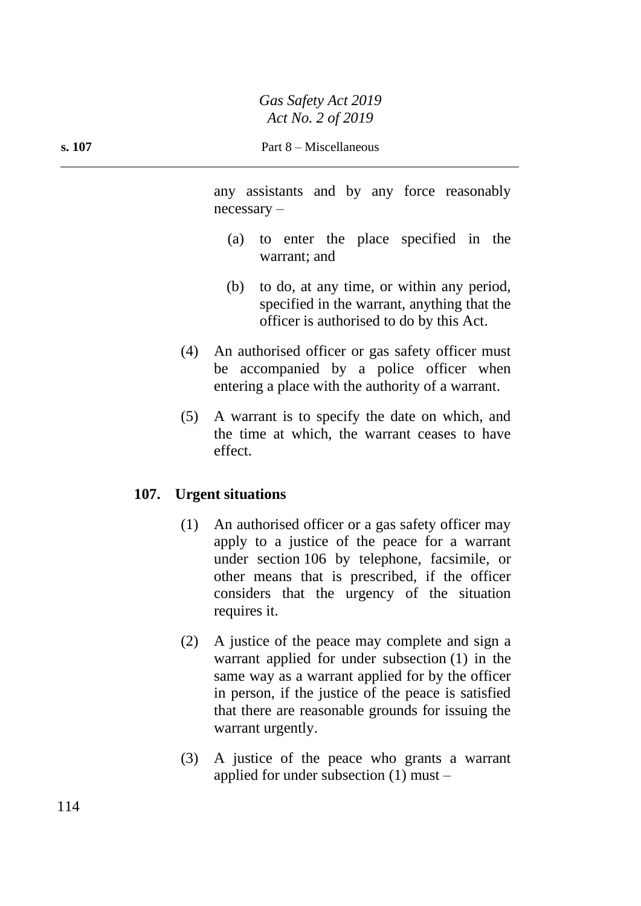any assistants and by any force reasonably necessary –

- (a) to enter the place specified in the warrant; and
- (b) to do, at any time, or within any period, specified in the warrant, anything that the officer is authorised to do by this Act.
- (4) An authorised officer or gas safety officer must be accompanied by a police officer when entering a place with the authority of a warrant.
- (5) A warrant is to specify the date on which, and the time at which, the warrant ceases to have effect.

### **107. Urgent situations**

- (1) An authorised officer or a gas safety officer may apply to a justice of the peace for a warrant under section 106 by telephone, facsimile, or other means that is prescribed, if the officer considers that the urgency of the situation requires it.
- (2) A justice of the peace may complete and sign a warrant applied for under subsection (1) in the same way as a warrant applied for by the officer in person, if the justice of the peace is satisfied that there are reasonable grounds for issuing the warrant urgently.
- (3) A justice of the peace who grants a warrant applied for under subsection (1) must –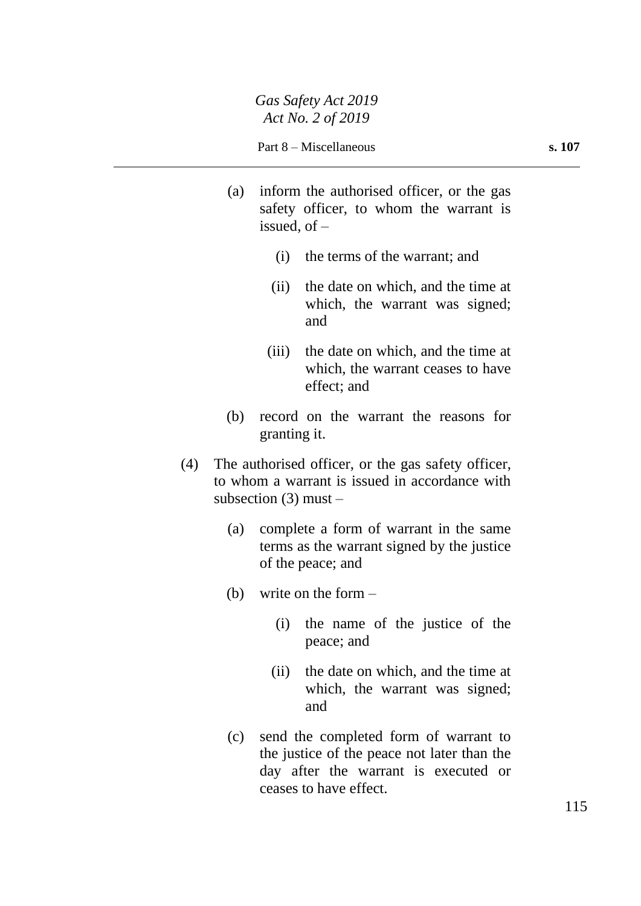- (a) inform the authorised officer, or the gas safety officer, to whom the warrant is issued, of –
	- (i) the terms of the warrant; and
	- (ii) the date on which, and the time at which, the warrant was signed; and
	- (iii) the date on which, and the time at which, the warrant ceases to have effect; and
- (b) record on the warrant the reasons for granting it.
- (4) The authorised officer, or the gas safety officer, to whom a warrant is issued in accordance with subsection  $(3)$  must –
	- (a) complete a form of warrant in the same terms as the warrant signed by the justice of the peace; and
	- (b) write on the form
		- (i) the name of the justice of the peace; and
		- (ii) the date on which, and the time at which, the warrant was signed; and
	- (c) send the completed form of warrant to the justice of the peace not later than the day after the warrant is executed or ceases to have effect.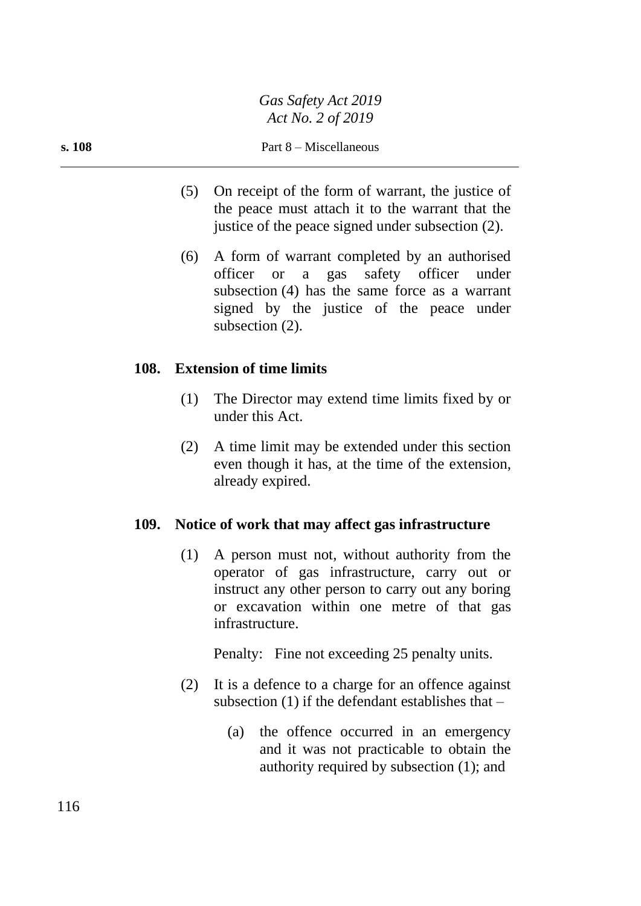- (5) On receipt of the form of warrant, the justice of the peace must attach it to the warrant that the justice of the peace signed under subsection (2).
- (6) A form of warrant completed by an authorised officer or a gas safety officer under subsection (4) has the same force as a warrant signed by the justice of the peace under subsection  $(2)$ .

### **108. Extension of time limits**

- (1) The Director may extend time limits fixed by or under this Act.
- (2) A time limit may be extended under this section even though it has, at the time of the extension, already expired.

### **109. Notice of work that may affect gas infrastructure**

(1) A person must not, without authority from the operator of gas infrastructure, carry out or instruct any other person to carry out any boring or excavation within one metre of that gas infrastructure.

Penalty: Fine not exceeding 25 penalty units.

- (2) It is a defence to a charge for an offence against subsection  $(1)$  if the defendant establishes that –
	- (a) the offence occurred in an emergency and it was not practicable to obtain the authority required by subsection (1); and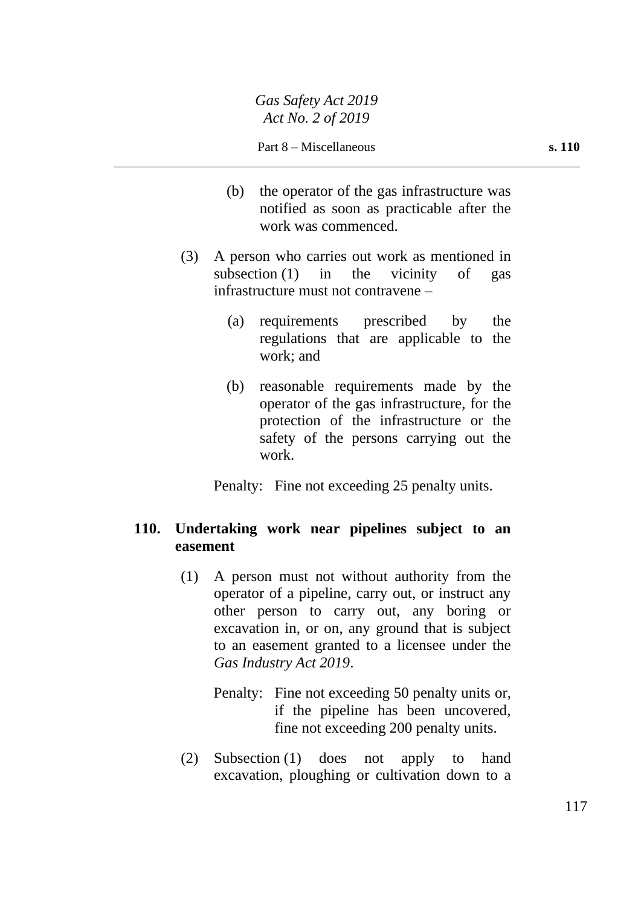- (b) the operator of the gas infrastructure was notified as soon as practicable after the work was commenced.
- (3) A person who carries out work as mentioned in subsection (1) in the vicinity of gas infrastructure must not contravene –
	- (a) requirements prescribed by the regulations that are applicable to the work; and
	- (b) reasonable requirements made by the operator of the gas infrastructure, for the protection of the infrastructure or the safety of the persons carrying out the work.

Penalty: Fine not exceeding 25 penalty units.

# **110. Undertaking work near pipelines subject to an easement**

- (1) A person must not without authority from the operator of a pipeline, carry out, or instruct any other person to carry out, any boring or excavation in, or on, any ground that is subject to an easement granted to a licensee under the *Gas Industry Act 2019*.
	- Penalty: Fine not exceeding 50 penalty units or, if the pipeline has been uncovered, fine not exceeding 200 penalty units.
- (2) Subsection (1) does not apply to hand excavation, ploughing or cultivation down to a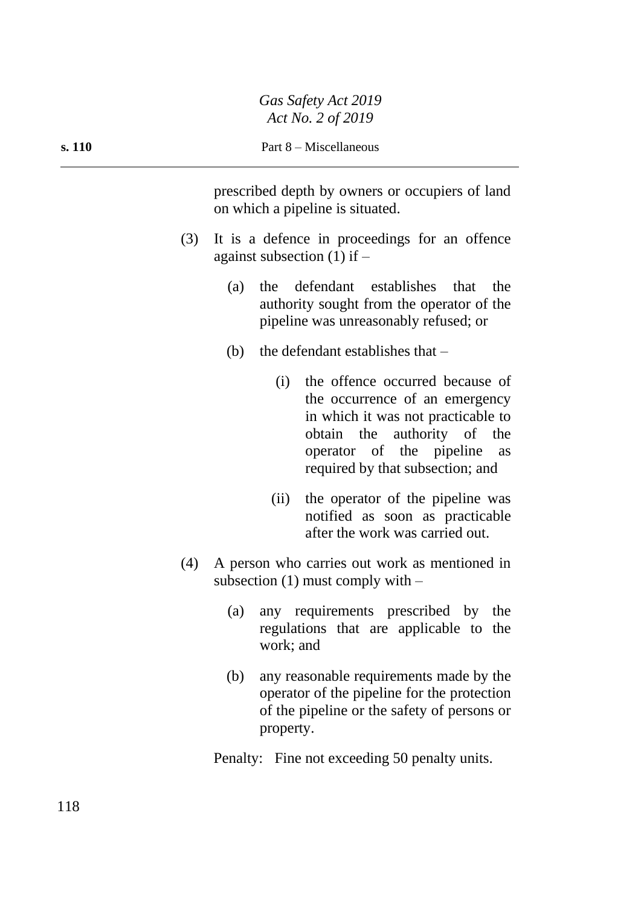prescribed depth by owners or occupiers of land on which a pipeline is situated.

- (3) It is a defence in proceedings for an offence against subsection  $(1)$  if  $-$ 
	- (a) the defendant establishes that the authority sought from the operator of the pipeline was unreasonably refused; or
	- (b) the defendant establishes that  $-$ 
		- (i) the offence occurred because of the occurrence of an emergency in which it was not practicable to obtain the authority of the operator of the pipeline as required by that subsection; and
		- (ii) the operator of the pipeline was notified as soon as practicable after the work was carried out.
- (4) A person who carries out work as mentioned in subsection  $(1)$  must comply with  $-$ 
	- (a) any requirements prescribed by the regulations that are applicable to the work; and
	- (b) any reasonable requirements made by the operator of the pipeline for the protection of the pipeline or the safety of persons or property.

Penalty: Fine not exceeding 50 penalty units.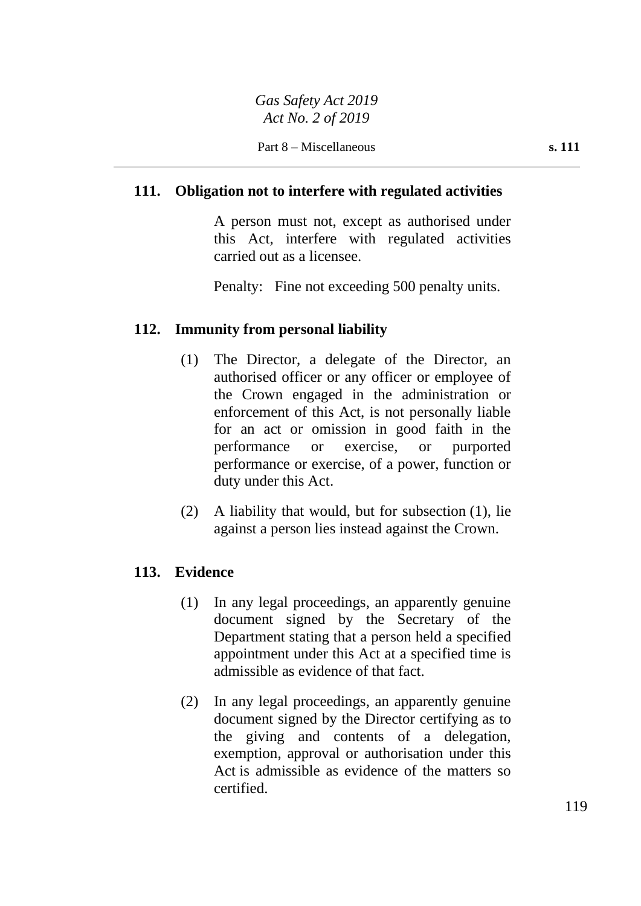# **111. Obligation not to interfere with regulated activities**

A person must not, except as authorised under this Act, interfere with regulated activities carried out as a licensee.

Penalty: Fine not exceeding 500 penalty units.

### **112. Immunity from personal liability**

- (1) The Director, a delegate of the Director, an authorised officer or any officer or employee of the Crown engaged in the administration or enforcement of this Act, is not personally liable for an act or omission in good faith in the performance or exercise, or purported performance or exercise, of a power, function or duty under this Act.
- (2) A liability that would, but for subsection (1), lie against a person lies instead against the Crown.

### **113. Evidence**

- (1) In any legal proceedings, an apparently genuine document signed by the Secretary of the Department stating that a person held a specified appointment under this Act at a specified time is admissible as evidence of that fact.
- (2) In any legal proceedings, an apparently genuine document signed by the Director certifying as to the giving and contents of a delegation, exemption, approval or authorisation under this Act is admissible as evidence of the matters so certified.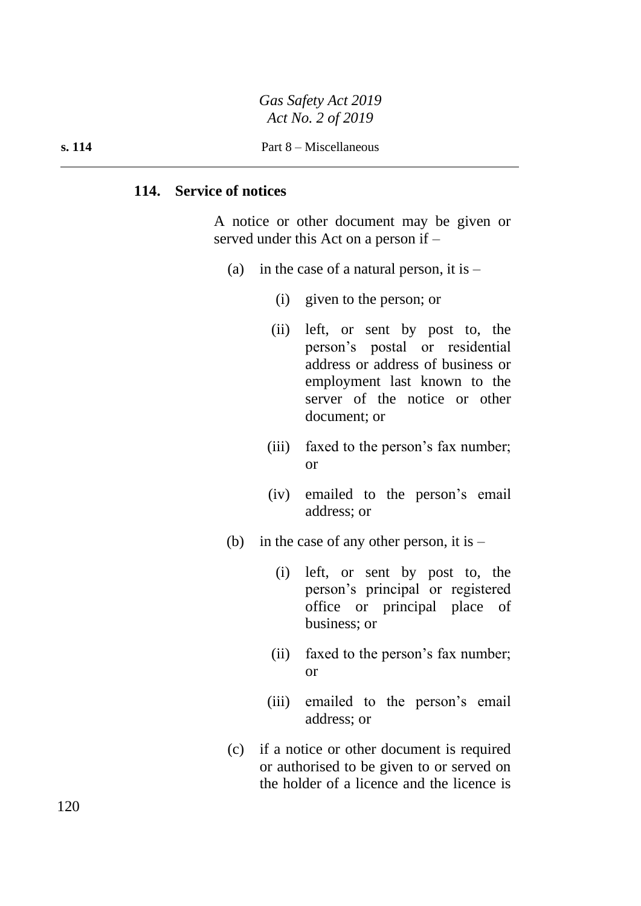*Gas Safety Act 2019 Act No. 2 of 2019*

**s. 114** Part 8 – Miscellaneous

#### **114. Service of notices**

A notice or other document may be given or served under this Act on a person if –

- (a) in the case of a natural person, it is  $-$ 
	- (i) given to the person; or
	- (ii) left, or sent by post to, the person's postal or residential address or address of business or employment last known to the server of the notice or other document; or
	- (iii) faxed to the person's fax number; or
	- (iv) emailed to the person's email address; or
- (b) in the case of any other person, it is  $-$ 
	- (i) left, or sent by post to, the person's principal or registered office or principal place of business; or
	- (ii) faxed to the person's fax number; or
	- (iii) emailed to the person's email address; or
- (c) if a notice or other document is required or authorised to be given to or served on the holder of a licence and the licence is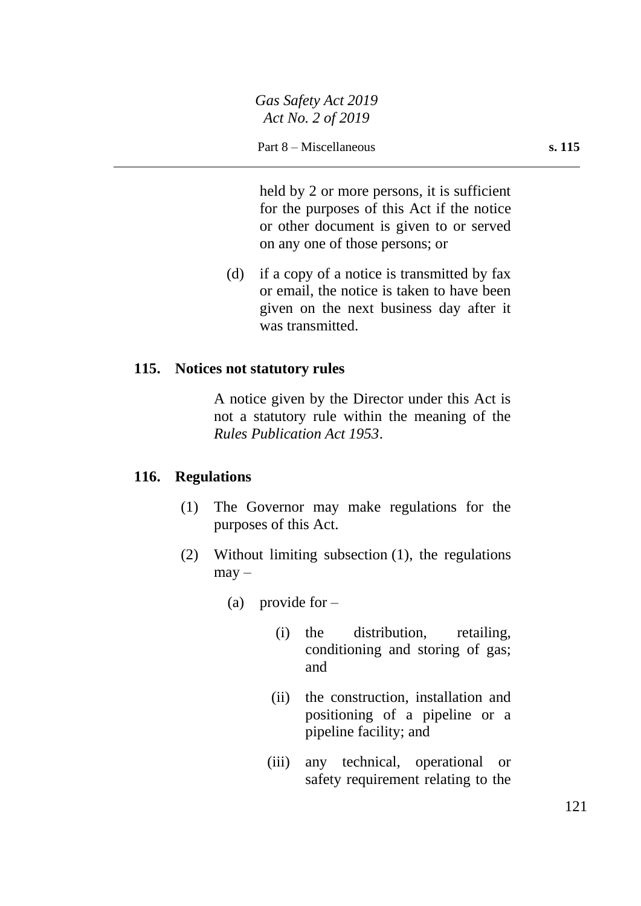held by 2 or more persons, it is sufficient for the purposes of this Act if the notice or other document is given to or served on any one of those persons; or

(d) if a copy of a notice is transmitted by fax or email, the notice is taken to have been given on the next business day after it was transmitted.

# **115. Notices not statutory rules**

A notice given by the Director under this Act is not a statutory rule within the meaning of the *Rules Publication Act 1953*.

### **116. Regulations**

- (1) The Governor may make regulations for the purposes of this Act.
- (2) Without limiting subsection (1), the regulations  $may -$ 
	- (a) provide for  $-$ 
		- (i) the distribution, retailing, conditioning and storing of gas; and
		- (ii) the construction, installation and positioning of a pipeline or a pipeline facility; and
		- (iii) any technical, operational or safety requirement relating to the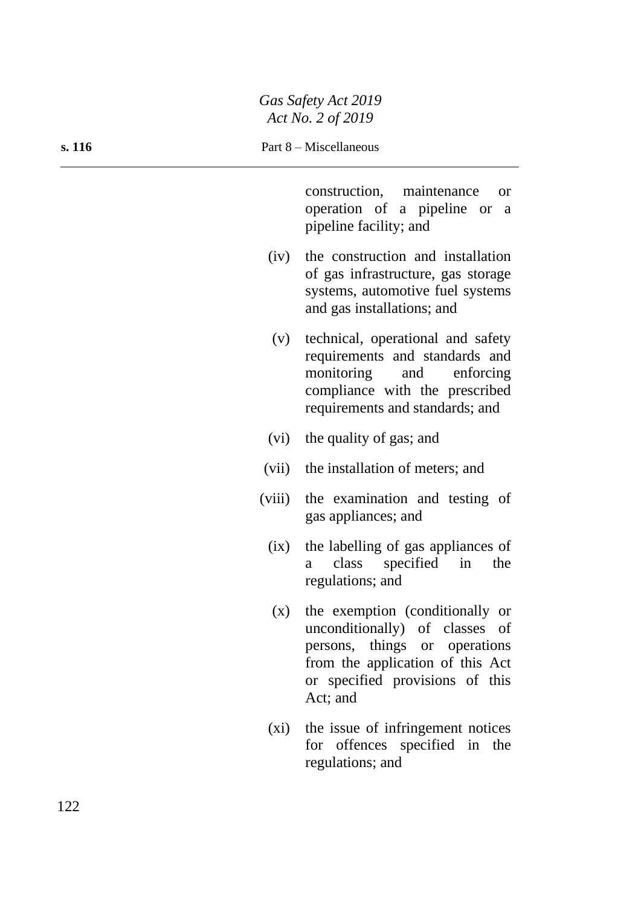construction, maintenance or operation of a pipeline or a pipeline facility; and

- (iv) the construction and installation of gas infrastructure, gas storage systems, automotive fuel systems and gas installations; and
- (v) technical, operational and safety requirements and standards and monitoring and enforcing compliance with the prescribed requirements and standards; and
- (vi) the quality of gas; and
- (vii) the installation of meters; and
- (viii) the examination and testing of gas appliances; and
	- (ix) the labelling of gas appliances of a class specified in the regulations; and
	- (x) the exemption (conditionally or unconditionally) of classes of persons, things or operations from the application of this Act or specified provisions of this Act; and
	- (xi) the issue of infringement notices for offences specified in the regulations; and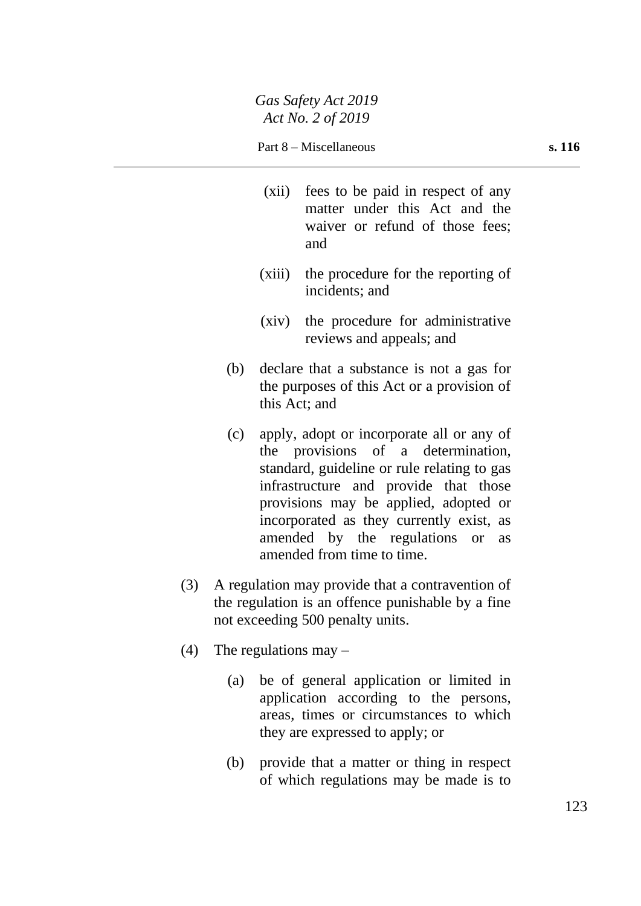- (xii) fees to be paid in respect of any matter under this Act and the waiver or refund of those fees: and
- (xiii) the procedure for the reporting of incidents; and
- (xiv) the procedure for administrative reviews and appeals; and
- (b) declare that a substance is not a gas for the purposes of this Act or a provision of this Act; and
- (c) apply, adopt or incorporate all or any of the provisions of a determination, standard, guideline or rule relating to gas infrastructure and provide that those provisions may be applied, adopted or incorporated as they currently exist, as amended by the regulations or as amended from time to time.
- (3) A regulation may provide that a contravention of the regulation is an offence punishable by a fine not exceeding 500 penalty units.
- (4) The regulations may
	- (a) be of general application or limited in application according to the persons, areas, times or circumstances to which they are expressed to apply; or
	- (b) provide that a matter or thing in respect of which regulations may be made is to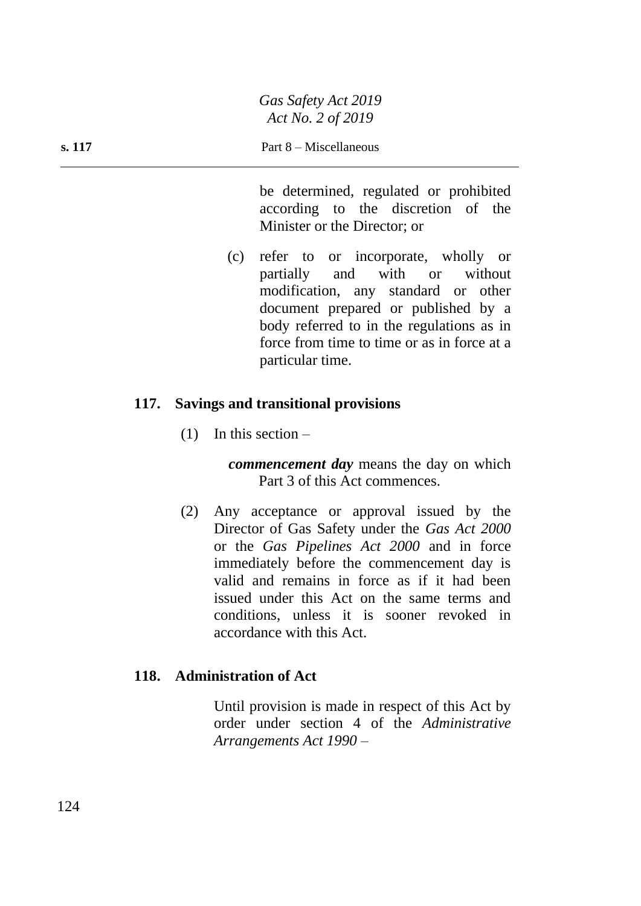be determined, regulated or prohibited according to the discretion of the Minister or the Director; or

(c) refer to or incorporate, wholly or partially and with or without modification, any standard or other document prepared or published by a body referred to in the regulations as in force from time to time or as in force at a particular time.

### **117. Savings and transitional provisions**

 $(1)$  In this section –

*commencement day* means the day on which Part 3 of this Act commences.

(2) Any acceptance or approval issued by the Director of Gas Safety under the *Gas Act 2000* or the *Gas Pipelines Act 2000* and in force immediately before the commencement day is valid and remains in force as if it had been issued under this Act on the same terms and conditions, unless it is sooner revoked in accordance with this Act.

### **118. Administration of Act**

Until provision is made in respect of this Act by order under section 4 of the *Administrative Arrangements Act 1990* –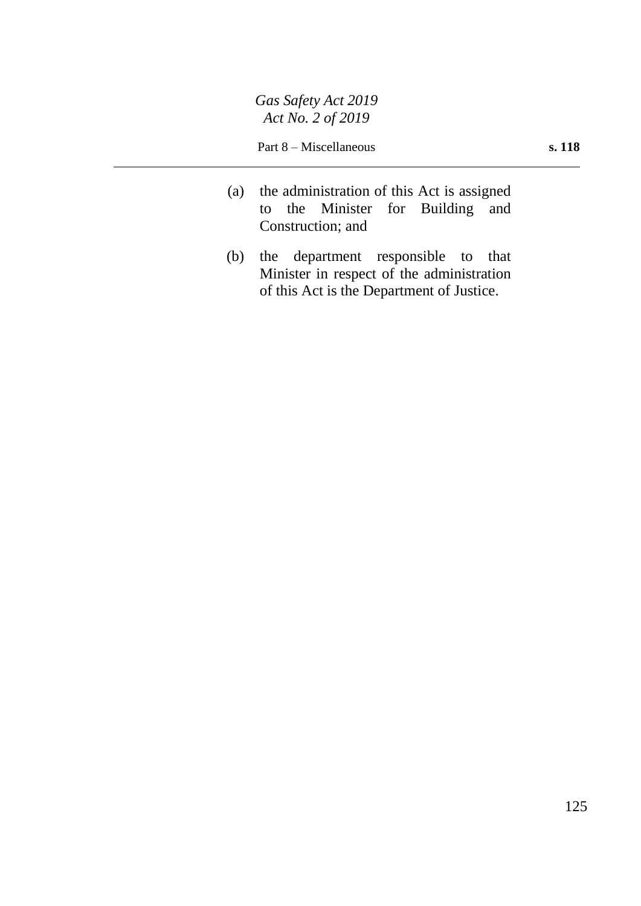- (a) the administration of this Act is assigned to the Minister for Building and Construction; and
- (b) the department responsible to that Minister in respect of the administration of this Act is the Department of Justice.